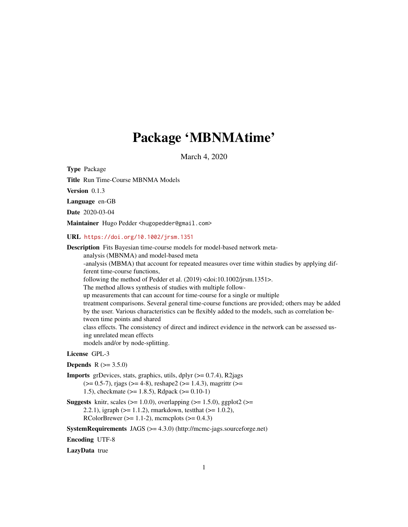# Package 'MBNMAtime'

March 4, 2020

<span id="page-0-0"></span>Type Package

Title Run Time-Course MBNMA Models

Version 0.1.3

Language en-GB

Date 2020-03-04

Maintainer Hugo Pedder <hugopedder@gmail.com>

URL <https://doi.org/10.1002/jrsm.1351>

Description Fits Bayesian time-course models for model-based network metaanalysis (MBNMA) and model-based meta -analysis (MBMA) that account for repeated measures over time within studies by applying different time-course functions, following the method of Pedder et al. (2019) <doi:10.1002/jrsm.1351>. The method allows synthesis of studies with multiple followup measurements that can account for time-course for a single or multiple treatment comparisons. Several general time-course functions are provided; others may be added by the user. Various characteristics can be flexibly added to the models, such as correlation between time points and shared class effects. The consistency of direct and indirect evidence in the network can be assessed using unrelated mean effects models and/or by node-splitting.

## License GPL-3

#### **Depends**  $R (= 3.5.0)$

- **Imports** grDevices, stats, graphics, utils, dplyr  $(>= 0.7.4)$ , R2jags  $(>= 0.5-7)$ , rjags  $(>= 4-8)$ , reshape2  $(>= 1.4.3)$ , magrittr  $(>= 1.4.3)$ 1.5), checkmate (>= 1.8.5), Rdpack (>= 0.10-1)
- **Suggests** knitr, scales ( $>= 1.0.0$ ), overlapping ( $>= 1.5.0$ ), ggplot2 ( $>=$ 2.2.1), igraph (>= 1.1.2), rmarkdown, testthat (>= 1.0.2), RColorBrewer ( $>= 1.1-2$ ), mcmcplots ( $>= 0.4.3$ )

SystemRequirements JAGS (>= 4.3.0) (http://mcmc-jags.sourceforge.net)

Encoding UTF-8

LazyData true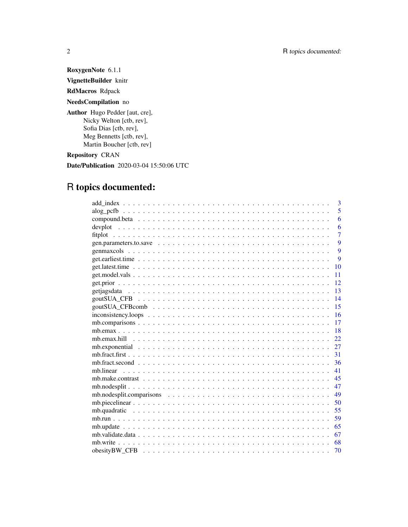RoxygenNote 6.1.1 VignetteBuilder knitr RdMacros Rdpack NeedsCompilation no Author Hugo Pedder [aut, cre], Nicky Welton [ctb, rev], Sofia Dias [ctb, rev],

Martin Boucher [ctb, rev]

Repository CRAN

Date/Publication 2020-03-04 15:50:06 UTC

# R topics documented:

Meg Bennetts [ctb, rev],

| 3                                                                                                                |
|------------------------------------------------------------------------------------------------------------------|
| 5                                                                                                                |
| 6                                                                                                                |
| 6                                                                                                                |
| $\overline{7}$                                                                                                   |
| 9                                                                                                                |
| 9                                                                                                                |
| 9                                                                                                                |
| 10                                                                                                               |
| 11                                                                                                               |
| 12                                                                                                               |
| 13                                                                                                               |
| 14                                                                                                               |
| 15                                                                                                               |
| 16<br>$inconsistency. loops \ldots \ldots \ldots \ldots \ldots \ldots \ldots \ldots \ldots \ldots \ldots \ldots$ |
| 17                                                                                                               |
| 18                                                                                                               |
| 22.                                                                                                              |
| 27                                                                                                               |
| 31                                                                                                               |
| 36                                                                                                               |
| 41                                                                                                               |
| 45                                                                                                               |
| 47                                                                                                               |
| 49                                                                                                               |
| 50                                                                                                               |
| 55                                                                                                               |
| 59                                                                                                               |
| 65                                                                                                               |
| 67                                                                                                               |
| 68                                                                                                               |
| 70                                                                                                               |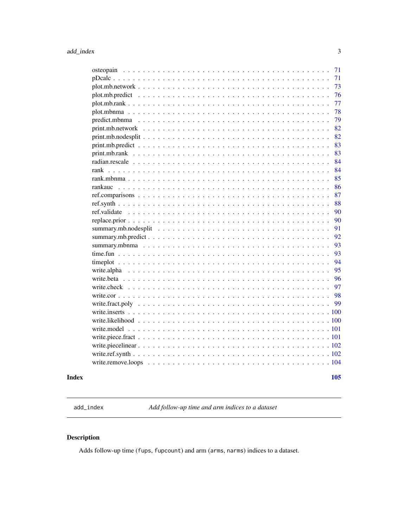<span id="page-2-0"></span>

| osteopain                                                                                        | 71  |
|--------------------------------------------------------------------------------------------------|-----|
|                                                                                                  | 71  |
|                                                                                                  | 73  |
|                                                                                                  | 76  |
|                                                                                                  | 77  |
|                                                                                                  | 78  |
|                                                                                                  | 79  |
|                                                                                                  | 82  |
|                                                                                                  | 82  |
| $print.mb.predict \dots \dots \dots \dots \dots \dots \dots \dots \dots \dots \dots \dots \dots$ | 83  |
|                                                                                                  | 83  |
|                                                                                                  | 84  |
| rank                                                                                             | 84  |
|                                                                                                  | 85  |
|                                                                                                  | 86  |
|                                                                                                  | 87  |
|                                                                                                  | 88  |
| ref.validate                                                                                     | 90  |
|                                                                                                  | 90  |
|                                                                                                  | 91  |
|                                                                                                  | 92  |
|                                                                                                  | 93  |
|                                                                                                  | 93  |
|                                                                                                  | 94  |
| write.alpha                                                                                      | 95  |
|                                                                                                  | 96  |
|                                                                                                  | 97  |
|                                                                                                  | 98  |
|                                                                                                  | 99  |
| .100                                                                                             |     |
|                                                                                                  |     |
|                                                                                                  |     |
|                                                                                                  |     |
|                                                                                                  |     |
|                                                                                                  |     |
|                                                                                                  |     |
|                                                                                                  |     |
|                                                                                                  | 105 |

## **Index**

add\_index

Add follow-up time and arm indices to a dataset

## Description

Adds follow-up time (fups, fupcount) and arm (arms, narms) indices to a dataset.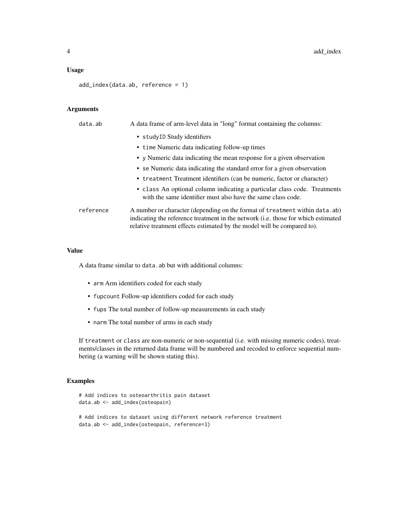#### Usage

add\_index(data.ab, reference = 1)

## Arguments

| data.ab   | A data frame of arm-level data in "long" format containing the columns:                                                                                                                                                                             |
|-----------|-----------------------------------------------------------------------------------------------------------------------------------------------------------------------------------------------------------------------------------------------------|
|           | • studyID Study identifiers                                                                                                                                                                                                                         |
|           | • time Numeric data indicating follow-up times                                                                                                                                                                                                      |
|           | • y Numeric data indicating the mean response for a given observation                                                                                                                                                                               |
|           | • se Numeric data indicating the standard error for a given observation                                                                                                                                                                             |
|           | • treatment Treatment identifiers (can be numeric, factor or character)                                                                                                                                                                             |
|           | • class An optional column indicating a particular class code. Treatments<br>with the same identifier must also have the same class code.                                                                                                           |
| reference | A number or character (depending on the format of treatment within data. ab)<br>indicating the reference treatment in the network ( <i>i.e.</i> those for which estimated<br>relative treatment effects estimated by the model will be compared to. |

#### Value

A data frame similar to data.ab but with additional columns:

- arm Arm identifiers coded for each study
- fupcount Follow-up identifiers coded for each study
- fups The total number of follow-up measurements in each study
- narm The total number of arms in each study

If treatment or class are non-numeric or non-sequential (i.e. with missing numeric codes), treatments/classes in the returned data frame will be numbered and recoded to enforce sequential numbering (a warning will be shown stating this).

## Examples

```
# Add indices to osteoarthritis pain dataset
data.ab <- add_index(osteopain)
# Add indices to dataset using different network reference treatment
data.ab <- add_index(osteopain, reference=3)
```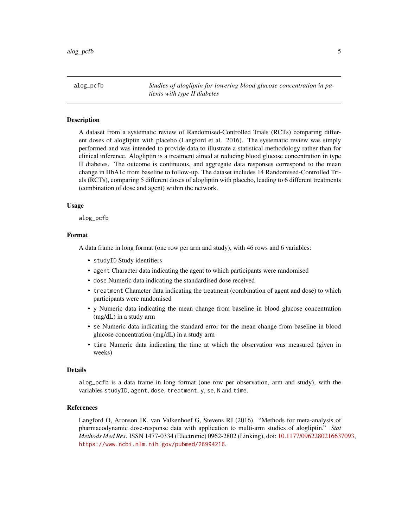<span id="page-4-0"></span>alog\_pcfb *Studies of alogliptin for lowering blood glucose concentration in patients with type II diabetes*

## Description

A dataset from a systematic review of Randomised-Controlled Trials (RCTs) comparing different doses of alogliptin with placebo (Langford et al. 2016). The systematic review was simply performed and was intended to provide data to illustrate a statistical methodology rather than for clinical inference. Alogliptin is a treatment aimed at reducing blood glucose concentration in type II diabetes. The outcome is continuous, and aggregate data responses correspond to the mean change in HbA1c from baseline to follow-up. The dataset includes 14 Randomised-Controlled Trials (RCTs), comparing 5 different doses of alogliptin with placebo, leading to 6 different treatments (combination of dose and agent) within the network.

#### Usage

alog\_pcfb

#### Format

A data frame in long format (one row per arm and study), with 46 rows and 6 variables:

- studyID Study identifiers
- agent Character data indicating the agent to which participants were randomised
- dose Numeric data indicating the standardised dose received
- treatment Character data indicating the treatment (combination of agent and dose) to which participants were randomised
- y Numeric data indicating the mean change from baseline in blood glucose concentration (mg/dL) in a study arm
- se Numeric data indicating the standard error for the mean change from baseline in blood glucose concentration (mg/dL) in a study arm
- time Numeric data indicating the time at which the observation was measured (given in weeks)

#### Details

alog\_pcfb is a data frame in long format (one row per observation, arm and study), with the variables studyID, agent, dose, treatment, y, se, N and time.

#### References

Langford O, Aronson JK, van Valkenhoef G, Stevens RJ (2016). "Methods for meta-analysis of pharmacodynamic dose-response data with application to multi-arm studies of alogliptin." *Stat Methods Med Res*. ISSN 1477-0334 (Electronic) 0962-2802 (Linking), doi: [10.1177/0962280216637093,](https://doi.org/10.1177/0962280216637093) <https://www.ncbi.nlm.nih.gov/pubmed/26994216>.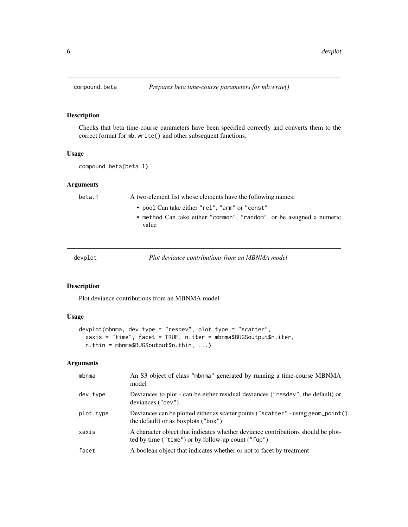## Description

Checks that beta time-course parameters have been specified correctly and converts them to the correct format for mb.write() and other subsequent functions.

## Usage

compound.beta(beta.1)

## Arguments

beta.1 A two-element list whose elements have the following names:

- pool Can take either "rel", "arm" or "const"
- method Can take either "common", "random", or be assigned a numeric value

| devplot | Plot deviance contributions from an MBNMA model |  |
|---------|-------------------------------------------------|--|
|         |                                                 |  |

## Description

Plot deviance contributions from an MBNMA model

## Usage

```
devplot(mbnma, dev.type = "resdev", plot.type = "scatter",
  xaxis = "time", facet = TRUE, n.iter = mbnma$BUGSoutput$n.iter,
 n.thin = mbnma$BUGSoutput$n.thin, ...)
```
## Arguments

| mbnma     | An S3 object of class "mbnma" generated by running a time-course MBNMA<br>model                                                        |
|-----------|----------------------------------------------------------------------------------------------------------------------------------------|
| dev.type  | Deviances to plot - can be either residual deviances ("resdev", the default) or<br>deviances ("dev")                                   |
| plot.type | Deviances can be plotted either as scatter points ("scatter" - using geom_point(),<br>the default) or as boxplots ("box")              |
| xaxis     | A character object that indicates whether deviance contributions should be plot-<br>ted by time ("time") or by follow-up count ("fup") |
| facet     | A boolean object that indicates whether or not to facet by treatment                                                                   |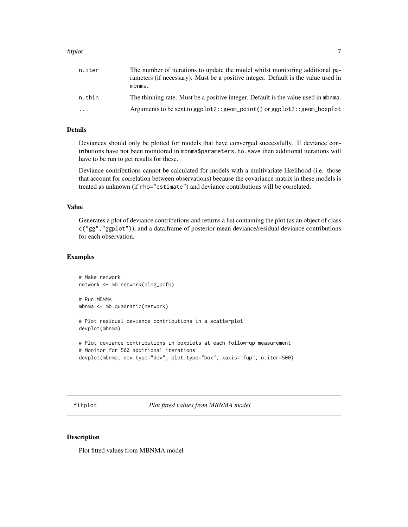#### <span id="page-6-0"></span>fitplot 7

| n.iter   | The number of iterations to update the model whilst monitoring additional pa-<br>rameters (if necessary). Must be a positive integer. Default is the value used in<br>mbnma. |
|----------|------------------------------------------------------------------------------------------------------------------------------------------------------------------------------|
| n.thin   | The thinning rate. Must be a positive integer. Default is the value used in mbnma.                                                                                           |
| $\cdots$ | Arguments to be sent to ggplot2:: geom_point() or ggplot2:: geom_boxplot                                                                                                     |

## Details

Deviances should only be plotted for models that have converged successfully. If deviance contributions have not been monitored in mbnma\$parameters.to.save then additional iterations will have to be run to get results for these.

Deviance contributions cannot be calculated for models with a multivariate likelihood (i.e. those that account for correlation between observations) because the covariance matrix in these models is treated as unknown (if rho="estimate") and deviance contributions will be correlated.

#### Value

Generates a plot of deviance contributions and returns a list containing the plot (as an object of class c("gg","ggplot")), and a data.frame of posterior mean deviance/residual deviance contributions for each observation.

## Examples

```
# Make network
network <- mb.network(alog_pcfb)
# Run MBNMA
mbnma <- mb.quadratic(network)
# Plot residual deviance contributions in a scatterplot
devplot(mbnma)
# Plot deviance contributions in boxplots at each follow-up measurement
```

```
# Monitor for 500 additional iterations
devplot(mbnma, dev.type="dev", plot.type="box", xaxis="fup", n.iter=500)
```
fitplot *Plot fitted values from MBNMA model*

#### Description

Plot fitted values from MBNMA model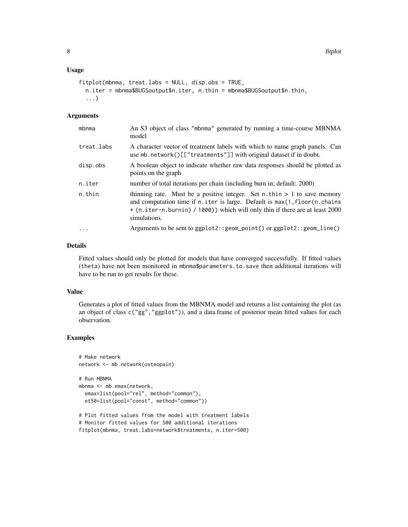## Usage

```
fitplot(mbnma, treat.labs = NULL, disp.obs = TRUE,
  n.iter = mbnma$BUGSoutput$n.iter, n.thin = mbnma$BUGSoutput$n.thin,
  ...)
```
## **Arguments**

| mbnma             | An S3 object of class "mbnma" generated by running a time-course MBNMA<br>model                                                                                                                                                                                      |
|-------------------|----------------------------------------------------------------------------------------------------------------------------------------------------------------------------------------------------------------------------------------------------------------------|
| treat.labs        | A character vector of treatment labels with which to name graph panels. Can<br>use mb.network()[["treatments"]] with original dataset if in doubt.                                                                                                                   |
| disp.obs          | A boolean object to indicate whether raw data responses should be plotted as<br>points on the graph                                                                                                                                                                  |
| n.iter            | number of total iterations per chain (including burn in; default: 2000)                                                                                                                                                                                              |
| n.thin            | thinning rate. Must be a positive integer. Set $n$ . thin $> 1$ to save memory<br>and computation time if $n$ , iter is large. Default is $max(1, floor(n, chains))$<br>* (n.iter-n.burnin) / 1000)) which will only thin if there are at least 2000<br>simulations. |
| $\cdot\cdot\cdot$ | Arguments to be sent to $ggplot2::geom\_point()$ or $ggplot2::geom\_line()$                                                                                                                                                                                          |

## Details

Fitted values should only be plotted for models that have converged successfully. If fitted values (theta) have not been monitored in mbnma\$parameters.to.save then additional iterations will have to be run to get results for these.

#### Value

Generates a plot of fitted values from the MBNMA model and returns a list containing the plot (as an object of class c("gg", "ggplot")), and a data.frame of posterior mean fitted values for each observation.

## Examples

```
# Make network
network <- mb.network(osteopain)
```

```
# Run MBNMA
mbnma <- mb.emax(network,
 emax=list(pool="rel", method="common"),
 et50=list(pool="const", method="common"))
```
# Plot fitted values from the model with treatment labels # Monitor fitted values for 500 additional iterations fitplot(mbnma, treat.labs=network\$treatments, n.iter=500)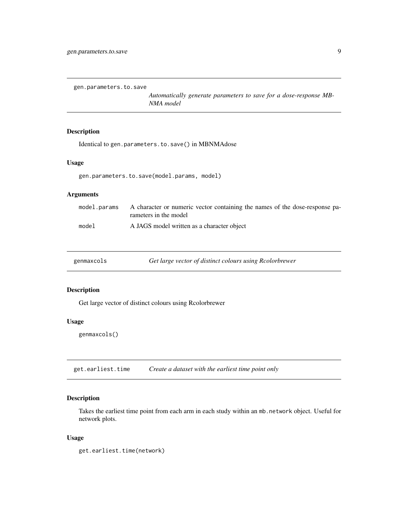<span id="page-8-0"></span>gen.parameters.to.save

*Automatically generate parameters to save for a dose-response MB-NMA model*

## Description

Identical to gen.parameters.to.save() in MBNMAdose

### Usage

gen.parameters.to.save(model.params, model)

## Arguments

|       | model params A character or numeric vector containing the names of the dose-response pa-<br>rameters in the model |
|-------|-------------------------------------------------------------------------------------------------------------------|
| mode1 | A JAGS model written as a character object                                                                        |

| genmaxcols |  |
|------------|--|
|            |  |
|            |  |
|            |  |

Get large vector of distinct colours using Rcolorbrewer

## Description

Get large vector of distinct colours using Rcolorbrewer

## Usage

genmaxcols()

get.earliest.time *Create a dataset with the earliest time point only*

## Description

Takes the earliest time point from each arm in each study within an mb.network object. Useful for network plots.

#### Usage

get.earliest.time(network)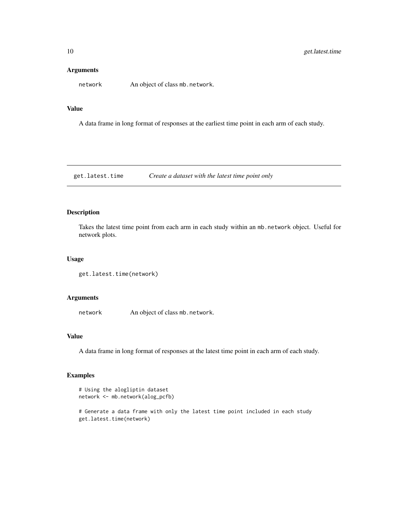## <span id="page-9-0"></span>Arguments

network An object of class mb.network.

#### Value

A data frame in long format of responses at the earliest time point in each arm of each study.

get.latest.time *Create a dataset with the latest time point only*

## Description

Takes the latest time point from each arm in each study within an mb.network object. Useful for network plots.

#### Usage

```
get.latest.time(network)
```
## Arguments

network An object of class mb.network.

## Value

A data frame in long format of responses at the latest time point in each arm of each study.

## Examples

```
# Using the alogliptin dataset
network <- mb.network(alog_pcfb)
```
# Generate a data frame with only the latest time point included in each study get.latest.time(network)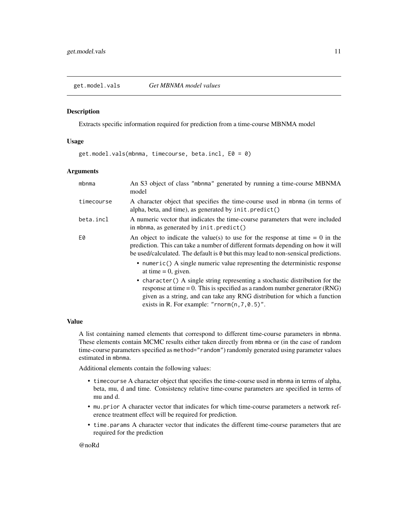<span id="page-10-0"></span>get.model.vals *Get MBNMA model values*

#### Description

Extracts specific information required for prediction from a time-course MBNMA model

#### Usage

get.model.vals(mbnma, timecourse, beta.incl, E0 = 0)

#### **Arguments**

| mbnma      | An S3 object of class "mbnma" generated by running a time-course MBNMA<br>model                                                                                                                                                                                                                  |
|------------|--------------------------------------------------------------------------------------------------------------------------------------------------------------------------------------------------------------------------------------------------------------------------------------------------|
| timecourse | A character object that specifies the time-course used in mbnma (in terms of<br>alpha, beta, and time), as generated by init. predict()                                                                                                                                                          |
| beta.incl  | A numeric vector that indicates the time-course parameters that were included<br>in mbnma, as generated by init. predict()                                                                                                                                                                       |
| E0         | An object to indicate the value(s) to use for the response at time $= 0$ in the<br>prediction. This can take a number of different formats depending on how it will<br>be used/calculated. The default is 0 but this may lead to non-sensical predictions.                                       |
|            | • numeric() A single numeric value representing the deterministic response<br>at time $= 0$ , given.                                                                                                                                                                                             |
|            | • character () A single string representing a stochastic distribution for the<br>response at time $= 0$ . This is specified as a random number generator (RNG)<br>given as a string, and can take any RNG distribution for which a function<br>exists in R. For example: "rnorm $(n, 7, 0.5)$ ". |

## Value

A list containing named elements that correspond to different time-course parameters in mbnma. These elements contain MCMC results either taken directly from mbnma or (in the case of random time-course parameters specified as method="random") randomly generated using parameter values estimated in mbnma.

Additional elements contain the following values:

- timecourse A character object that specifies the time-course used in mbnma in terms of alpha, beta, mu, d and time. Consistency relative time-course parameters are specified in terms of mu and d.
- mu.prior A character vector that indicates for which time-course parameters a network reference treatment effect will be required for prediction.
- time.params A character vector that indicates the different time-course parameters that are required for the prediction

#### @noRd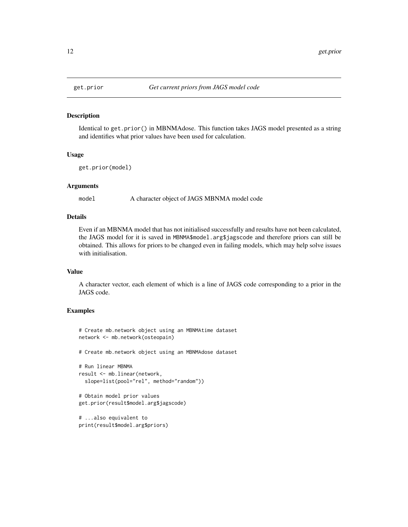#### Description

Identical to get.prior() in MBNMAdose. This function takes JAGS model presented as a string and identifies what prior values have been used for calculation.

#### Usage

```
get.prior(model)
```
#### Arguments

model A character object of JAGS MBNMA model code

## Details

Even if an MBNMA model that has not initialised successfully and results have not been calculated, the JAGS model for it is saved in MBNMA\$model.arg\$jagscode and therefore priors can still be obtained. This allows for priors to be changed even in failing models, which may help solve issues with initialisation.

## Value

A character vector, each element of which is a line of JAGS code corresponding to a prior in the JAGS code.

### Examples

```
# Create mb.network object using an MBNMAtime dataset
network <- mb.network(osteopain)
```
# Create mb.network object using an MBNMAdose dataset

```
# Run linear MBNMA
result <- mb.linear(network,
 slope=list(pool="rel", method="random"))
```

```
# Obtain model prior values
get.prior(result$model.arg$jagscode)
```

```
# ...also equivalent to
print(result$model.arg$priors)
```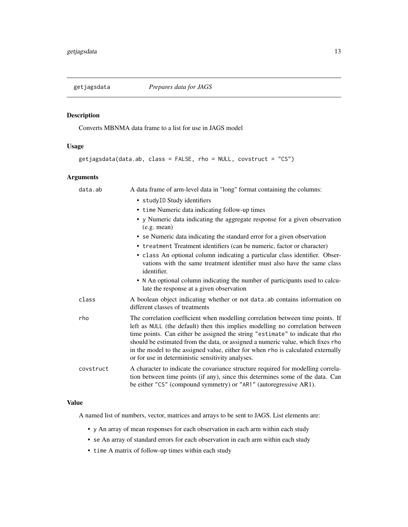<span id="page-12-0"></span>

## Description

Converts MBNMA data frame to a list for use in JAGS model

## Usage

```
getjagsdata(data.ab, class = FALSE, rho = NULL, covstruct = "CS")
```
## Arguments

| data.ab   | A data frame of arm-level data in "long" format containing the columns:                                                                                                                                                                                                                                                                                                                                                                                                       |
|-----------|-------------------------------------------------------------------------------------------------------------------------------------------------------------------------------------------------------------------------------------------------------------------------------------------------------------------------------------------------------------------------------------------------------------------------------------------------------------------------------|
|           | • studyID Study identifiers                                                                                                                                                                                                                                                                                                                                                                                                                                                   |
|           | • time Numeric data indicating follow-up times                                                                                                                                                                                                                                                                                                                                                                                                                                |
|           | • y Numeric data indicating the aggregate response for a given observation<br>(e.g. mean)                                                                                                                                                                                                                                                                                                                                                                                     |
|           | • se Numeric data indicating the standard error for a given observation                                                                                                                                                                                                                                                                                                                                                                                                       |
|           | • treatment Treatment identifiers (can be numeric, factor or character)                                                                                                                                                                                                                                                                                                                                                                                                       |
|           | • class An optional column indicating a particular class identifier. Obser-<br>vations with the same treatment identifier must also have the same class<br>identifier.                                                                                                                                                                                                                                                                                                        |
|           | • N An optional column indicating the number of participants used to calcu-<br>late the response at a given observation                                                                                                                                                                                                                                                                                                                                                       |
| class     | A boolean object indicating whether or not data ab contains information on<br>different classes of treatments                                                                                                                                                                                                                                                                                                                                                                 |
| rho       | The correlation coefficient when modelling correlation between time points. If<br>left as NULL (the default) then this implies modelling no correlation between<br>time points. Can either be assigned the string "estimate" to indicate that rho<br>should be estimated from the data, or assigned a numeric value, which fixes rho<br>in the model to the assigned value, either for when rho is calculated externally<br>or for use in deterministic sensitivity analyses. |
| covstruct | A character to indicate the covariance structure required for modelling correla-<br>tion between time points (if any), since this determines some of the data. Can<br>be either "CS" (compound symmetry) or "AR1" (autoregressive AR1).                                                                                                                                                                                                                                       |

## Value

A named list of numbers, vector, matrices and arrays to be sent to JAGS. List elements are:

- y An array of mean responses for each observation in each arm within each study
- se An array of standard errors for each observation in each arm within each study
- time A matrix of follow-up times within each study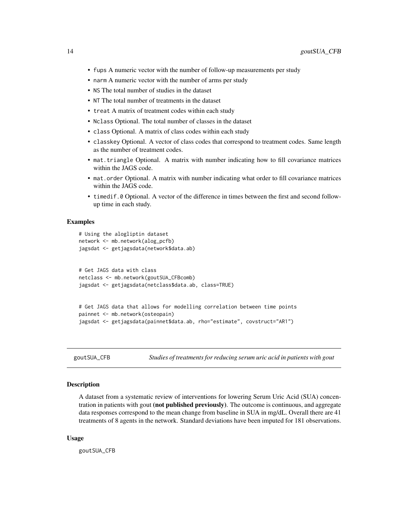- <span id="page-13-0"></span>• fups A numeric vector with the number of follow-up measurements per study
- narm A numeric vector with the number of arms per study
- NS The total number of studies in the dataset
- NT The total number of treatments in the dataset
- treat A matrix of treatment codes within each study
- Nclass Optional. The total number of classes in the dataset
- class Optional. A matrix of class codes within each study
- classkey Optional. A vector of class codes that correspond to treatment codes. Same length as the number of treatment codes.
- mat.triangle Optional. A matrix with number indicating how to fill covariance matrices within the JAGS code.
- mat.order Optional. A matrix with number indicating what order to fill covariance matrices within the JAGS code.
- timedif.0 Optional. A vector of the difference in times between the first and second followup time in each study.

## Examples

```
# Using the alogliptin dataset
network <- mb.network(alog_pcfb)
jagsdat <- getjagsdata(network$data.ab)
# Get JAGS data with class
netclass <- mb.network(goutSUA_CFBcomb)
jagsdat <- getjagsdata(netclass$data.ab, class=TRUE)
# Get JAGS data that allows for modelling correlation between time points
painnet <- mb.network(osteopain)
jagsdat <- getjagsdata(painnet$data.ab, rho="estimate", covstruct="AR1")
```
goutSUA\_CFB *Studies of treatments for reducing serum uric acid in patients with gout*

## Description

A dataset from a systematic review of interventions for lowering Serum Uric Acid (SUA) concentration in patients with gout (not published previously). The outcome is continuous, and aggregate data responses correspond to the mean change from baseline in SUA in mg/dL. Overall there are 41 treatments of 8 agents in the network. Standard deviations have been imputed for 181 observations.

#### Usage

goutSUA\_CFB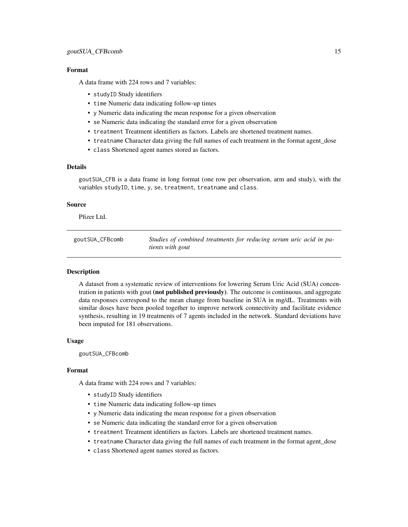#### <span id="page-14-0"></span>Format

A data frame with 224 rows and 7 variables:

- studyID Study identifiers
- time Numeric data indicating follow-up times
- y Numeric data indicating the mean response for a given observation
- se Numeric data indicating the standard error for a given observation
- treatment Treatment identifiers as factors. Labels are shortened treatment names.
- treatname Character data giving the full names of each treatment in the format agent\_dose
- class Shortened agent names stored as factors.

#### Details

goutSUA\_CFB is a data frame in long format (one row per observation, arm and study), with the variables studyID, time, y, se, treatment, treatname and class.

## Source

Pfizer Ltd.

goutSUA\_CFBcomb *Studies of combined treatments for reducing serum uric acid in patients with gout*

## **Description**

A dataset from a systematic review of interventions for lowering Serum Uric Acid (SUA) concentration in patients with gout (not published previously). The outcome is continuous, and aggregate data responses correspond to the mean change from baseline in SUA in mg/dL. Treatments with similar doses have been pooled together to improve network connectivity and facilitate evidence synthesis, resulting in 19 treatments of 7 agents included in the network. Standard deviations have been imputed for 181 observations.

#### Usage

goutSUA\_CFBcomb

#### Format

A data frame with 224 rows and 7 variables:

- studyID Study identifiers
- time Numeric data indicating follow-up times
- y Numeric data indicating the mean response for a given observation
- se Numeric data indicating the standard error for a given observation
- treatment Treatment identifiers as factors. Labels are shortened treatment names.
- treatname Character data giving the full names of each treatment in the format agent\_dose
- class Shortened agent names stored as factors.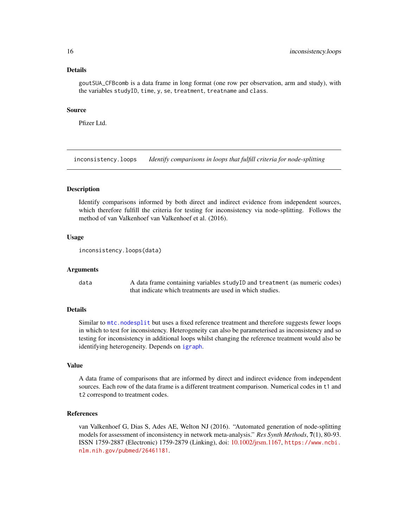#### Details

goutSUA\_CFBcomb is a data frame in long format (one row per observation, arm and study), with the variables studyID, time, y, se, treatment, treatname and class.

#### Source

Pfizer Ltd.

inconsistency.loops *Identify comparisons in loops that fulfill criteria for node-splitting*

#### Description

Identify comparisons informed by both direct and indirect evidence from independent sources, which therefore fulfill the criteria for testing for inconsistency via node-splitting. Follows the method of van Valkenhoef van Valkenhoef et al. (2016).

#### Usage

```
inconsistency.loops(data)
```
#### Arguments

data A data frame containing variables studyID and treatment (as numeric codes) that indicate which treatments are used in which studies.

#### Details

Similar to [mtc.nodesplit](#page-0-0) but uses a fixed reference treatment and therefore suggests fewer loops in which to test for inconsistency. Heterogeneity can also be parameterised as inconsistency and so testing for inconsistency in additional loops whilst changing the reference treatment would also be identifying heterogeneity. Depends on [igraph](#page-0-0).

## Value

A data frame of comparisons that are informed by direct and indirect evidence from independent sources. Each row of the data frame is a different treatment comparison. Numerical codes in t1 and t2 correspond to treatment codes.

## References

van Valkenhoef G, Dias S, Ades AE, Welton NJ (2016). "Automated generation of node-splitting models for assessment of inconsistency in network meta-analysis." *Res Synth Methods*, 7(1), 80-93. ISSN 1759-2887 (Electronic) 1759-2879 (Linking), doi: [10.1002/jrsm.1167,](https://doi.org/10.1002/jrsm.1167) [https://www.ncbi.](https://www.ncbi.nlm.nih.gov/pubmed/26461181) [nlm.nih.gov/pubmed/26461181](https://www.ncbi.nlm.nih.gov/pubmed/26461181).

<span id="page-15-0"></span>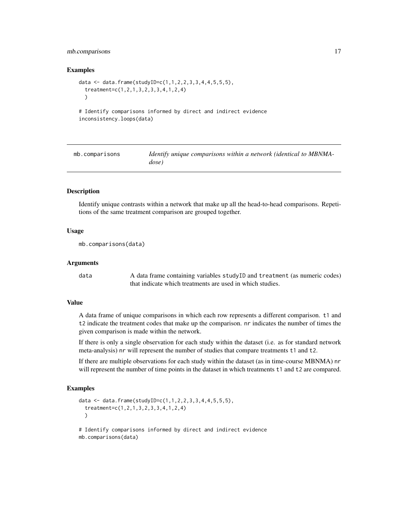## <span id="page-16-0"></span>mb.comparisons 17

#### Examples

```
data <- data.frame(studyID=c(1,1,2,2,3,3,4,4,5,5,5),
 treatment=c(1,2,1,3,2,3,3,4,1,2,4)
 )
```
# Identify comparisons informed by direct and indirect evidence inconsistency.loops(data)

| mb.comparisons | Identify unique comparisons within a network (identical to MBNMA- |
|----------------|-------------------------------------------------------------------|
|                | dose)                                                             |

### Description

Identify unique contrasts within a network that make up all the head-to-head comparisons. Repetitions of the same treatment comparison are grouped together.

## Usage

```
mb.comparisons(data)
```
#### Arguments

data A data frame containing variables studyID and treatment (as numeric codes) that indicate which treatments are used in which studies.

## Value

A data frame of unique comparisons in which each row represents a different comparison. t1 and t2 indicate the treatment codes that make up the comparison. nr indicates the number of times the given comparison is made within the network.

If there is only a single observation for each study within the dataset (i.e. as for standard network meta-analysis) nr will represent the number of studies that compare treatments t1 and t2.

If there are multiple observations for each study within the dataset (as in time-course MBNMA) nr will represent the number of time points in the dataset in which treatments t1 and t2 are compared.

#### Examples

```
data <- data.frame(studyID=c(1,1,2,2,3,3,4,4,5,5,5),
 treatment=c(1,2,1,3,2,3,3,4,1,2,4)
 )
# Identify comparisons informed by direct and indirect evidence
```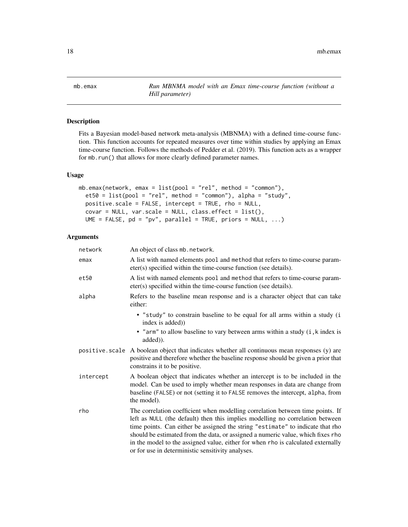<span id="page-17-0"></span>mb.emax *Run MBNMA model with an Emax time-course function (without a Hill parameter)*

## Description

Fits a Bayesian model-based network meta-analysis (MBNMA) with a defined time-course function. This function accounts for repeated measures over time within studies by applying an Emax time-course function. Follows the methods of Pedder et al. (2019). This function acts as a wrapper for mb.run() that allows for more clearly defined parameter names.

## Usage

```
mb.emax(network, emax = list(pool = "rel", method = "common"),
 et50 = list(pool = "rel", method = "common"), alpha = "study",
 positive.scale = FALSE, intercept = TRUE, rho = NULL,
  covar = NULL, var.scale = NULL, class.effect = list(),
 UME = FALSE, pd = "pv", parallel = TRUE, priors = NULL, ...)
```
### Arguments

| network   | An object of class mb. network.                                                                                                                                                                                                                                                                                                                                                                                                                                               |
|-----------|-------------------------------------------------------------------------------------------------------------------------------------------------------------------------------------------------------------------------------------------------------------------------------------------------------------------------------------------------------------------------------------------------------------------------------------------------------------------------------|
| emax      | A list with named elements pool and method that refers to time-course param-<br>eter(s) specified within the time-course function (see details).                                                                                                                                                                                                                                                                                                                              |
| et50      | A list with named elements pool and method that refers to time-course param-<br>eter(s) specified within the time-course function (see details).                                                                                                                                                                                                                                                                                                                              |
| alpha     | Refers to the baseline mean response and is a character object that can take<br>either:                                                                                                                                                                                                                                                                                                                                                                                       |
|           | · "study" to constrain baseline to be equal for all arms within a study (i<br>index is added)                                                                                                                                                                                                                                                                                                                                                                                 |
|           | • "arm" to allow baseline to vary between arms within a study (i, k index is<br>added)).                                                                                                                                                                                                                                                                                                                                                                                      |
|           | positive scale A boolean object that indicates whether all continuous mean responses (y) are<br>positive and therefore whether the baseline response should be given a prior that<br>constrains it to be positive.                                                                                                                                                                                                                                                            |
| intercept | A boolean object that indicates whether an intercept is to be included in the<br>model. Can be used to imply whether mean responses in data are change from<br>baseline (FALSE) or not (setting it to FALSE removes the intercept, alpha, from<br>the model).                                                                                                                                                                                                                 |
| rho       | The correlation coefficient when modelling correlation between time points. If<br>left as NULL (the default) then this implies modelling no correlation between<br>time points. Can either be assigned the string "estimate" to indicate that rho<br>should be estimated from the data, or assigned a numeric value, which fixes rho<br>in the model to the assigned value, either for when rho is calculated externally<br>or for use in deterministic sensitivity analyses. |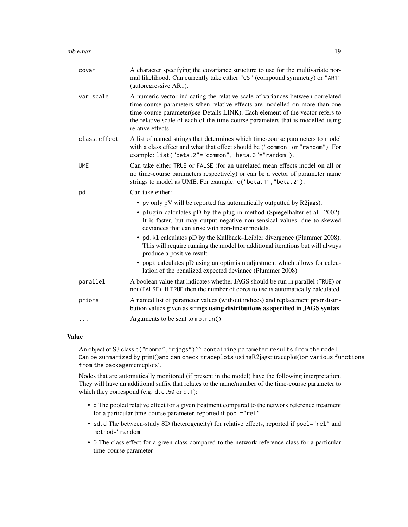| covar        | A character specifying the covariance structure to use for the multivariate nor-<br>mal likelihood. Can currently take either "CS" (compound symmetry) or "AR1"<br>(autoregressive AR1).                                                                                                                                                              |
|--------------|-------------------------------------------------------------------------------------------------------------------------------------------------------------------------------------------------------------------------------------------------------------------------------------------------------------------------------------------------------|
| var.scale    | A numeric vector indicating the relative scale of variances between correlated<br>time-course parameters when relative effects are modelled on more than one<br>time-course parameter(see Details LINK). Each element of the vector refers to<br>the relative scale of each of the time-course parameters that is modelled using<br>relative effects. |
| class.effect | A list of named strings that determines which time-course parameters to model<br>with a class effect and what that effect should be ("common" or "random"). For<br>example: list("beta.2"="common","beta.3"="random").                                                                                                                                |
| <b>UME</b>   | Can take either TRUE or FALSE (for an unrelated mean effects model on all or<br>no time-course parameters respectively) or can be a vector of parameter name<br>strings to model as UME. For example: c("beta.1", "beta.2").                                                                                                                          |
| pd           | Can take either:                                                                                                                                                                                                                                                                                                                                      |
|              | • pv only pV will be reported (as automatically outputted by R2 jags).                                                                                                                                                                                                                                                                                |
|              | • plugin calculates pD by the plug-in method (Spiegelhalter et al. 2002).<br>It is faster, but may output negative non-sensical values, due to skewed<br>deviances that can arise with non-linear models.                                                                                                                                             |
|              | • pd. k1 calculates pD by the Kullback–Leibler divergence (Plummer 2008).<br>This will require running the model for additional iterations but will always<br>produce a positive result.                                                                                                                                                              |
|              | • popt calculates pD using an optimism adjustment which allows for calcu-<br>lation of the penalized expected deviance (Plummer 2008)                                                                                                                                                                                                                 |
| parallel     | A boolean value that indicates whether JAGS should be run in parallel (TRUE) or<br>not (FALSE). If TRUE then the number of cores to use is automatically calculated.                                                                                                                                                                                  |
| priors       | A named list of parameter values (without indices) and replacement prior distri-<br>bution values given as strings using distributions as specified in JAGS syntax.                                                                                                                                                                                   |
| $\cdots$     | Arguments to be sent to mb. run()                                                                                                                                                                                                                                                                                                                     |

## Value

An object of S3 class c("mbnma", "rjags")`` containing parameter results from the model. Can be summarized by print()and can check traceplots usingR2jags::traceplot()or various functions from the packagemcmcplots'.

Nodes that are automatically monitored (if present in the model) have the following interpretation. They will have an additional suffix that relates to the name/number of the time-course parameter to which they correspond (e.g. d.et50 or d.1):

- d The pooled relative effect for a given treatment compared to the network reference treatment for a particular time-course parameter, reported if pool="rel"
- sd.d The between-study SD (heterogeneity) for relative effects, reported if pool="rel" and method="random"
- D The class effect for a given class compared to the network reference class for a particular time-course parameter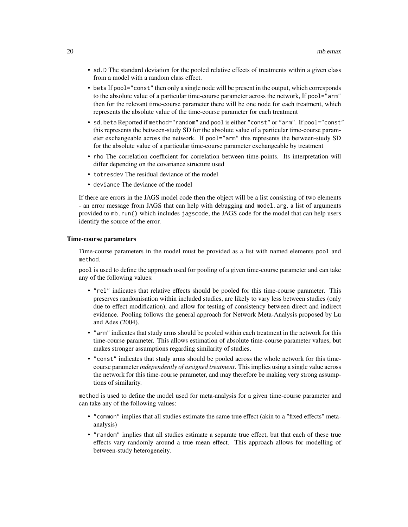- sd.D The standard deviation for the pooled relative effects of treatments within a given class from a model with a random class effect.
- beta If pool="const" then only a single node will be present in the output, which corresponds to the absolute value of a particular time-course parameter across the network, If pool="arm" then for the relevant time-course parameter there will be one node for each treatment, which represents the absolute value of the time-course parameter for each treatment
- sd.beta Reported if method="random" and pool is either "const" or "arm". If pool="const" this represents the between-study SD for the absolute value of a particular time-course parameter exchangeable across the network. If pool="arm" this represents the between-study SD for the absolute value of a particular time-course parameter exchangeable by treatment
- rho The correlation coefficient for correlation between time-points. Its interpretation will differ depending on the covariance structure used
- totresdev The residual deviance of the model
- deviance The deviance of the model

If there are errors in the JAGS model code then the object will be a list consisting of two elements - an error message from JAGS that can help with debugging and model.arg, a list of arguments provided to mb.run() which includes jagscode, the JAGS code for the model that can help users identify the source of the error.

#### Time-course parameters

Time-course parameters in the model must be provided as a list with named elements pool and method.

pool is used to define the approach used for pooling of a given time-course parameter and can take any of the following values:

- "rel" indicates that relative effects should be pooled for this time-course parameter. This preserves randomisation within included studies, are likely to vary less between studies (only due to effect modification), and allow for testing of consistency between direct and indirect evidence. Pooling follows the general approach for Network Meta-Analysis proposed by Lu and Ades (2004).
- "arm" indicates that study arms should be pooled within each treatment in the network for this time-course parameter. This allows estimation of absolute time-course parameter values, but makes stronger assumptions regarding similarity of studies.
- "const" indicates that study arms should be pooled across the whole network for this timecourse parameter *independently of assigned treatment*. This implies using a single value across the network for this time-course parameter, and may therefore be making very strong assumptions of similarity.

method is used to define the model used for meta-analysis for a given time-course parameter and can take any of the following values:

- "common" implies that all studies estimate the same true effect (akin to a "fixed effects" metaanalysis)
- "random" implies that all studies estimate a separate true effect, but that each of these true effects vary randomly around a true mean effect. This approach allows for modelling of between-study heterogeneity.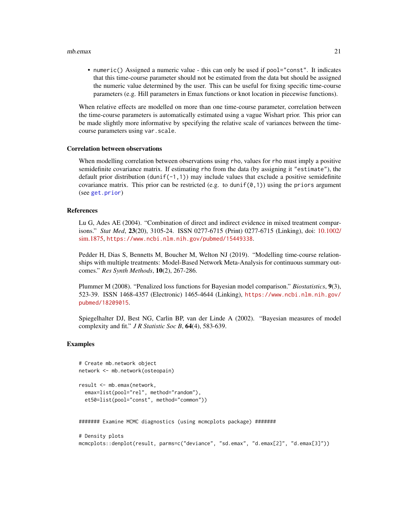#### $mbemax$  21

• numeric() Assigned a numeric value - this can only be used if pool="const". It indicates that this time-course parameter should not be estimated from the data but should be assigned the numeric value determined by the user. This can be useful for fixing specific time-course parameters (e.g. Hill parameters in Emax functions or knot location in piecewise functions).

When relative effects are modelled on more than one time-course parameter, correlation between the time-course parameters is automatically estimated using a vague Wishart prior. This prior can be made slightly more informative by specifying the relative scale of variances between the timecourse parameters using var.scale.

#### Correlation between observations

When modelling correlation between observations using rho, values for rho must imply a positive semidefinite covariance matrix. If estimating rho from the data (by assigning it "estimate"), the default prior distribution (dunif(-1,1)) may include values that exclude a positive semidefinite covariance matrix. This prior can be restricted (e.g. to dunif( $\varnothing$ , 1)) using the priors argument (see [get.prior](#page-11-1))

#### References

Lu G, Ades AE (2004). "Combination of direct and indirect evidence in mixed treatment comparisons." *Stat Med*, 23(20), 3105-24. ISSN 0277-6715 (Print) 0277-6715 (Linking), doi: [10.1002/](https://doi.org/10.1002/sim.1875) [sim.1875,](https://doi.org/10.1002/sim.1875) <https://www.ncbi.nlm.nih.gov/pubmed/15449338>.

Pedder H, Dias S, Bennetts M, Boucher M, Welton NJ (2019). "Modelling time-course relationships with multiple treatments: Model-Based Network Meta-Analysis for continuous summary outcomes." *Res Synth Methods*, 10(2), 267-286.

Plummer M (2008). "Penalized loss functions for Bayesian model comparison." *Biostatistics*, 9(3), 523-39. ISSN 1468-4357 (Electronic) 1465-4644 (Linking), [https://www.ncbi.nlm.nih.gov/](https://www.ncbi.nlm.nih.gov/pubmed/18209015) [pubmed/18209015](https://www.ncbi.nlm.nih.gov/pubmed/18209015).

Spiegelhalter DJ, Best NG, Carlin BP, van der Linde A (2002). "Bayesian measures of model complexity and fit." *J R Statistic Soc B*, 64(4), 583-639.

### Examples

```
# Create mb.network object
network <- mb.network(osteopain)
result <- mb.emax(network,
 emax=list(pool="rel", method="random"),
 et50=list(pool="const", method="common"))
```
####### Examine MCMC diagnostics (using mcmcplots package) #######

# Density plots mcmcplots::denplot(result, parms=c("deviance", "sd.emax", "d.emax[2]", "d.emax[3]"))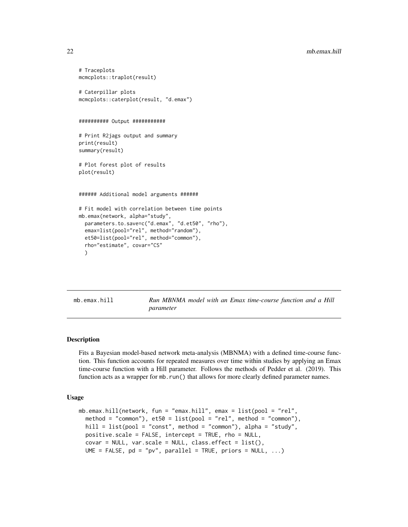```
# Traceplots
mcmcplots::traplot(result)
# Caterpillar plots
mcmcplots::caterplot(result, "d.emax")
########## Output ###########
# Print R2jags output and summary
print(result)
summary(result)
# Plot forest plot of results
plot(result)
###### Additional model arguments ######
# Fit model with correlation between time points
mb.emax(network, alpha="study",
 parameters.to.save=c("d.emax", "d.et50", "rho"),
 emax=list(pool="rel", method="random"),
 et50=list(pool="rel", method="common"),
 rho="estimate", covar="CS"
 )
```
mb.emax.hill *Run MBNMA model with an Emax time-course function and a Hill parameter*

## Description

Fits a Bayesian model-based network meta-analysis (MBNMA) with a defined time-course function. This function accounts for repeated measures over time within studies by applying an Emax time-course function with a Hill parameter. Follows the methods of Pedder et al. (2019). This function acts as a wrapper for mb.run() that allows for more clearly defined parameter names.

#### Usage

```
mb.emax.hill(network, fun = "emax.hill", emax = list(pool = "rel",
 method = "common"), et50 = list(pool = "rel", method = "common"),hill = list(pool = "const", method = "common"), alpha = "study",positive.scale = FALSE, intercept = TRUE, rho = NULL,
  covar = NULL, var.scale = NULL, class.effect = list(),
 UME = FALSE, pd = "pv", parallel = TRUE, priors = NULL, ...
```
<span id="page-21-0"></span>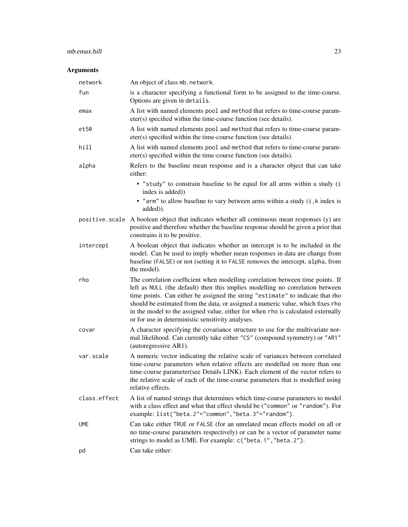## mb.emax.hill 23

## Arguments

| network      | An object of class mb. network.                                                                                                                                                                                                                                                                                                                                                                                                                                               |
|--------------|-------------------------------------------------------------------------------------------------------------------------------------------------------------------------------------------------------------------------------------------------------------------------------------------------------------------------------------------------------------------------------------------------------------------------------------------------------------------------------|
| fun          | is a character specifying a functional form to be assigned to the time-course.<br>Options are given in details.                                                                                                                                                                                                                                                                                                                                                               |
| emax         | A list with named elements pool and method that refers to time-course param-<br>eter(s) specified within the time-course function (see details).                                                                                                                                                                                                                                                                                                                              |
| et50         | A list with named elements pool and method that refers to time-course param-<br>eter(s) specified within the time-course function (see details).                                                                                                                                                                                                                                                                                                                              |
| hill         | A list with named elements pool and method that refers to time-course param-<br>eter(s) specified within the time-course function (see details).                                                                                                                                                                                                                                                                                                                              |
| alpha        | Refers to the baseline mean response and is a character object that can take<br>either:                                                                                                                                                                                                                                                                                                                                                                                       |
|              | • "study" to constrain baseline to be equal for all arms within a study (i<br>index is added))                                                                                                                                                                                                                                                                                                                                                                                |
|              | • "arm" to allow baseline to vary between arms within a study (i, k index is<br>added)).                                                                                                                                                                                                                                                                                                                                                                                      |
|              | positive.scale A boolean object that indicates whether all continuous mean responses (y) are<br>positive and therefore whether the baseline response should be given a prior that<br>constrains it to be positive.                                                                                                                                                                                                                                                            |
| intercept    | A boolean object that indicates whether an intercept is to be included in the<br>model. Can be used to imply whether mean responses in data are change from<br>baseline (FALSE) or not (setting it to FALSE removes the intercept, alpha, from<br>the model).                                                                                                                                                                                                                 |
| rho          | The correlation coefficient when modelling correlation between time points. If<br>left as NULL (the default) then this implies modelling no correlation between<br>time points. Can either be assigned the string "estimate" to indicate that rho<br>should be estimated from the data, or assigned a numeric value, which fixes rho<br>in the model to the assigned value, either for when rho is calculated externally<br>or for use in deterministic sensitivity analyses. |
| covar        | A character specifying the covariance structure to use for the multivariate nor-<br>mal likelihood. Can currently take either "CS" (compound symmetry) or "AR1"<br>(autoregressive AR1).                                                                                                                                                                                                                                                                                      |
| var.scale    | A numeric vector indicating the relative scale of variances between correlated<br>time-course parameters when relative effects are modelled on more than one<br>time-course parameter(see Details LINK). Each element of the vector refers to<br>the relative scale of each of the time-course parameters that is modelled using<br>relative effects.                                                                                                                         |
| class.effect | A list of named strings that determines which time-course parameters to model<br>with a class effect and what that effect should be ("common" or "random"). For<br>example: list("beta.2"="common","beta.3"="random").                                                                                                                                                                                                                                                        |
| <b>UME</b>   | Can take either TRUE or FALSE (for an unrelated mean effects model on all or<br>no time-course parameters respectively) or can be a vector of parameter name<br>strings to model as UME. For example: c("beta.1", "beta.2").                                                                                                                                                                                                                                                  |
| pd           | Can take either:                                                                                                                                                                                                                                                                                                                                                                                                                                                              |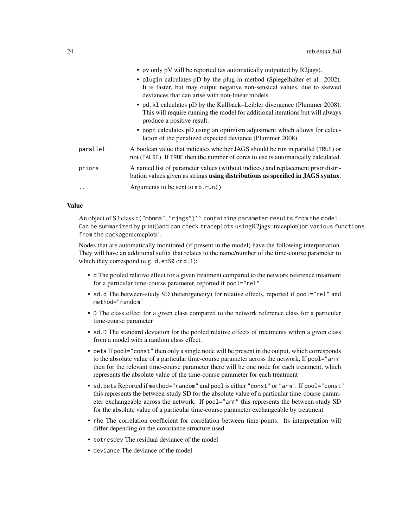|          | • pv only pV will be reported (as automatically outputted by $R2jags$ ).                                                                                                                                  |
|----------|-----------------------------------------------------------------------------------------------------------------------------------------------------------------------------------------------------------|
|          | • plugin calculates pD by the plug-in method (Spiegelhalter et al. 2002).<br>It is faster, but may output negative non-sensical values, due to skewed<br>deviances that can arise with non-linear models. |
|          | • pd. k1 calculates pD by the Kullback–Leibler divergence (Plummer 2008).<br>This will require running the model for additional iterations but will always<br>produce a positive result.                  |
|          | • popt calculates pD using an optimism adjustment which allows for calcu-<br>lation of the penalized expected deviance (Plummer 2008)                                                                     |
| parallel | A boolean value that indicates whether JAGS should be run in parallel (TRUE) or<br>not (FALSE). If TRUE then the number of cores to use is automatically calculated.                                      |
| priors   | A named list of parameter values (without indices) and replacement prior distri-<br>bution values given as strings using distributions as specified in JAGS syntax.                                       |
| .        | Arguments to be sent to mb. run()                                                                                                                                                                         |

#### Value

An object of S3 class c("mbnma", "rjags")`` containing parameter results from the model. Can be summarized by print()and can check traceplots usingR2jags::traceplot()or various functions from the packagemcmcplots'.

Nodes that are automatically monitored (if present in the model) have the following interpretation. They will have an additional suffix that relates to the name/number of the time-course parameter to which they correspond (e.g. d.et50 or d.1):

- d The pooled relative effect for a given treatment compared to the network reference treatment for a particular time-course parameter, reported if pool="rel"
- sd.d The between-study SD (heterogeneity) for relative effects, reported if pool="rel" and method="random"
- D The class effect for a given class compared to the network reference class for a particular time-course parameter
- sd.D The standard deviation for the pooled relative effects of treatments within a given class from a model with a random class effect.
- beta If pool="const" then only a single node will be present in the output, which corresponds to the absolute value of a particular time-course parameter across the network, If pool="arm" then for the relevant time-course parameter there will be one node for each treatment, which represents the absolute value of the time-course parameter for each treatment
- sd.beta Reported if method="random" and pool is either "const" or "arm". If pool="const" this represents the between-study SD for the absolute value of a particular time-course parameter exchangeable across the network. If pool="arm" this represents the between-study SD for the absolute value of a particular time-course parameter exchangeable by treatment
- rho The correlation coefficient for correlation between time-points. Its interpretation will differ depending on the covariance structure used
- totresdev The residual deviance of the model
- deviance The deviance of the model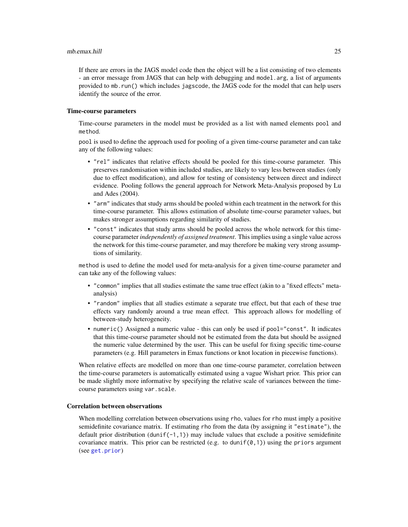If there are errors in the JAGS model code then the object will be a list consisting of two elements - an error message from JAGS that can help with debugging and model.arg, a list of arguments provided to mb.run() which includes jagscode, the JAGS code for the model that can help users identify the source of the error.

#### Time-course parameters

Time-course parameters in the model must be provided as a list with named elements pool and method.

pool is used to define the approach used for pooling of a given time-course parameter and can take any of the following values:

- "rel" indicates that relative effects should be pooled for this time-course parameter. This preserves randomisation within included studies, are likely to vary less between studies (only due to effect modification), and allow for testing of consistency between direct and indirect evidence. Pooling follows the general approach for Network Meta-Analysis proposed by Lu and Ades (2004).
- "arm" indicates that study arms should be pooled within each treatment in the network for this time-course parameter. This allows estimation of absolute time-course parameter values, but makes stronger assumptions regarding similarity of studies.
- "const" indicates that study arms should be pooled across the whole network for this timecourse parameter *independently of assigned treatment*. This implies using a single value across the network for this time-course parameter, and may therefore be making very strong assumptions of similarity.

method is used to define the model used for meta-analysis for a given time-course parameter and can take any of the following values:

- "common" implies that all studies estimate the same true effect (akin to a "fixed effects" metaanalysis)
- "random" implies that all studies estimate a separate true effect, but that each of these true effects vary randomly around a true mean effect. This approach allows for modelling of between-study heterogeneity.
- numeric() Assigned a numeric value this can only be used if pool="const". It indicates that this time-course parameter should not be estimated from the data but should be assigned the numeric value determined by the user. This can be useful for fixing specific time-course parameters (e.g. Hill parameters in Emax functions or knot location in piecewise functions).

When relative effects are modelled on more than one time-course parameter, correlation between the time-course parameters is automatically estimated using a vague Wishart prior. This prior can be made slightly more informative by specifying the relative scale of variances between the timecourse parameters using var.scale.

## Correlation between observations

When modelling correlation between observations using rho, values for rho must imply a positive semidefinite covariance matrix. If estimating rho from the data (by assigning it "estimate"), the default prior distribution (dunif(-1,1)) may include values that exclude a positive semidefinite covariance matrix. This prior can be restricted (e.g. to dunif( $\varnothing$ , 1)) using the priors argument (see [get.prior](#page-11-1))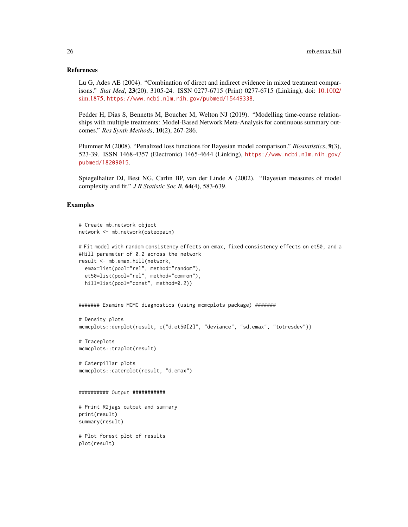#### References

Lu G, Ades AE (2004). "Combination of direct and indirect evidence in mixed treatment comparisons." *Stat Med*, 23(20), 3105-24. ISSN 0277-6715 (Print) 0277-6715 (Linking), doi: [10.1002/](https://doi.org/10.1002/sim.1875) [sim.1875,](https://doi.org/10.1002/sim.1875) <https://www.ncbi.nlm.nih.gov/pubmed/15449338>.

Pedder H, Dias S, Bennetts M, Boucher M, Welton NJ (2019). "Modelling time-course relationships with multiple treatments: Model-Based Network Meta-Analysis for continuous summary outcomes." *Res Synth Methods*, 10(2), 267-286.

Plummer M (2008). "Penalized loss functions for Bayesian model comparison." *Biostatistics*, 9(3), 523-39. ISSN 1468-4357 (Electronic) 1465-4644 (Linking), [https://www.ncbi.nlm.nih.gov/](https://www.ncbi.nlm.nih.gov/pubmed/18209015) [pubmed/18209015](https://www.ncbi.nlm.nih.gov/pubmed/18209015).

Spiegelhalter DJ, Best NG, Carlin BP, van der Linde A (2002). "Bayesian measures of model complexity and fit." *J R Statistic Soc B*, 64(4), 583-639.

## Examples

```
# Create mb.network object
network <- mb.network(osteopain)
```

```
# Fit model with random consistency effects on emax, fixed consistency effects on et50, and a
#Hill parameter of 0.2 across the network
result <- mb.emax.hill(network,
 emax=list(pool="rel", method="random"),
 et50=list(pool="rel", method="common"),
 hill=list(pool="const", method=0.2))
```

```
####### Examine MCMC diagnostics (using mcmcplots package) #######
```

```
# Density plots
mcmcplots::denplot(result, c("d.et50[2]", "deviance", "sd.emax", "totresdev"))
```

```
# Traceplots
mcmcplots::traplot(result)
```

```
# Caterpillar plots
mcmcplots::caterplot(result, "d.emax")
```

```
########## Output ###########
```

```
# Print R2jags output and summary
print(result)
summary(result)
```

```
# Plot forest plot of results
plot(result)
```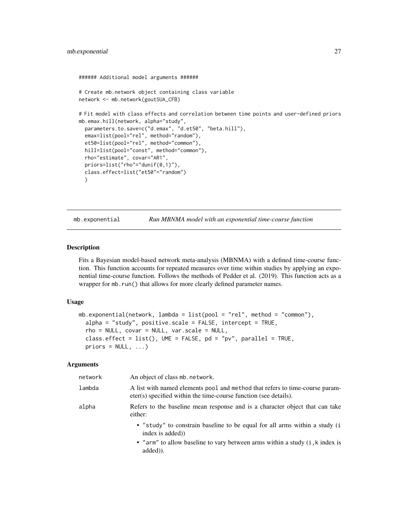```
###### Additional model arguments ######
# Create mb.network object containing class variable
network <- mb.network(goutSUA_CFB)
# Fit model with class effects and correlation between time points and user-defined priors
mb.emax.hill(network, alpha="study",
 parameters.to.save=c("d.emax", "d.et50", "beta.hill"),
 emax=list(pool="rel", method="random"),
 et50=list(pool="rel", method="common"),
 hill=list(pool="const", method="common"),
 rho="estimate", covar="AR1",
 priors=list("rho"="dunif(0,1)"),
 class.effect=list("et50"="random")
 )
```
mb.exponential *Run MBNMA model with an exponential time-course function*

#### Description

Fits a Bayesian model-based network meta-analysis (MBNMA) with a defined time-course function. This function accounts for repeated measures over time within studies by applying an exponential time-course function. Follows the methods of Pedder et al. (2019). This function acts as a wrapper for mb.run() that allows for more clearly defined parameter names.

#### Usage

```
mb.exponential(network, lambda = list(pool = "rel", method = "common"),
  alpha = "study", positive.scale = FALSE, intercept = TRUE,
  rho = NULL, covar = NULL, var.scale = NULL,
  class.effect = list(), UME = FALSE, pd = "pv", parallel = TRUE,
 priors = NULL, ...)
```
## Arguments

| network | An object of class mb. network.                                                                                                                  |
|---------|--------------------------------------------------------------------------------------------------------------------------------------------------|
| lambda  | A list with named elements pool and method that refers to time-course param-<br>eter(s) specified within the time-course function (see details). |
| alpha   | Refers to the baseline mean response and is a character object that can take<br>either:                                                          |
|         | • "study" to constrain baseline to be equal for all arms within a study (i<br>index is added)                                                    |
|         | • "arm" to allow baseline to vary between arms within a study (i, k index is<br>added).                                                          |
|         |                                                                                                                                                  |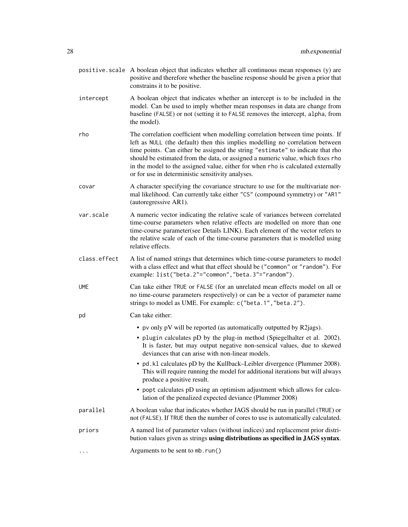- positive. scale A boolean object that indicates whether all continuous mean responses  $(y)$  are positive and therefore whether the baseline response should be given a prior that constrains it to be positive.
- intercept A boolean object that indicates whether an intercept is to be included in the model. Can be used to imply whether mean responses in data are change from baseline (FALSE) or not (setting it to FALSE removes the intercept, alpha, from the model).
- rho The correlation coefficient when modelling correlation between time points. If left as NULL (the default) then this implies modelling no correlation between time points. Can either be assigned the string "estimate" to indicate that rho should be estimated from the data, or assigned a numeric value, which fixes rho in the model to the assigned value, either for when rho is calculated externally or for use in deterministic sensitivity analyses.
- covar A character specifying the covariance structure to use for the multivariate normal likelihood. Can currently take either "CS" (compound symmetry) or "AR1" (autoregressive AR1).
- var.scale A numeric vector indicating the relative scale of variances between correlated time-course parameters when relative effects are modelled on more than one time-course parameter(see Details LINK). Each element of the vector refers to the relative scale of each of the time-course parameters that is modelled using relative effects.
- class.effect A list of named strings that determines which time-course parameters to model with a class effect and what that effect should be ("common" or "random"). For example: list("beta.2"="common","beta.3"="random").
- UME Can take either TRUE or FALSE (for an unrelated mean effects model on all or no time-course parameters respectively) or can be a vector of parameter name strings to model as UME. For example: c("beta.1","beta.2").

## pd Can take either:

- pv only pV will be reported (as automatically outputted by R2jags).
- plugin calculates pD by the plug-in method (Spiegelhalter et al. 2002). It is faster, but may output negative non-sensical values, due to skewed deviances that can arise with non-linear models.
- pd.kl calculates pD by the Kullback–Leibler divergence (Plummer 2008). This will require running the model for additional iterations but will always produce a positive result.
- popt calculates pD using an optimism adjustment which allows for calculation of the penalized expected deviance (Plummer 2008)
- parallel A boolean value that indicates whether JAGS should be run in parallel (TRUE) or not (FALSE). If TRUE then the number of cores to use is automatically calculated.
- priors A named list of parameter values (without indices) and replacement prior distribution values given as strings using distributions as specified in JAGS syntax.
- ... **Arguments to be sent to mb.run()**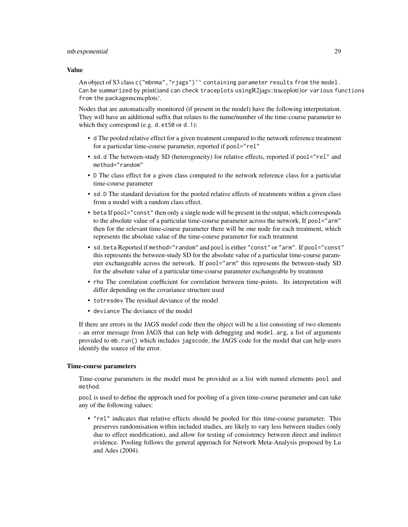#### mb.exponential 29

#### Value

An object of S3 class c("mbnma", "riags")`` containing parameter results from the model. Can be summarized by print()and can check traceplots usingR2jags::traceplot()or various functions from the packagemcmcplots'.

Nodes that are automatically monitored (if present in the model) have the following interpretation. They will have an additional suffix that relates to the name/number of the time-course parameter to which they correspond (e.g. d.et50 or d.1):

- d The pooled relative effect for a given treatment compared to the network reference treatment for a particular time-course parameter, reported if pool="rel"
- sd.d The between-study SD (heterogeneity) for relative effects, reported if pool="rel" and method="random"
- D The class effect for a given class compared to the network reference class for a particular time-course parameter
- sd.D The standard deviation for the pooled relative effects of treatments within a given class from a model with a random class effect.
- beta If pool="const" then only a single node will be present in the output, which corresponds to the absolute value of a particular time-course parameter across the network, If pool="arm" then for the relevant time-course parameter there will be one node for each treatment, which represents the absolute value of the time-course parameter for each treatment
- sd.beta Reported if method="random" and pool is either "const" or "arm". If pool="const" this represents the between-study SD for the absolute value of a particular time-course parameter exchangeable across the network. If pool="arm" this represents the between-study SD for the absolute value of a particular time-course parameter exchangeable by treatment
- rho The correlation coefficient for correlation between time-points. Its interpretation will differ depending on the covariance structure used
- totresdev The residual deviance of the model
- deviance The deviance of the model

If there are errors in the JAGS model code then the object will be a list consisting of two elements - an error message from JAGS that can help with debugging and model.arg, a list of arguments provided to mb.run() which includes jagscode, the JAGS code for the model that can help users identify the source of the error.

#### Time-course parameters

Time-course parameters in the model must be provided as a list with named elements pool and method.

pool is used to define the approach used for pooling of a given time-course parameter and can take any of the following values:

• "rel" indicates that relative effects should be pooled for this time-course parameter. This preserves randomisation within included studies, are likely to vary less between studies (only due to effect modification), and allow for testing of consistency between direct and indirect evidence. Pooling follows the general approach for Network Meta-Analysis proposed by Lu and Ades (2004).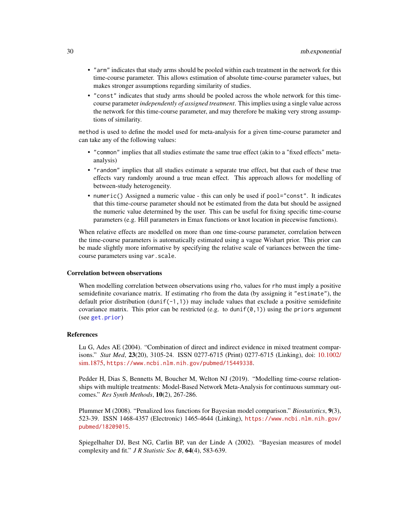- "arm" indicates that study arms should be pooled within each treatment in the network for this time-course parameter. This allows estimation of absolute time-course parameter values, but makes stronger assumptions regarding similarity of studies.
- "const" indicates that study arms should be pooled across the whole network for this timecourse parameter *independently of assigned treatment*. This implies using a single value across the network for this time-course parameter, and may therefore be making very strong assumptions of similarity.

method is used to define the model used for meta-analysis for a given time-course parameter and can take any of the following values:

- "common" implies that all studies estimate the same true effect (akin to a "fixed effects" metaanalysis)
- "random" implies that all studies estimate a separate true effect, but that each of these true effects vary randomly around a true mean effect. This approach allows for modelling of between-study heterogeneity.
- numeric() Assigned a numeric value this can only be used if pool="const". It indicates that this time-course parameter should not be estimated from the data but should be assigned the numeric value determined by the user. This can be useful for fixing specific time-course parameters (e.g. Hill parameters in Emax functions or knot location in piecewise functions).

When relative effects are modelled on more than one time-course parameter, correlation between the time-course parameters is automatically estimated using a vague Wishart prior. This prior can be made slightly more informative by specifying the relative scale of variances between the timecourse parameters using var.scale.

#### Correlation between observations

When modelling correlation between observations using rho, values for rho must imply a positive semidefinite covariance matrix. If estimating rho from the data (by assigning it "estimate"), the default prior distribution (dunif( $-1,1$ )) may include values that exclude a positive semidefinite covariance matrix. This prior can be restricted (e.g. to dunif( $\varnothing$ , 1)) using the priors argument (see [get.prior](#page-11-1))

#### References

Lu G, Ades AE (2004). "Combination of direct and indirect evidence in mixed treatment comparisons." *Stat Med*, 23(20), 3105-24. ISSN 0277-6715 (Print) 0277-6715 (Linking), doi: [10.1002/](https://doi.org/10.1002/sim.1875) [sim.1875,](https://doi.org/10.1002/sim.1875) <https://www.ncbi.nlm.nih.gov/pubmed/15449338>.

Pedder H, Dias S, Bennetts M, Boucher M, Welton NJ (2019). "Modelling time-course relationships with multiple treatments: Model-Based Network Meta-Analysis for continuous summary outcomes." *Res Synth Methods*, 10(2), 267-286.

Plummer M (2008). "Penalized loss functions for Bayesian model comparison." *Biostatistics*, 9(3), 523-39. ISSN 1468-4357 (Electronic) 1465-4644 (Linking), [https://www.ncbi.nlm.nih.gov/](https://www.ncbi.nlm.nih.gov/pubmed/18209015) [pubmed/18209015](https://www.ncbi.nlm.nih.gov/pubmed/18209015).

Spiegelhalter DJ, Best NG, Carlin BP, van der Linde A (2002). "Bayesian measures of model complexity and fit." *J R Statistic Soc B*, 64(4), 583-639.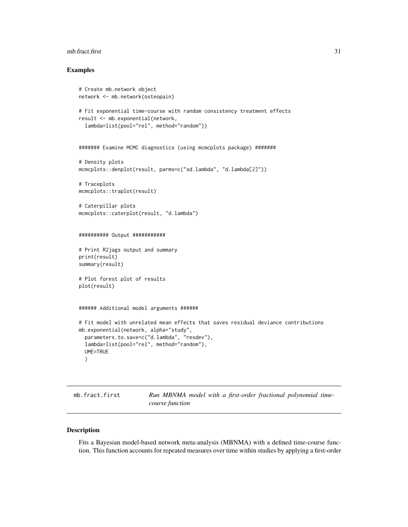#### <span id="page-30-0"></span>mb.fract.first 31

#### Examples

```
# Create mb.network object
network <- mb.network(osteopain)
# Fit exponential time-course with random consistency treatment effects
result <- mb.exponential(network,
  lambda=list(pool="rel", method="random"))
####### Examine MCMC diagnostics (using mcmcplots package) #######
# Density plots
mcmcplots::denplot(result, parms=c("sd.lambda", "d.lambda[2]"))
# Traceplots
mcmcplots::traplot(result)
# Caterpillar plots
mcmcplots::caterplot(result, "d.lambda")
########## Output ###########
# Print R2jags output and summary
print(result)
summary(result)
# Plot forest plot of results
plot(result)
###### Additional model arguments ######
# Fit model with unrelated mean effects that saves residual deviance contributions
mb.exponential(network, alpha="study",
  parameters.to.save=c("d.lambda", "resdev"),
  lambda=list(pool="rel", method="random"),
  UME=TRUE
  )
```
mb.fract.first **Run MBNMA** model with a first-order fractional polynomial time*course function*

#### Description

Fits a Bayesian model-based network meta-analysis (MBNMA) with a defined time-course function. This function accounts for repeated measures over time within studies by applying a first-order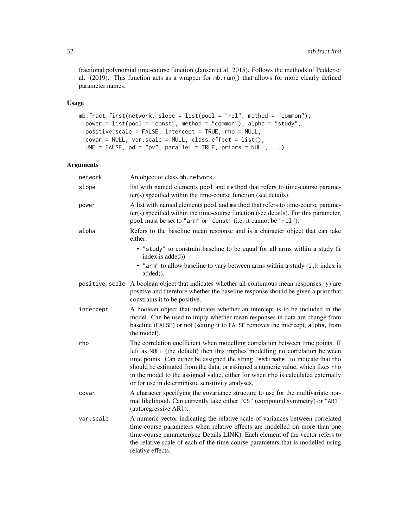fractional polynomial time-course function (Jansen et al. 2015). Follows the methods of Pedder et al. (2019). This function acts as a wrapper for mb.run() that allows for more clearly defined parameter names.

## Usage

```
mb.fract.first(network, slope = list(pool = "rel", method = "common"),
 power = list(pool = "const", method = "common"), alpha = "study",
 positive.scale = FALSE, intercept = TRUE, rho = NULL,
 covar = NULL, var.scale = NULL, class.effect = list(),
 UME = FALSE, pd = "pv", parallel = TRUE, priors = NULL, ...)
```
## Arguments

| network   | An object of class mb. network.                                                                                                                                                                                                                                                                                                                                                                                                                                               |
|-----------|-------------------------------------------------------------------------------------------------------------------------------------------------------------------------------------------------------------------------------------------------------------------------------------------------------------------------------------------------------------------------------------------------------------------------------------------------------------------------------|
| slope     | list with named elements pool and method that refers to time-course parame-<br>ter(s) specified within the time-course function (see details).                                                                                                                                                                                                                                                                                                                                |
| power     | A list with named elements pool and method that refers to time-course parame-<br>ter(s) specified within the time-course function (see details). For this parameter,<br>pool must be set to "arm" or "const" (i.e. it cannot be "rel").                                                                                                                                                                                                                                       |
| alpha     | Refers to the baseline mean response and is a character object that can take<br>either:                                                                                                                                                                                                                                                                                                                                                                                       |
|           | • "study" to constrain baseline to be equal for all arms within a study (i<br>index is added))                                                                                                                                                                                                                                                                                                                                                                                |
|           | • "arm" to allow baseline to vary between arms within a study (i, k index is<br>added)).                                                                                                                                                                                                                                                                                                                                                                                      |
|           | positive scale A boolean object that indicates whether all continuous mean responses (y) are<br>positive and therefore whether the baseline response should be given a prior that<br>constrains it to be positive.                                                                                                                                                                                                                                                            |
| intercept | A boolean object that indicates whether an intercept is to be included in the<br>model. Can be used to imply whether mean responses in data are change from<br>baseline (FALSE) or not (setting it to FALSE removes the intercept, alpha, from<br>the model).                                                                                                                                                                                                                 |
| rho       | The correlation coefficient when modelling correlation between time points. If<br>left as NULL (the default) then this implies modelling no correlation between<br>time points. Can either be assigned the string "estimate" to indicate that rho<br>should be estimated from the data, or assigned a numeric value, which fixes rho<br>in the model to the assigned value, either for when rho is calculated externally<br>or for use in deterministic sensitivity analyses. |
| covar     | A character specifying the covariance structure to use for the multivariate nor-<br>mal likelihood. Can currently take either "CS" (compound symmetry) or "AR1"<br>(autoregressive AR1).                                                                                                                                                                                                                                                                                      |
| var.scale | A numeric vector indicating the relative scale of variances between correlated<br>time-course parameters when relative effects are modelled on more than one<br>time-course parameter(see Details LINK). Each element of the vector refers to<br>the relative scale of each of the time-course parameters that is modelled using<br>relative effects.                                                                                                                         |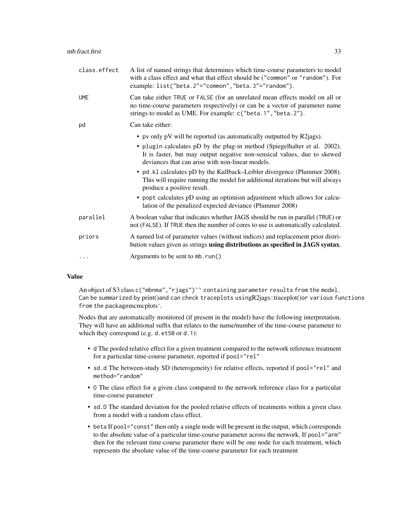| class.effect | A list of named strings that determines which time-course parameters to model<br>with a class effect and what that effect should be ("common" or "random"). For<br>example: list("beta.2"="common","beta.3"="random").       |
|--------------|------------------------------------------------------------------------------------------------------------------------------------------------------------------------------------------------------------------------------|
| <b>UME</b>   | Can take either TRUE or FALSE (for an unrelated mean effects model on all or<br>no time-course parameters respectively) or can be a vector of parameter name<br>strings to model as UME. For example: c("beta.1", "beta.2"). |
| pd           | Can take either:                                                                                                                                                                                                             |
|              | • pv only pV will be reported (as automatically outputted by R2jags).                                                                                                                                                        |
|              | • plugin calculates pD by the plug-in method (Spiegelhalter et al. 2002).<br>It is faster, but may output negative non-sensical values, due to skewed<br>deviances that can arise with non-linear models.                    |
|              | • pd. k1 calculates pD by the Kullback–Leibler divergence (Plummer 2008).<br>This will require running the model for additional iterations but will always<br>produce a positive result.                                     |
|              | • popt calculates pD using an optimism adjustment which allows for calcu-<br>lation of the penalized expected deviance (Plummer 2008)                                                                                        |
| parallel     | A boolean value that indicates whether JAGS should be run in parallel (TRUE) or<br>not (FALSE). If TRUE then the number of cores to use is automatically calculated.                                                         |
| priors       | A named list of parameter values (without indices) and replacement prior distri-<br>bution values given as strings using distributions as specified in JAGS syntax.                                                          |
| .            | Arguments to be sent to mb. run()                                                                                                                                                                                            |

#### Value

An object of S3 class c("mbnma", "rjags")' containing parameter results from the model. Can be summarized by print()and can check traceplots usingR2jags::traceplot()or various functions from the packagemcmcplots'.

Nodes that are automatically monitored (if present in the model) have the following interpretation. They will have an additional suffix that relates to the name/number of the time-course parameter to which they correspond (e.g. d.et50 or d.1):

- d The pooled relative effect for a given treatment compared to the network reference treatment for a particular time-course parameter, reported if pool="rel"
- sd.d The between-study SD (heterogeneity) for relative effects, reported if pool="rel" and method="random"
- D The class effect for a given class compared to the network reference class for a particular time-course parameter
- sd.D The standard deviation for the pooled relative effects of treatments within a given class from a model with a random class effect.
- beta If pool="const" then only a single node will be present in the output, which corresponds to the absolute value of a particular time-course parameter across the network, If pool="arm" then for the relevant time-course parameter there will be one node for each treatment, which represents the absolute value of the time-course parameter for each treatment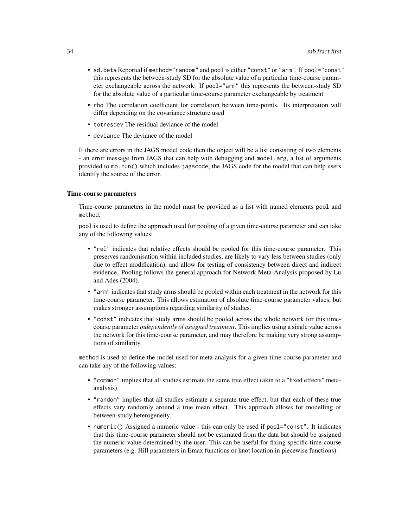- sd.beta Reported if method="random" and pool is either "const" or "arm". If pool="const" this represents the between-study SD for the absolute value of a particular time-course parameter exchangeable across the network. If pool="arm" this represents the between-study SD for the absolute value of a particular time-course parameter exchangeable by treatment
- rho The correlation coefficient for correlation between time-points. Its interpretation will differ depending on the covariance structure used
- totresdev The residual deviance of the model
- deviance The deviance of the model

If there are errors in the JAGS model code then the object will be a list consisting of two elements - an error message from JAGS that can help with debugging and model.arg, a list of arguments provided to mb.run() which includes jagscode, the JAGS code for the model that can help users identify the source of the error.

#### Time-course parameters

Time-course parameters in the model must be provided as a list with named elements pool and method.

pool is used to define the approach used for pooling of a given time-course parameter and can take any of the following values:

- "rel" indicates that relative effects should be pooled for this time-course parameter. This preserves randomisation within included studies, are likely to vary less between studies (only due to effect modification), and allow for testing of consistency between direct and indirect evidence. Pooling follows the general approach for Network Meta-Analysis proposed by Lu and Ades (2004).
- "arm" indicates that study arms should be pooled within each treatment in the network for this time-course parameter. This allows estimation of absolute time-course parameter values, but makes stronger assumptions regarding similarity of studies.
- "const" indicates that study arms should be pooled across the whole network for this timecourse parameter *independently of assigned treatment*. This implies using a single value across the network for this time-course parameter, and may therefore be making very strong assumptions of similarity.

method is used to define the model used for meta-analysis for a given time-course parameter and can take any of the following values:

- "common" implies that all studies estimate the same true effect (akin to a "fixed effects" metaanalysis)
- "random" implies that all studies estimate a separate true effect, but that each of these true effects vary randomly around a true mean effect. This approach allows for modelling of between-study heterogeneity.
- numeric() Assigned a numeric value this can only be used if pool="const". It indicates that this time-course parameter should not be estimated from the data but should be assigned the numeric value determined by the user. This can be useful for fixing specific time-course parameters (e.g. Hill parameters in Emax functions or knot location in piecewise functions).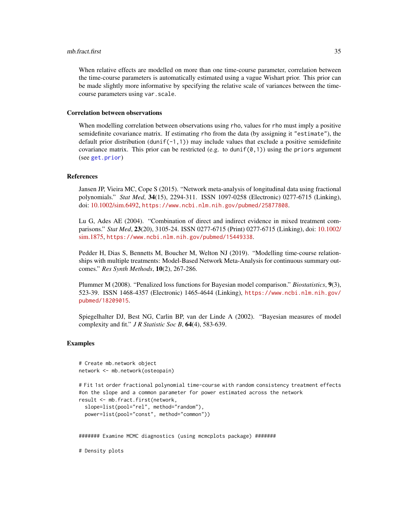#### mb.fract.first 35

When relative effects are modelled on more than one time-course parameter, correlation between the time-course parameters is automatically estimated using a vague Wishart prior. This prior can be made slightly more informative by specifying the relative scale of variances between the timecourse parameters using var.scale.

#### Correlation between observations

When modelling correlation between observations using rho, values for rho must imply a positive semidefinite covariance matrix. If estimating rho from the data (by assigning it "estimate"), the default prior distribution (dunif( $-1,1$ )) may include values that exclude a positive semidefinite covariance matrix. This prior can be restricted (e.g. to dunif( $\varnothing$ , 1)) using the priors argument (see [get.prior](#page-11-1))

## References

Jansen JP, Vieira MC, Cope S (2015). "Network meta-analysis of longitudinal data using fractional polynomials." *Stat Med*, 34(15), 2294-311. ISSN 1097-0258 (Electronic) 0277-6715 (Linking), doi: [10.1002/sim.6492,](https://doi.org/10.1002/sim.6492) <https://www.ncbi.nlm.nih.gov/pubmed/25877808>.

Lu G, Ades AE (2004). "Combination of direct and indirect evidence in mixed treatment comparisons." *Stat Med*, 23(20), 3105-24. ISSN 0277-6715 (Print) 0277-6715 (Linking), doi: [10.1002/](https://doi.org/10.1002/sim.1875) [sim.1875,](https://doi.org/10.1002/sim.1875) <https://www.ncbi.nlm.nih.gov/pubmed/15449338>.

Pedder H, Dias S, Bennetts M, Boucher M, Welton NJ (2019). "Modelling time-course relationships with multiple treatments: Model-Based Network Meta-Analysis for continuous summary outcomes." *Res Synth Methods*, 10(2), 267-286.

Plummer M (2008). "Penalized loss functions for Bayesian model comparison." *Biostatistics*, 9(3), 523-39. ISSN 1468-4357 (Electronic) 1465-4644 (Linking), [https://www.ncbi.nlm.nih.gov/](https://www.ncbi.nlm.nih.gov/pubmed/18209015) [pubmed/18209015](https://www.ncbi.nlm.nih.gov/pubmed/18209015).

Spiegelhalter DJ, Best NG, Carlin BP, van der Linde A (2002). "Bayesian measures of model complexity and fit." *J R Statistic Soc B*, 64(4), 583-639.

### Examples

```
# Create mb.network object
network <- mb.network(osteopain)
# Fit 1st order fractional polynomial time-course with random consistency treatment effects
#on the slope and a common parameter for power estimated across the network
result <- mb.fract.first(network,
 slope=list(pool="rel", method="random"),
 power=list(pool="const", method="common"))
####### Examine MCMC diagnostics (using mcmcplots package) #######
```
# Density plots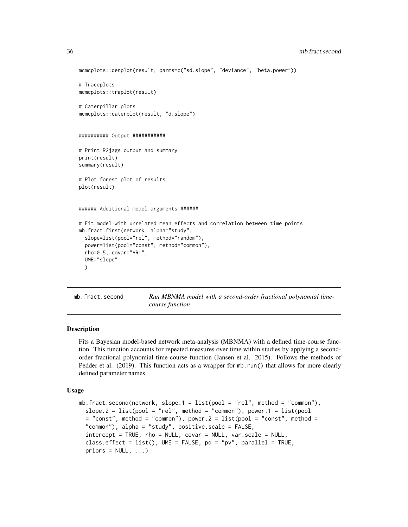```
mcmcplots::denplot(result, parms=c("sd.slope", "deviance", "beta.power"))
# Traceplots
mcmcplots::traplot(result)
# Caterpillar plots
mcmcplots::caterplot(result, "d.slope")
########## Output ###########
# Print R2jags output and summary
print(result)
summary(result)
# Plot forest plot of results
plot(result)
###### Additional model arguments ######
# Fit model with unrelated mean effects and correlation between time points
mb.fract.first(network, alpha="study",
 slope=list(pool="rel", method="random"),
 power=list(pool="const", method="common"),
 rho=0.5, covar="AR1",
 UME="slope"
 )
```
mb.fract.second **Run MBNMA** model with a second-order fractional polynomial time*course function*

## Description

Fits a Bayesian model-based network meta-analysis (MBNMA) with a defined time-course function. This function accounts for repeated measures over time within studies by applying a secondorder fractional polynomial time-course function (Jansen et al. 2015). Follows the methods of Pedder et al. (2019). This function acts as a wrapper for mb.run() that allows for more clearly defined parameter names.

#### Usage

```
mb.fract.second(network, slope.1 = list(pool = "rel", method = "common"),
  slope.2 = list(pool = "rel", method = "common"), power.1 = list(pool
  = "const", method = "common"), power.2 = list(pool = "const", method =
  "common"), alpha = "study", positive.scale = FALSE,
  intercept = TRUE, rho = NULL, covar = NULL, var.scale = NULL,
  class.effect = list(), UME = FALSE, pd = "pv", parallel = TRUE,
 priors = NULL, ...)
```
<span id="page-35-0"></span>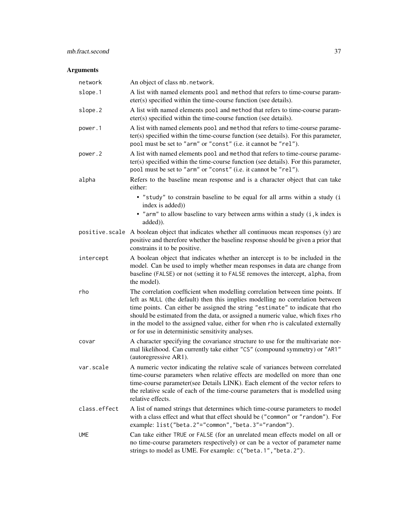# mb.fract.second 37

| network        | An object of class mb. network.                                                                                                                                                                                                                                                                                                                                                                                                                                               |
|----------------|-------------------------------------------------------------------------------------------------------------------------------------------------------------------------------------------------------------------------------------------------------------------------------------------------------------------------------------------------------------------------------------------------------------------------------------------------------------------------------|
| slope.1        | A list with named elements pool and method that refers to time-course param-<br>eter(s) specified within the time-course function (see details).                                                                                                                                                                                                                                                                                                                              |
| slope.2        | A list with named elements pool and method that refers to time-course param-<br>eter(s) specified within the time-course function (see details).                                                                                                                                                                                                                                                                                                                              |
| power.1        | A list with named elements pool and method that refers to time-course parame-<br>ter(s) specified within the time-course function (see details). For this parameter,<br>pool must be set to "arm" or "const" (i.e. it cannot be "rel").                                                                                                                                                                                                                                       |
| power.2        | A list with named elements pool and method that refers to time-course parame-<br>ter(s) specified within the time-course function (see details). For this parameter,<br>pool must be set to "arm" or "const" (i.e. it cannot be "rel").                                                                                                                                                                                                                                       |
| alpha          | Refers to the baseline mean response and is a character object that can take<br>either:                                                                                                                                                                                                                                                                                                                                                                                       |
|                | • "study" to constrain baseline to be equal for all arms within a study (i<br>index is added))                                                                                                                                                                                                                                                                                                                                                                                |
|                | • "arm" to allow baseline to vary between arms within a study (i, k index is<br>added)).                                                                                                                                                                                                                                                                                                                                                                                      |
| positive.scale | A boolean object that indicates whether all continuous mean responses (y) are<br>positive and therefore whether the baseline response should be given a prior that<br>constrains it to be positive.                                                                                                                                                                                                                                                                           |
| intercept      | A boolean object that indicates whether an intercept is to be included in the<br>model. Can be used to imply whether mean responses in data are change from<br>baseline (FALSE) or not (setting it to FALSE removes the intercept, alpha, from<br>the model).                                                                                                                                                                                                                 |
| rho            | The correlation coefficient when modelling correlation between time points. If<br>left as NULL (the default) then this implies modelling no correlation between<br>time points. Can either be assigned the string "estimate" to indicate that rho<br>should be estimated from the data, or assigned a numeric value, which fixes rho<br>in the model to the assigned value, either for when rho is calculated externally<br>or for use in deterministic sensitivity analyses. |
| covar          | A character specifying the covariance structure to use for the multivariate nor-<br>mal likelihood. Can currently take either "CS" (compound symmetry) or "AR1"<br>(autoregressive AR1).                                                                                                                                                                                                                                                                                      |
| var.scale      | A numeric vector indicating the relative scale of variances between correlated<br>time-course parameters when relative effects are modelled on more than one<br>time-course parameter(see Details LINK). Each element of the vector refers to<br>the relative scale of each of the time-course parameters that is modelled using<br>relative effects.                                                                                                                         |
| class.effect   | A list of named strings that determines which time-course parameters to model<br>with a class effect and what that effect should be ("common" or "random"). For<br>example: list("beta.2"="common","beta.3"="random").                                                                                                                                                                                                                                                        |
| <b>UME</b>     | Can take either TRUE or FALSE (for an unrelated mean effects model on all or<br>no time-course parameters respectively) or can be a vector of parameter name<br>strings to model as UME. For example: c("beta.1", "beta.2").                                                                                                                                                                                                                                                  |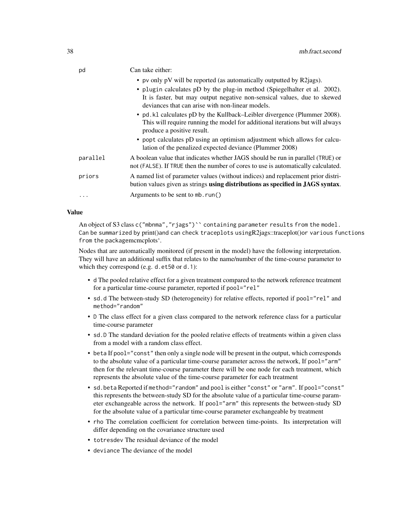| pd       | Can take either:                                                                                                                                                                         |
|----------|------------------------------------------------------------------------------------------------------------------------------------------------------------------------------------------|
|          | • pv only pV will be reported (as automatically outputted by R2 jags).                                                                                                                   |
|          | • plugin calculates pD by the plug-in method (Spiegelhalter et al. 2002).                                                                                                                |
|          | It is faster, but may output negative non-sensical values, due to skewed<br>deviances that can arise with non-linear models.                                                             |
|          | • pd. k1 calculates pD by the Kullback–Leibler divergence (Plummer 2008).<br>This will require running the model for additional iterations but will always<br>produce a positive result. |
|          | • popt calculates pD using an optimism adjustment which allows for calcu-<br>lation of the penalized expected deviance (Plummer 2008)                                                    |
| parallel | A boolean value that indicates whether JAGS should be run in parallel (TRUE) or<br>not (FALSE). If TRUE then the number of cores to use is automatically calculated.                     |
| priors   | A named list of parameter values (without indices) and replacement prior distri-<br>bution values given as strings using distributions as specified in JAGS syntax.                      |
|          | Arguments to be sent to mb. run()                                                                                                                                                        |

# Value

An object of S3 class c("mbnma", "rjags")`` containing parameter results from the model. Can be summarized by print()and can check traceplots usingR2jags::traceplot()or various functions from the packagemcmcplots'.

Nodes that are automatically monitored (if present in the model) have the following interpretation. They will have an additional suffix that relates to the name/number of the time-course parameter to which they correspond (e.g. d.et50 or d.1):

- d The pooled relative effect for a given treatment compared to the network reference treatment for a particular time-course parameter, reported if pool="rel"
- sd.d The between-study SD (heterogeneity) for relative effects, reported if pool="rel" and method="random"
- D The class effect for a given class compared to the network reference class for a particular time-course parameter
- sd.D The standard deviation for the pooled relative effects of treatments within a given class from a model with a random class effect.
- beta If pool="const" then only a single node will be present in the output, which corresponds to the absolute value of a particular time-course parameter across the network, If pool="arm" then for the relevant time-course parameter there will be one node for each treatment, which represents the absolute value of the time-course parameter for each treatment
- sd.beta Reported if method="random" and pool is either "const" or "arm". If pool="const" this represents the between-study SD for the absolute value of a particular time-course parameter exchangeable across the network. If pool="arm" this represents the between-study SD for the absolute value of a particular time-course parameter exchangeable by treatment
- rho The correlation coefficient for correlation between time-points. Its interpretation will differ depending on the covariance structure used
- totresdev The residual deviance of the model
- deviance The deviance of the model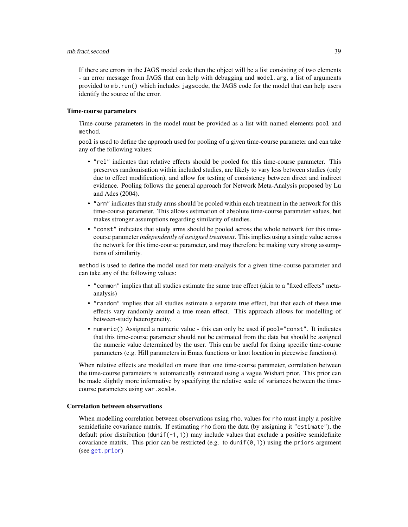#### mb.fract.second 39

If there are errors in the JAGS model code then the object will be a list consisting of two elements - an error message from JAGS that can help with debugging and model.arg, a list of arguments provided to mb.run() which includes jagscode, the JAGS code for the model that can help users identify the source of the error.

## Time-course parameters

Time-course parameters in the model must be provided as a list with named elements pool and method.

pool is used to define the approach used for pooling of a given time-course parameter and can take any of the following values:

- "rel" indicates that relative effects should be pooled for this time-course parameter. This preserves randomisation within included studies, are likely to vary less between studies (only due to effect modification), and allow for testing of consistency between direct and indirect evidence. Pooling follows the general approach for Network Meta-Analysis proposed by Lu and Ades (2004).
- "arm" indicates that study arms should be pooled within each treatment in the network for this time-course parameter. This allows estimation of absolute time-course parameter values, but makes stronger assumptions regarding similarity of studies.
- "const" indicates that study arms should be pooled across the whole network for this timecourse parameter *independently of assigned treatment*. This implies using a single value across the network for this time-course parameter, and may therefore be making very strong assumptions of similarity.

method is used to define the model used for meta-analysis for a given time-course parameter and can take any of the following values:

- "common" implies that all studies estimate the same true effect (akin to a "fixed effects" metaanalysis)
- "random" implies that all studies estimate a separate true effect, but that each of these true effects vary randomly around a true mean effect. This approach allows for modelling of between-study heterogeneity.
- numeric() Assigned a numeric value this can only be used if pool="const". It indicates that this time-course parameter should not be estimated from the data but should be assigned the numeric value determined by the user. This can be useful for fixing specific time-course parameters (e.g. Hill parameters in Emax functions or knot location in piecewise functions).

When relative effects are modelled on more than one time-course parameter, correlation between the time-course parameters is automatically estimated using a vague Wishart prior. This prior can be made slightly more informative by specifying the relative scale of variances between the timecourse parameters using var.scale.

# Correlation between observations

When modelling correlation between observations using rho, values for rho must imply a positive semidefinite covariance matrix. If estimating rho from the data (by assigning it "estimate"), the default prior distribution (dunif(-1,1)) may include values that exclude a positive semidefinite covariance matrix. This prior can be restricted (e.g. to dunif( $\varnothing$ , 1)) using the priors argument (see [get.prior](#page-11-0))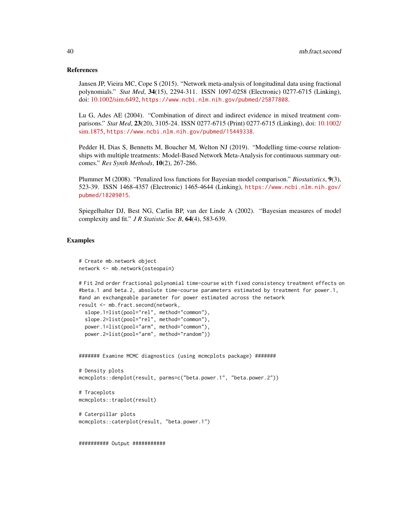#### References

Jansen JP, Vieira MC, Cope S (2015). "Network meta-analysis of longitudinal data using fractional polynomials." *Stat Med*, 34(15), 2294-311. ISSN 1097-0258 (Electronic) 0277-6715 (Linking), doi: [10.1002/sim.6492,](https://doi.org/10.1002/sim.6492) <https://www.ncbi.nlm.nih.gov/pubmed/25877808>.

Lu G, Ades AE (2004). "Combination of direct and indirect evidence in mixed treatment comparisons." *Stat Med*, 23(20), 3105-24. ISSN 0277-6715 (Print) 0277-6715 (Linking), doi: [10.1002/](https://doi.org/10.1002/sim.1875) [sim.1875,](https://doi.org/10.1002/sim.1875) <https://www.ncbi.nlm.nih.gov/pubmed/15449338>.

Pedder H, Dias S, Bennetts M, Boucher M, Welton NJ (2019). "Modelling time-course relationships with multiple treatments: Model-Based Network Meta-Analysis for continuous summary outcomes." *Res Synth Methods*, 10(2), 267-286.

Plummer M (2008). "Penalized loss functions for Bayesian model comparison." *Biostatistics*, 9(3), 523-39. ISSN 1468-4357 (Electronic) 1465-4644 (Linking), [https://www.ncbi.nlm.nih.gov/](https://www.ncbi.nlm.nih.gov/pubmed/18209015) [pubmed/18209015](https://www.ncbi.nlm.nih.gov/pubmed/18209015).

Spiegelhalter DJ, Best NG, Carlin BP, van der Linde A (2002). "Bayesian measures of model complexity and fit." *J R Statistic Soc B*, 64(4), 583-639.

## Examples

```
# Create mb.network object
network <- mb.network(osteopain)
# Fit 2nd order fractional polynomial time-course with fixed consistency treatment effects on
#beta.1 and beta.2, absolute time-course parameters estimated by treatment for power.1,
#and an exchangeable parameter for power estimated across the network
result <- mb.fract.second(network,
 slope.1=list(pool="rel", method="common"),
 slope.2=list(pool="rel", method="common"),
 power.1=list(pool="arm", method="common"),
 power.2=list(pool="arm", method="random"))
####### Examine MCMC diagnostics (using mcmcplots package) #######
# Density plots
mcmcplots::denplot(result, parms=c("beta.power.1", "beta.power.2"))
# Traceplots
mcmcplots::traplot(result)
# Caterpillar plots
mcmcplots::caterplot(result, "beta.power.1")
########## Output ###########
```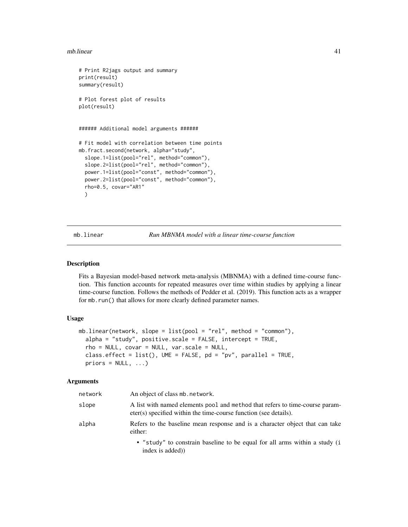#### mb.linear 41

```
# Print R2jags output and summary
print(result)
summary(result)
# Plot forest plot of results
plot(result)
###### Additional model arguments ######
# Fit model with correlation between time points
mb.fract.second(network, alpha="study",
  slope.1=list(pool="rel", method="common"),
  slope.2=list(pool="rel", method="common"),
 power.1=list(pool="const", method="common"),
 power.2=list(pool="const", method="common"),
 rho=0.5, covar="AR1"
 )
```
mb.linear *Run MBNMA model with a linear time-course function*

# Description

Fits a Bayesian model-based network meta-analysis (MBNMA) with a defined time-course function. This function accounts for repeated measures over time within studies by applying a linear time-course function. Follows the methods of Pedder et al. (2019). This function acts as a wrapper for mb.run() that allows for more clearly defined parameter names.

## Usage

```
mb.linear(network, slope = list(pool = "rel", method = "common"),
  alpha = "study", positive.scale = FALSE, intercept = TRUE,
  rho = NULL, covar = NULL, var.scale = NULL,
  class.effect = list(), UME = FALSE, pd = "pv", parallel = TRUE,priors = NULL, ...)
```

| network | An object of class mb. network.                                                                                                                  |
|---------|--------------------------------------------------------------------------------------------------------------------------------------------------|
| slope   | A list with named elements pool and method that refers to time-course param-<br>eter(s) specified within the time-course function (see details). |
| alpha   | Refers to the baseline mean response and is a character object that can take<br>either:                                                          |
|         | • "study" to constrain baseline to be equal for all arms within a study (i<br>index is added)                                                    |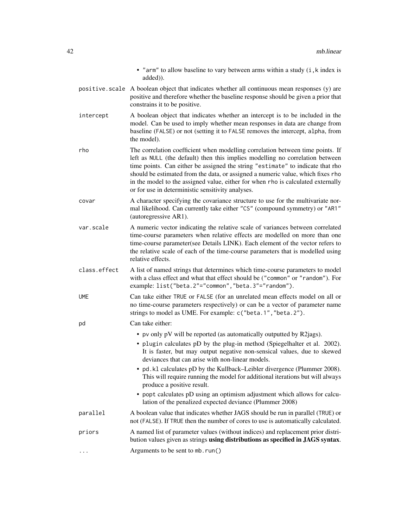|                      | • "arm" to allow baseline to vary between arms within a study (i, k index is<br>added)).                                                                                                                                                                                                                                                                                                                                                                                      |
|----------------------|-------------------------------------------------------------------------------------------------------------------------------------------------------------------------------------------------------------------------------------------------------------------------------------------------------------------------------------------------------------------------------------------------------------------------------------------------------------------------------|
|                      | positive. scale A boolean object that indicates whether all continuous mean responses (y) are<br>positive and therefore whether the baseline response should be given a prior that<br>constrains it to be positive.                                                                                                                                                                                                                                                           |
| intercept            | A boolean object that indicates whether an intercept is to be included in the<br>model. Can be used to imply whether mean responses in data are change from<br>baseline (FALSE) or not (setting it to FALSE removes the intercept, alpha, from<br>the model).                                                                                                                                                                                                                 |
| rho                  | The correlation coefficient when modelling correlation between time points. If<br>left as NULL (the default) then this implies modelling no correlation between<br>time points. Can either be assigned the string "estimate" to indicate that rho<br>should be estimated from the data, or assigned a numeric value, which fixes rho<br>in the model to the assigned value, either for when rho is calculated externally<br>or for use in deterministic sensitivity analyses. |
| covar                | A character specifying the covariance structure to use for the multivariate nor-<br>mal likelihood. Can currently take either "CS" (compound symmetry) or "AR1"<br>(autoregressive AR1).                                                                                                                                                                                                                                                                                      |
| var.scale            | A numeric vector indicating the relative scale of variances between correlated<br>time-course parameters when relative effects are modelled on more than one<br>time-course parameter(see Details LINK). Each element of the vector refers to<br>the relative scale of each of the time-course parameters that is modelled using<br>relative effects.                                                                                                                         |
| class.effect         | A list of named strings that determines which time-course parameters to model<br>with a class effect and what that effect should be ("common" or "random"). For<br>example: list("beta.2"="common","beta.3"="random").                                                                                                                                                                                                                                                        |
| <b>UME</b>           | Can take either TRUE or FALSE (for an unrelated mean effects model on all or<br>no time-course parameters respectively) or can be a vector of parameter name<br>strings to model as UME. For example: c("beta.1", "beta.2").                                                                                                                                                                                                                                                  |
| pd                   | Can take either:                                                                                                                                                                                                                                                                                                                                                                                                                                                              |
|                      | • pv only pV will be reported (as automatically outputted by R2jags).                                                                                                                                                                                                                                                                                                                                                                                                         |
|                      | • plugin calculates pD by the plug-in method (Spiegelhalter et al. 2002).<br>It is faster, but may output negative non-sensical values, due to skewed<br>deviances that can arise with non-linear models.                                                                                                                                                                                                                                                                     |
|                      | • pd. k1 calculates pD by the Kullback–Leibler divergence (Plummer 2008).<br>This will require running the model for additional iterations but will always<br>produce a positive result.                                                                                                                                                                                                                                                                                      |
|                      | • popt calculates pD using an optimism adjustment which allows for calcu-<br>lation of the penalized expected deviance (Plummer 2008)                                                                                                                                                                                                                                                                                                                                         |
| parallel             | A boolean value that indicates whether JAGS should be run in parallel (TRUE) or<br>not (FALSE). If TRUE then the number of cores to use is automatically calculated.                                                                                                                                                                                                                                                                                                          |
| priors               | A named list of parameter values (without indices) and replacement prior distri-<br>bution values given as strings using distributions as specified in JAGS syntax.                                                                                                                                                                                                                                                                                                           |
| $\ddot{\phantom{0}}$ | Arguments to be sent to mb. run()                                                                                                                                                                                                                                                                                                                                                                                                                                             |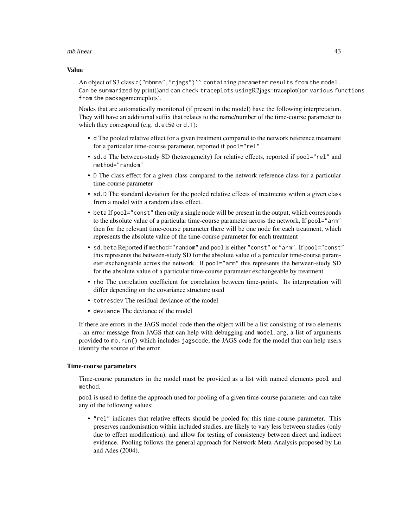#### mb.linear 43

#### Value

An object of S3 class c("mbnma", "riags")`` containing parameter results from the model. Can be summarized by print()and can check traceplots usingR2jags::traceplot()or various functions from the packagemcmcplots'.

Nodes that are automatically monitored (if present in the model) have the following interpretation. They will have an additional suffix that relates to the name/number of the time-course parameter to which they correspond (e.g. d.et50 or d.1):

- d The pooled relative effect for a given treatment compared to the network reference treatment for a particular time-course parameter, reported if pool="rel"
- sd.d The between-study SD (heterogeneity) for relative effects, reported if pool="rel" and method="random"
- D The class effect for a given class compared to the network reference class for a particular time-course parameter
- sd.D The standard deviation for the pooled relative effects of treatments within a given class from a model with a random class effect.
- beta If pool="const" then only a single node will be present in the output, which corresponds to the absolute value of a particular time-course parameter across the network, If pool="arm" then for the relevant time-course parameter there will be one node for each treatment, which represents the absolute value of the time-course parameter for each treatment
- sd.beta Reported if method="random" and pool is either "const" or "arm". If pool="const" this represents the between-study SD for the absolute value of a particular time-course parameter exchangeable across the network. If pool="arm" this represents the between-study SD for the absolute value of a particular time-course parameter exchangeable by treatment
- rho The correlation coefficient for correlation between time-points. Its interpretation will differ depending on the covariance structure used
- totresdev The residual deviance of the model
- deviance The deviance of the model

If there are errors in the JAGS model code then the object will be a list consisting of two elements - an error message from JAGS that can help with debugging and model.arg, a list of arguments provided to mb.run() which includes jagscode, the JAGS code for the model that can help users identify the source of the error.

## Time-course parameters

Time-course parameters in the model must be provided as a list with named elements pool and method.

pool is used to define the approach used for pooling of a given time-course parameter and can take any of the following values:

• "rel" indicates that relative effects should be pooled for this time-course parameter. This preserves randomisation within included studies, are likely to vary less between studies (only due to effect modification), and allow for testing of consistency between direct and indirect evidence. Pooling follows the general approach for Network Meta-Analysis proposed by Lu and Ades (2004).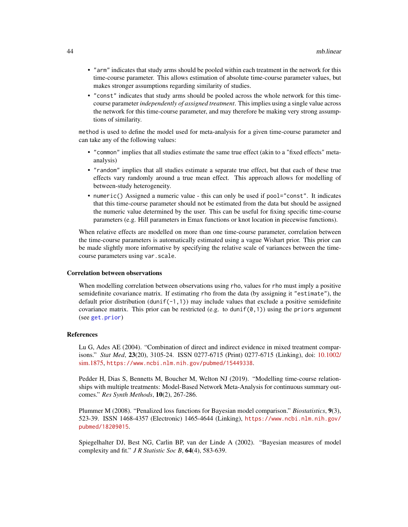- "arm" indicates that study arms should be pooled within each treatment in the network for this time-course parameter. This allows estimation of absolute time-course parameter values, but makes stronger assumptions regarding similarity of studies.
- "const" indicates that study arms should be pooled across the whole network for this timecourse parameter *independently of assigned treatment*. This implies using a single value across the network for this time-course parameter, and may therefore be making very strong assumptions of similarity.

method is used to define the model used for meta-analysis for a given time-course parameter and can take any of the following values:

- "common" implies that all studies estimate the same true effect (akin to a "fixed effects" metaanalysis)
- "random" implies that all studies estimate a separate true effect, but that each of these true effects vary randomly around a true mean effect. This approach allows for modelling of between-study heterogeneity.
- numeric() Assigned a numeric value this can only be used if pool="const". It indicates that this time-course parameter should not be estimated from the data but should be assigned the numeric value determined by the user. This can be useful for fixing specific time-course parameters (e.g. Hill parameters in Emax functions or knot location in piecewise functions).

When relative effects are modelled on more than one time-course parameter, correlation between the time-course parameters is automatically estimated using a vague Wishart prior. This prior can be made slightly more informative by specifying the relative scale of variances between the timecourse parameters using var.scale.

#### Correlation between observations

When modelling correlation between observations using rho, values for rho must imply a positive semidefinite covariance matrix. If estimating rho from the data (by assigning it "estimate"), the default prior distribution (dunif( $-1,1$ )) may include values that exclude a positive semidefinite covariance matrix. This prior can be restricted (e.g. to dunif( $\varnothing$ , 1)) using the priors argument (see [get.prior](#page-11-0))

#### References

Lu G, Ades AE (2004). "Combination of direct and indirect evidence in mixed treatment comparisons." *Stat Med*, 23(20), 3105-24. ISSN 0277-6715 (Print) 0277-6715 (Linking), doi: [10.1002/](https://doi.org/10.1002/sim.1875) [sim.1875,](https://doi.org/10.1002/sim.1875) <https://www.ncbi.nlm.nih.gov/pubmed/15449338>.

Pedder H, Dias S, Bennetts M, Boucher M, Welton NJ (2019). "Modelling time-course relationships with multiple treatments: Model-Based Network Meta-Analysis for continuous summary outcomes." *Res Synth Methods*, 10(2), 267-286.

Plummer M (2008). "Penalized loss functions for Bayesian model comparison." *Biostatistics*, 9(3), 523-39. ISSN 1468-4357 (Electronic) 1465-4644 (Linking), [https://www.ncbi.nlm.nih.gov/](https://www.ncbi.nlm.nih.gov/pubmed/18209015) [pubmed/18209015](https://www.ncbi.nlm.nih.gov/pubmed/18209015).

Spiegelhalter DJ, Best NG, Carlin BP, van der Linde A (2002). "Bayesian measures of model complexity and fit." *J R Statistic Soc B*, 64(4), 583-639.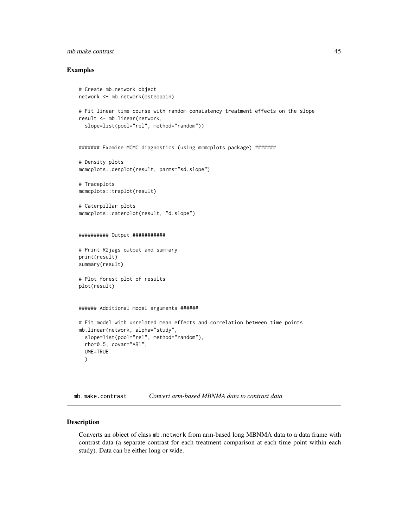# mb.make.contrast 45

## Examples

```
# Create mb.network object
network <- mb.network(osteopain)
# Fit linear time-course with random consistency treatment effects on the slope
result <- mb.linear(network,
  slope=list(pool="rel", method="random"))
####### Examine MCMC diagnostics (using mcmcplots package) #######
# Density plots
mcmcplots::denplot(result, parms="sd.slope")
# Traceplots
mcmcplots::traplot(result)
# Caterpillar plots
mcmcplots::caterplot(result, "d.slope")
########## Output ###########
# Print R2jags output and summary
print(result)
summary(result)
# Plot forest plot of results
plot(result)
###### Additional model arguments ######
# Fit model with unrelated mean effects and correlation between time points
mb.linear(network, alpha="study",
  slope=list(pool="rel", method="random"),
  rho=0.5, covar="AR1",
  UME=TRUE
  )
```
mb.make.contrast *Convert arm-based MBNMA data to contrast data*

# Description

Converts an object of class mb.network from arm-based long MBNMA data to a data frame with contrast data (a separate contrast for each treatment comparison at each time point within each study). Data can be either long or wide.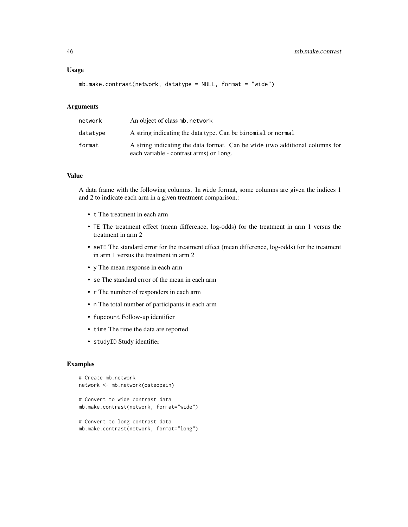## Usage

```
mb.make.contrast(network, datatype = NULL, format = "wide")
```
# Arguments

| network  | An object of class mb, network                                                                                          |
|----------|-------------------------------------------------------------------------------------------------------------------------|
| datatype | A string indicating the data type. Can be binomial or normal                                                            |
| format   | A string indicating the data format. Can be wide (two additional columns for<br>each variable - contrast arms) or long. |

# Value

A data frame with the following columns. In wide format, some columns are given the indices 1 and 2 to indicate each arm in a given treatment comparison.:

- t The treatment in each arm
- TE The treatment effect (mean difference, log-odds) for the treatment in arm 1 versus the treatment in arm 2
- seTE The standard error for the treatment effect (mean difference, log-odds) for the treatment in arm 1 versus the treatment in arm 2
- y The mean response in each arm
- se The standard error of the mean in each arm
- r The number of responders in each arm
- n The total number of participants in each arm
- fupcount Follow-up identifier
- time The time the data are reported
- studyID Study identifier

# Examples

```
# Create mb.network
network <- mb.network(osteopain)
# Convert to wide contrast data
mb.make.contrast(network, format="wide")
# Convert to long contrast data
```

```
mb.make.contrast(network, format="long")
```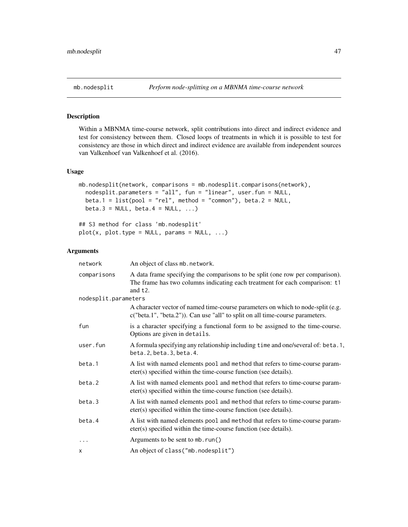# Description

Within a MBNMA time-course network, split contributions into direct and indirect evidence and test for consistency between them. Closed loops of treatments in which it is possible to test for consistency are those in which direct and indirect evidence are available from independent sources van Valkenhoef van Valkenhoef et al. (2016).

# Usage

```
mb.nodesplit(network, comparisons = mb.nodesplit.comparisons(network),
  nodesplit.parameters = "all", fun = "linear", user.fun = NULL,
 beta.1 = list(pool = "rel", method = "common"), beta.2 = NULL,beta.3 = NULL, beta.4 = NULL, ...
```
## S3 method for class 'mb.nodesplit'  $plot(x, plot_type = NULL, params = NULL, ...)$ 

| network              | An object of class mb. network.                                                                                                                                            |
|----------------------|----------------------------------------------------------------------------------------------------------------------------------------------------------------------------|
| comparisons          | A data frame specifying the comparisons to be split (one row per comparison).<br>The frame has two columns indicating each treatment for each comparison: t1<br>and $t2$ . |
| nodesplit.parameters |                                                                                                                                                                            |
|                      | A character vector of named time-course parameters on which to node-split (e.g.<br>$c("beta.1", "beta.2"))$ . Can use "all" to split on all time-course parameters.        |
| fun                  | is a character specifying a functional form to be assigned to the time-course.<br>Options are given in details.                                                            |
| user.fun             | A formula specifying any relationship including time and one/several of: beta.1,<br>beta.2, beta.3, beta.4.                                                                |
| beta.1               | A list with named elements pool and method that refers to time-course param-<br>eter(s) specified within the time-course function (see details).                           |
| beta.2               | A list with named elements pool and method that refers to time-course param-<br>eter(s) specified within the time-course function (see details).                           |
| beta.3               | A list with named elements pool and method that refers to time-course param-<br>eter(s) specified within the time-course function (see details).                           |
| beta.4               | A list with named elements pool and method that refers to time-course param-<br>eter(s) specified within the time-course function (see details).                           |
| $\ddots$             | Arguments to be sent to mb. run()                                                                                                                                          |
| x                    | An object of class ("mb. nodesplit")                                                                                                                                       |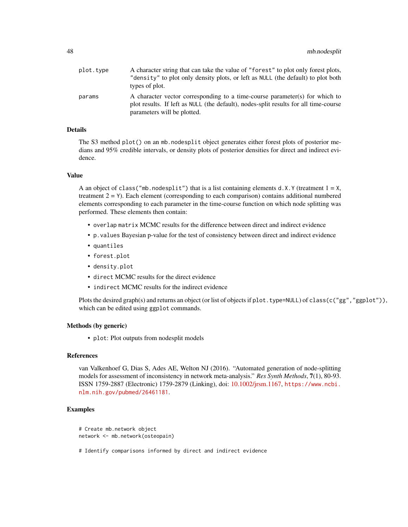| plot.tvpe | A character string that can take the value of "forest" to plot only forest plots,    |
|-----------|--------------------------------------------------------------------------------------|
|           | "density" to plot only density plots, or left as NULL (the default) to plot both     |
|           | types of plot.                                                                       |
| params    | A character vector corresponding to a time-course parameter(s) for which to          |
|           | plot results. If left as NULL (the default), nodes-split results for all time-course |
|           | parameters will be plotted.                                                          |

# Details

The S3 method plot() on an mb.nodesplit object generates either forest plots of posterior medians and 95% credible intervals, or density plots of posterior densities for direct and indirect evidence.

#### Value

A an object of class("mb.nodesplit") that is a list containing elements d.X.Y (treatment  $1 = X$ , treatment  $2 = Y$ ). Each element (corresponding to each comparison) contains additional numbered elements corresponding to each parameter in the time-course function on which node splitting was performed. These elements then contain:

- overlap matrix MCMC results for the difference between direct and indirect evidence
- p.values Bayesian p-value for the test of consistency between direct and indirect evidence
- quantiles
- forest.plot
- density.plot
- direct MCMC results for the direct evidence
- indirect MCMC results for the indirect evidence

Plots the desired graph(s) and returns an object (or list of objects if plot.type=NULL) of class(c("gg","ggplot")), which can be edited using ggplot commands.

## Methods (by generic)

• plot: Plot outputs from nodesplit models

# References

van Valkenhoef G, Dias S, Ades AE, Welton NJ (2016). "Automated generation of node-splitting models for assessment of inconsistency in network meta-analysis." *Res Synth Methods*, 7(1), 80-93. ISSN 1759-2887 (Electronic) 1759-2879 (Linking), doi: [10.1002/jrsm.1167,](https://doi.org/10.1002/jrsm.1167) [https://www.ncbi.](https://www.ncbi.nlm.nih.gov/pubmed/26461181) [nlm.nih.gov/pubmed/26461181](https://www.ncbi.nlm.nih.gov/pubmed/26461181).

#### Examples

```
# Create mb.network object
network <- mb.network(osteopain)
```
# Identify comparisons informed by direct and indirect evidence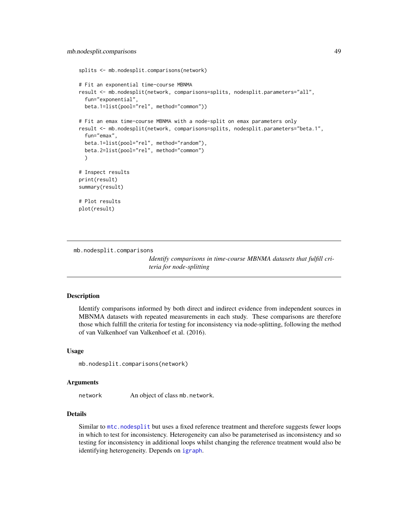```
splits <- mb.nodesplit.comparisons(network)
# Fit an exponential time-course MBNMA
result <- mb.nodesplit(network, comparisons=splits, nodesplit.parameters="all",
 fun="exponential",
 beta.1=list(pool="rel", method="common"))
# Fit an emax time-course MBNMA with a node-split on emax parameters only
result <- mb.nodesplit(network, comparisons=splits, nodesplit.parameters="beta.1",
 fun="emax",
 beta.1=list(pool="rel", method="random"),
 beta.2=list(pool="rel", method="common")
 )
# Inspect results
print(result)
summary(result)
# Plot results
plot(result)
```
mb.nodesplit.comparisons

*Identify comparisons in time-course MBNMA datasets that fulfill criteria for node-splitting*

# Description

Identify comparisons informed by both direct and indirect evidence from independent sources in MBNMA datasets with repeated measurements in each study. These comparisons are therefore those which fulfill the criteria for testing for inconsistency via node-splitting, following the method of van Valkenhoef van Valkenhoef et al. (2016).

## Usage

mb.nodesplit.comparisons(network)

#### Arguments

network An object of class mb.network.

# Details

Similar to [mtc.nodesplit](#page-0-0) but uses a fixed reference treatment and therefore suggests fewer loops in which to test for inconsistency. Heterogeneity can also be parameterised as inconsistency and so testing for inconsistency in additional loops whilst changing the reference treatment would also be identifying heterogeneity. Depends on [igraph](#page-0-0).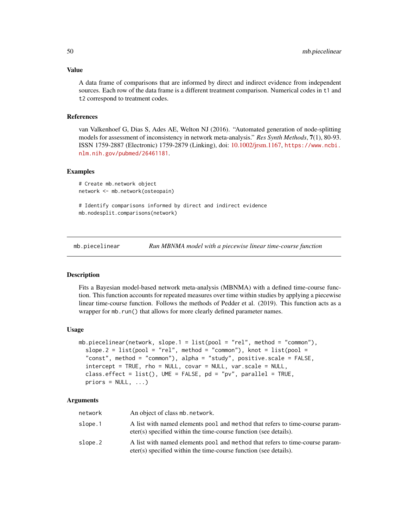#### Value

A data frame of comparisons that are informed by direct and indirect evidence from independent sources. Each row of the data frame is a different treatment comparison. Numerical codes in t1 and t2 correspond to treatment codes.

# References

van Valkenhoef G, Dias S, Ades AE, Welton NJ (2016). "Automated generation of node-splitting models for assessment of inconsistency in network meta-analysis." *Res Synth Methods*, 7(1), 80-93. ISSN 1759-2887 (Electronic) 1759-2879 (Linking), doi: [10.1002/jrsm.1167,](https://doi.org/10.1002/jrsm.1167) [https://www.ncbi.](https://www.ncbi.nlm.nih.gov/pubmed/26461181) [nlm.nih.gov/pubmed/26461181](https://www.ncbi.nlm.nih.gov/pubmed/26461181).

#### Examples

```
# Create mb.network object
network <- mb.network(osteopain)
```
# Identify comparisons informed by direct and indirect evidence mb.nodesplit.comparisons(network)

mb.piecelinear *Run MBNMA model with a piecewise linear time-course function*

#### Description

Fits a Bayesian model-based network meta-analysis (MBNMA) with a defined time-course function. This function accounts for repeated measures over time within studies by applying a piecewise linear time-course function. Follows the methods of Pedder et al. (2019). This function acts as a wrapper for mb.run() that allows for more clearly defined parameter names.

#### Usage

```
mb.piecelinear(network, slope.1 = list(pool = "rel", method = "common"),
  slope.2 = list(pool = "rel", method = "common"), knot = list(pool =
  "const", method = "common"), alpha = "study", positive.scale = FALSE,
  intercept = TRUE, rho = NULL, covar = NULL, var.scale = NULL,
  class.effect = list(), UME = FALSE, pd = "pv", parallel = TRUE,
 priors = NULL, ...)
```

| network | An object of class mb. network.                                                                                                                  |
|---------|--------------------------------------------------------------------------------------------------------------------------------------------------|
| slope.1 | A list with named elements pool and method that refers to time-course param-<br>eter(s) specified within the time-course function (see details). |
| slope.2 | A list with named elements pool and method that refers to time-course param-<br>eter(s) specified within the time-course function (see details). |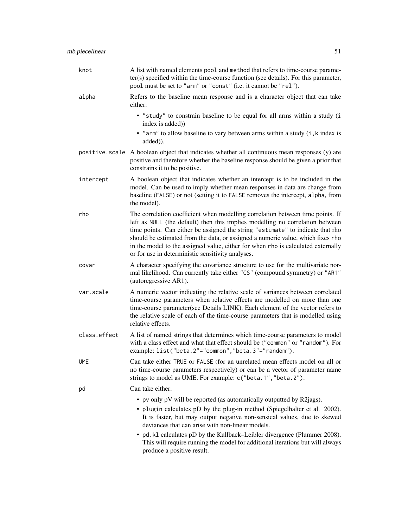| knot         | A list with named elements pool and method that refers to time-course parame-<br>ter(s) specified within the time-course function (see details). For this parameter,<br>pool must be set to "arm" or "const" (i.e. it cannot be "rel").                                                                                                                                                                                                                                       |
|--------------|-------------------------------------------------------------------------------------------------------------------------------------------------------------------------------------------------------------------------------------------------------------------------------------------------------------------------------------------------------------------------------------------------------------------------------------------------------------------------------|
| alpha        | Refers to the baseline mean response and is a character object that can take<br>either:                                                                                                                                                                                                                                                                                                                                                                                       |
|              | • "study" to constrain baseline to be equal for all arms within a study (i<br>index is added))                                                                                                                                                                                                                                                                                                                                                                                |
|              | • "arm" to allow baseline to vary between arms within a study (i, k index is<br>added)).                                                                                                                                                                                                                                                                                                                                                                                      |
|              | positive scale A boolean object that indicates whether all continuous mean responses (y) are<br>positive and therefore whether the baseline response should be given a prior that<br>constrains it to be positive.                                                                                                                                                                                                                                                            |
| intercept    | A boolean object that indicates whether an intercept is to be included in the<br>model. Can be used to imply whether mean responses in data are change from<br>baseline (FALSE) or not (setting it to FALSE removes the intercept, alpha, from<br>the model).                                                                                                                                                                                                                 |
| rho          | The correlation coefficient when modelling correlation between time points. If<br>left as NULL (the default) then this implies modelling no correlation between<br>time points. Can either be assigned the string "estimate" to indicate that rho<br>should be estimated from the data, or assigned a numeric value, which fixes rho<br>in the model to the assigned value, either for when rho is calculated externally<br>or for use in deterministic sensitivity analyses. |
| covar        | A character specifying the covariance structure to use for the multivariate nor-<br>mal likelihood. Can currently take either "CS" (compound symmetry) or "AR1"<br>(autoregressive AR1).                                                                                                                                                                                                                                                                                      |
| var.scale    | A numeric vector indicating the relative scale of variances between correlated<br>time-course parameters when relative effects are modelled on more than one<br>time-course parameter(see Details LINK). Each element of the vector refers to<br>the relative scale of each of the time-course parameters that is modelled using<br>relative effects.                                                                                                                         |
| class.effect | A list of named strings that determines which time-course parameters to model<br>with a class effect and what that effect should be ("common" or "random"). For<br>example: list("beta.2"="common","beta.3"="random").                                                                                                                                                                                                                                                        |
| <b>UME</b>   | Can take either TRUE or FALSE (for an unrelated mean effects model on all or<br>no time-course parameters respectively) or can be a vector of parameter name<br>strings to model as UME. For example: c("beta.1", "beta.2").                                                                                                                                                                                                                                                  |
| pd           | Can take either:                                                                                                                                                                                                                                                                                                                                                                                                                                                              |
|              | • pv only pV will be reported (as automatically outputted by R2jags).<br>• plugin calculates pD by the plug-in method (Spiegelhalter et al. 2002).<br>It is faster, but may output negative non-sensical values, due to skewed<br>deviances that can arise with non-linear models.                                                                                                                                                                                            |
|              | • pd. k1 calculates pD by the Kullback–Leibler divergence (Plummer 2008).<br>This will require running the model for additional iterations but will always<br>produce a positive result.                                                                                                                                                                                                                                                                                      |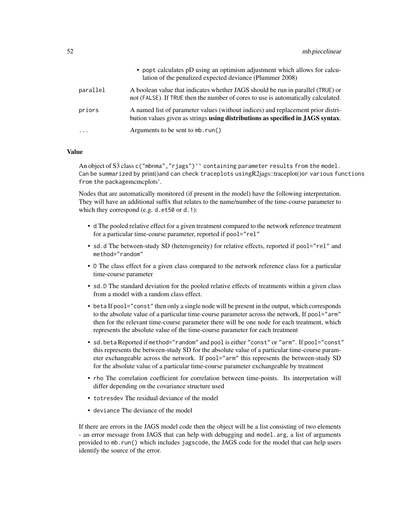|                         | • popt calculates pD using an optimism adjustment which allows for calcu-<br>lation of the penalized expected deviance (Plummer 2008)                                |
|-------------------------|----------------------------------------------------------------------------------------------------------------------------------------------------------------------|
| parallel                | A boolean value that indicates whether JAGS should be run in parallel (TRUE) or<br>not (FALSE). If TRUE then the number of cores to use is automatically calculated. |
| priors                  | A named list of parameter values (without indices) and replacement prior distri-<br>bution values given as strings using distributions as specified in JAGS syntax.  |
| $\cdot$ $\cdot$ $\cdot$ | Arguments to be sent to mb. $run()$                                                                                                                                  |

## Value

An object of S3 class c("mbnma", "rjags")`` containing parameter results from the model. Can be summarized by print()and can check traceplots usingR2jags::traceplot()or various functions from the packagemcmcplots'.

Nodes that are automatically monitored (if present in the model) have the following interpretation. They will have an additional suffix that relates to the name/number of the time-course parameter to which they correspond (e.g. d.et50 or d.1):

- d The pooled relative effect for a given treatment compared to the network reference treatment for a particular time-course parameter, reported if pool="rel"
- sd.d The between-study SD (heterogeneity) for relative effects, reported if pool="rel" and method="random"
- D The class effect for a given class compared to the network reference class for a particular time-course parameter
- sd.D The standard deviation for the pooled relative effects of treatments within a given class from a model with a random class effect.
- beta If pool="const" then only a single node will be present in the output, which corresponds to the absolute value of a particular time-course parameter across the network, If pool="arm" then for the relevant time-course parameter there will be one node for each treatment, which represents the absolute value of the time-course parameter for each treatment
- sd.beta Reported if method="random" and pool is either "const" or "arm". If pool="const" this represents the between-study SD for the absolute value of a particular time-course parameter exchangeable across the network. If pool="arm" this represents the between-study SD for the absolute value of a particular time-course parameter exchangeable by treatment
- rho The correlation coefficient for correlation between time-points. Its interpretation will differ depending on the covariance structure used
- totresdev The residual deviance of the model
- deviance The deviance of the model

If there are errors in the JAGS model code then the object will be a list consisting of two elements - an error message from JAGS that can help with debugging and model.arg, a list of arguments provided to mb.run() which includes jagscode, the JAGS code for the model that can help users identify the source of the error.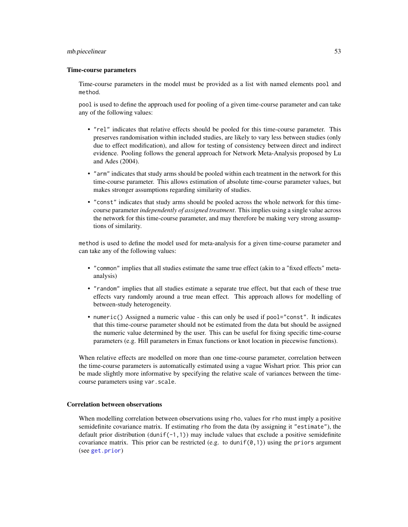#### mb.piecelinear 53

### Time-course parameters

Time-course parameters in the model must be provided as a list with named elements pool and method.

pool is used to define the approach used for pooling of a given time-course parameter and can take any of the following values:

- "rel" indicates that relative effects should be pooled for this time-course parameter. This preserves randomisation within included studies, are likely to vary less between studies (only due to effect modification), and allow for testing of consistency between direct and indirect evidence. Pooling follows the general approach for Network Meta-Analysis proposed by Lu and Ades (2004).
- "arm" indicates that study arms should be pooled within each treatment in the network for this time-course parameter. This allows estimation of absolute time-course parameter values, but makes stronger assumptions regarding similarity of studies.
- "const" indicates that study arms should be pooled across the whole network for this timecourse parameter *independently of assigned treatment*. This implies using a single value across the network for this time-course parameter, and may therefore be making very strong assumptions of similarity.

method is used to define the model used for meta-analysis for a given time-course parameter and can take any of the following values:

- "common" implies that all studies estimate the same true effect (akin to a "fixed effects" metaanalysis)
- "random" implies that all studies estimate a separate true effect, but that each of these true effects vary randomly around a true mean effect. This approach allows for modelling of between-study heterogeneity.
- numeric() Assigned a numeric value this can only be used if pool="const". It indicates that this time-course parameter should not be estimated from the data but should be assigned the numeric value determined by the user. This can be useful for fixing specific time-course parameters (e.g. Hill parameters in Emax functions or knot location in piecewise functions).

When relative effects are modelled on more than one time-course parameter, correlation between the time-course parameters is automatically estimated using a vague Wishart prior. This prior can be made slightly more informative by specifying the relative scale of variances between the timecourse parameters using var.scale.

### Correlation between observations

When modelling correlation between observations using rho, values for rho must imply a positive semidefinite covariance matrix. If estimating rho from the data (by assigning it "estimate"), the default prior distribution (dunif( $-1,1$ )) may include values that exclude a positive semidefinite covariance matrix. This prior can be restricted (e.g. to dunif( $\varnothing$ , 1)) using the priors argument (see [get.prior](#page-11-0))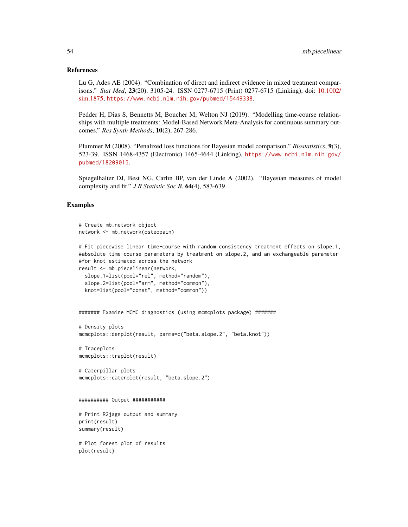#### References

Lu G, Ades AE (2004). "Combination of direct and indirect evidence in mixed treatment comparisons." *Stat Med*, 23(20), 3105-24. ISSN 0277-6715 (Print) 0277-6715 (Linking), doi: [10.1002/](https://doi.org/10.1002/sim.1875) [sim.1875,](https://doi.org/10.1002/sim.1875) <https://www.ncbi.nlm.nih.gov/pubmed/15449338>.

Pedder H, Dias S, Bennetts M, Boucher M, Welton NJ (2019). "Modelling time-course relationships with multiple treatments: Model-Based Network Meta-Analysis for continuous summary outcomes." *Res Synth Methods*, 10(2), 267-286.

Plummer M (2008). "Penalized loss functions for Bayesian model comparison." *Biostatistics*, 9(3), 523-39. ISSN 1468-4357 (Electronic) 1465-4644 (Linking), [https://www.ncbi.nlm.nih.gov/](https://www.ncbi.nlm.nih.gov/pubmed/18209015) [pubmed/18209015](https://www.ncbi.nlm.nih.gov/pubmed/18209015).

Spiegelhalter DJ, Best NG, Carlin BP, van der Linde A (2002). "Bayesian measures of model complexity and fit." *J R Statistic Soc B*, 64(4), 583-639.

## Examples

```
# Create mb.network object
network <- mb.network(osteopain)
```

```
# Fit piecewise linear time-course with random consistency treatment effects on slope.1,
#absolute time-course parameters by treatment on slope.2, and an exchangeable parameter
#for knot estimated across the network
```

```
result <- mb.piecelinear(network,
```

```
slope.1=list(pool="rel", method="random"),
slope.2=list(pool="arm", method="common"),
knot=list(pool="const", method="common"))
```

```
####### Examine MCMC diagnostics (using mcmcplots package) #######
```

```
# Density plots
mcmcplots::denplot(result, parms=c("beta.slope.2", "beta.knot"))
```
# Traceplots mcmcplots::traplot(result)

```
# Caterpillar plots
mcmcplots::caterplot(result, "beta.slope.2")
```
#### ########## Output ###########

# Print R2jags output and summary print(result) summary(result)

# Plot forest plot of results plot(result)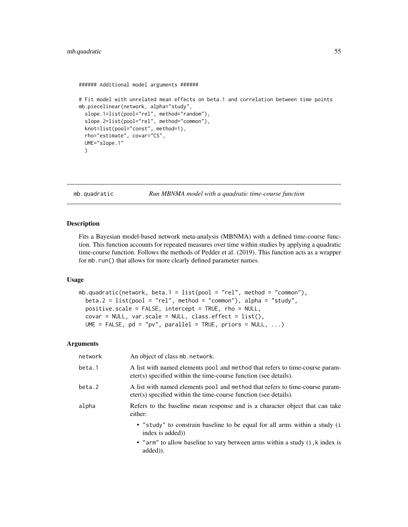```
###### Additional model arguments ######
# Fit model with unrelated mean effects on beta.1 and correlation between time points
mb.piecelinear(network, alpha="study",
 slope.1=list(pool="rel", method="random"),
 slope.2=list(pool="rel", method="common"),
 knot=list(pool="const", method=1),
 rho="estimate", covar="CS",
 UME="slope.1"
 )
```

```
mb.quadratic Run MBNMA model with a quadratic time-course function
```
# Description

Fits a Bayesian model-based network meta-analysis (MBNMA) with a defined time-course function. This function accounts for repeated measures over time within studies by applying a quadratic time-course function. Follows the methods of Pedder et al. (2019). This function acts as a wrapper for mb.run() that allows for more clearly defined parameter names.

### Usage

```
mb.quadratic(network, beta.1 = list(pool = "rel", method = "common"),
 beta.2 = list(pool = "rel", method = "common"), alpha = "study",positive.scale = FALSE, intercept = TRUE, rho = NULL,
 covar = NULL, var.scale = NULL, class.effect = list(),
 UME = FALSE, pd = "pv", parallel = TRUE, priors = NULL, ...)
```

| network | An object of class mb. network.                                                                                                                  |
|---------|--------------------------------------------------------------------------------------------------------------------------------------------------|
| beta.1  | A list with named elements pool and method that refers to time-course param-<br>eter(s) specified within the time-course function (see details). |
| beta.2  | A list with named elements pool and method that refers to time-course param-<br>eter(s) specified within the time-course function (see details). |
| alpha   | Refers to the baseline mean response and is a character object that can take<br>either:                                                          |
|         | • "study" to constrain baseline to be equal for all arms within a study (i<br>index is added)                                                    |
|         | • "arm" to allow baseline to vary between arms within a study (i, k index is<br>added).                                                          |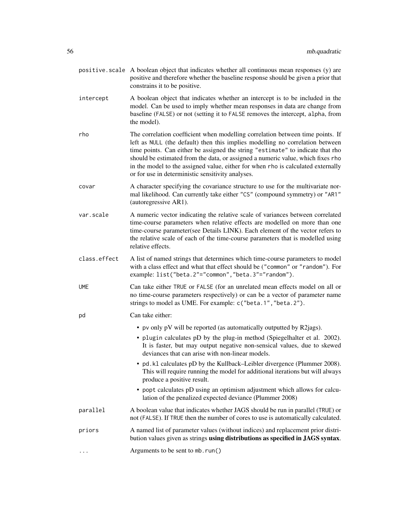- positive. scale A boolean object that indicates whether all continuous mean responses  $(y)$  are positive and therefore whether the baseline response should be given a prior that constrains it to be positive.
- intercept A boolean object that indicates whether an intercept is to be included in the model. Can be used to imply whether mean responses in data are change from baseline (FALSE) or not (setting it to FALSE removes the intercept, alpha, from the model).
- rho The correlation coefficient when modelling correlation between time points. If left as NULL (the default) then this implies modelling no correlation between time points. Can either be assigned the string "estimate" to indicate that rho should be estimated from the data, or assigned a numeric value, which fixes rho in the model to the assigned value, either for when rho is calculated externally or for use in deterministic sensitivity analyses.
- covar A character specifying the covariance structure to use for the multivariate normal likelihood. Can currently take either "CS" (compound symmetry) or "AR1" (autoregressive AR1).
- var.scale A numeric vector indicating the relative scale of variances between correlated time-course parameters when relative effects are modelled on more than one time-course parameter(see Details LINK). Each element of the vector refers to the relative scale of each of the time-course parameters that is modelled using relative effects.
- class.effect A list of named strings that determines which time-course parameters to model with a class effect and what that effect should be ("common" or "random"). For example: list("beta.2"="common","beta.3"="random").
- UME Can take either TRUE or FALSE (for an unrelated mean effects model on all or no time-course parameters respectively) or can be a vector of parameter name strings to model as UME. For example: c("beta.1","beta.2").

# pd Can take either:

- pv only pV will be reported (as automatically outputted by R2jags).
- plugin calculates pD by the plug-in method (Spiegelhalter et al. 2002). It is faster, but may output negative non-sensical values, due to skewed deviances that can arise with non-linear models.
- pd.kl calculates pD by the Kullback–Leibler divergence (Plummer 2008). This will require running the model for additional iterations but will always produce a positive result.
- popt calculates pD using an optimism adjustment which allows for calculation of the penalized expected deviance (Plummer 2008)
- parallel A boolean value that indicates whether JAGS should be run in parallel (TRUE) or not (FALSE). If TRUE then the number of cores to use is automatically calculated.
- priors A named list of parameter values (without indices) and replacement prior distribution values given as strings using distributions as specified in JAGS syntax.
- ... **Arguments to be sent to mb.run()**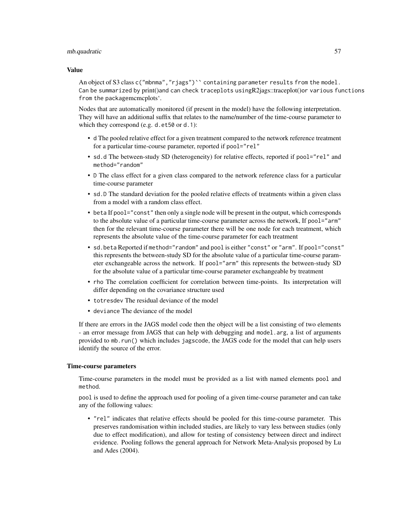### mb.quadratic 57

#### Value

An object of S3 class c("mbnma", "riags")`` containing parameter results from the model. Can be summarized by print()and can check traceplots usingR2jags::traceplot()or various functions from the packagemcmcplots'.

Nodes that are automatically monitored (if present in the model) have the following interpretation. They will have an additional suffix that relates to the name/number of the time-course parameter to which they correspond (e.g. d.et50 or d.1):

- d The pooled relative effect for a given treatment compared to the network reference treatment for a particular time-course parameter, reported if pool="rel"
- sd.d The between-study SD (heterogeneity) for relative effects, reported if pool="rel" and method="random"
- D The class effect for a given class compared to the network reference class for a particular time-course parameter
- sd.D The standard deviation for the pooled relative effects of treatments within a given class from a model with a random class effect.
- beta If pool="const" then only a single node will be present in the output, which corresponds to the absolute value of a particular time-course parameter across the network, If pool="arm" then for the relevant time-course parameter there will be one node for each treatment, which represents the absolute value of the time-course parameter for each treatment
- sd.beta Reported if method="random" and pool is either "const" or "arm". If pool="const" this represents the between-study SD for the absolute value of a particular time-course parameter exchangeable across the network. If pool="arm" this represents the between-study SD for the absolute value of a particular time-course parameter exchangeable by treatment
- rho The correlation coefficient for correlation between time-points. Its interpretation will differ depending on the covariance structure used
- totresdev The residual deviance of the model
- deviance The deviance of the model

If there are errors in the JAGS model code then the object will be a list consisting of two elements - an error message from JAGS that can help with debugging and model.arg, a list of arguments provided to mb.run() which includes jagscode, the JAGS code for the model that can help users identify the source of the error.

# Time-course parameters

Time-course parameters in the model must be provided as a list with named elements pool and method.

pool is used to define the approach used for pooling of a given time-course parameter and can take any of the following values:

• "rel" indicates that relative effects should be pooled for this time-course parameter. This preserves randomisation within included studies, are likely to vary less between studies (only due to effect modification), and allow for testing of consistency between direct and indirect evidence. Pooling follows the general approach for Network Meta-Analysis proposed by Lu and Ades (2004).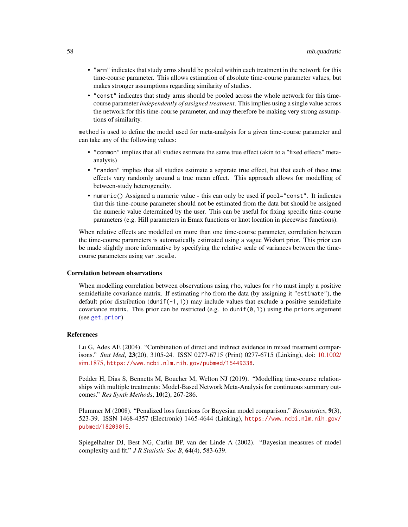- "arm" indicates that study arms should be pooled within each treatment in the network for this time-course parameter. This allows estimation of absolute time-course parameter values, but makes stronger assumptions regarding similarity of studies.
- "const" indicates that study arms should be pooled across the whole network for this timecourse parameter *independently of assigned treatment*. This implies using a single value across the network for this time-course parameter, and may therefore be making very strong assumptions of similarity.

method is used to define the model used for meta-analysis for a given time-course parameter and can take any of the following values:

- "common" implies that all studies estimate the same true effect (akin to a "fixed effects" metaanalysis)
- "random" implies that all studies estimate a separate true effect, but that each of these true effects vary randomly around a true mean effect. This approach allows for modelling of between-study heterogeneity.
- numeric() Assigned a numeric value this can only be used if pool="const". It indicates that this time-course parameter should not be estimated from the data but should be assigned the numeric value determined by the user. This can be useful for fixing specific time-course parameters (e.g. Hill parameters in Emax functions or knot location in piecewise functions).

When relative effects are modelled on more than one time-course parameter, correlation between the time-course parameters is automatically estimated using a vague Wishart prior. This prior can be made slightly more informative by specifying the relative scale of variances between the timecourse parameters using var.scale.

## Correlation between observations

When modelling correlation between observations using rho, values for rho must imply a positive semidefinite covariance matrix. If estimating rho from the data (by assigning it "estimate"), the default prior distribution (dunif( $-1,1$ )) may include values that exclude a positive semidefinite covariance matrix. This prior can be restricted (e.g. to dunif( $\varnothing$ , 1)) using the priors argument (see [get.prior](#page-11-0))

#### References

Lu G, Ades AE (2004). "Combination of direct and indirect evidence in mixed treatment comparisons." *Stat Med*, 23(20), 3105-24. ISSN 0277-6715 (Print) 0277-6715 (Linking), doi: [10.1002/](https://doi.org/10.1002/sim.1875) [sim.1875,](https://doi.org/10.1002/sim.1875) <https://www.ncbi.nlm.nih.gov/pubmed/15449338>.

Pedder H, Dias S, Bennetts M, Boucher M, Welton NJ (2019). "Modelling time-course relationships with multiple treatments: Model-Based Network Meta-Analysis for continuous summary outcomes." *Res Synth Methods*, 10(2), 267-286.

Plummer M (2008). "Penalized loss functions for Bayesian model comparison." *Biostatistics*, 9(3), 523-39. ISSN 1468-4357 (Electronic) 1465-4644 (Linking), [https://www.ncbi.nlm.nih.gov/](https://www.ncbi.nlm.nih.gov/pubmed/18209015) [pubmed/18209015](https://www.ncbi.nlm.nih.gov/pubmed/18209015).

Spiegelhalter DJ, Best NG, Carlin BP, van der Linde A (2002). "Bayesian measures of model complexity and fit." *J R Statistic Soc B*, 64(4), 583-639.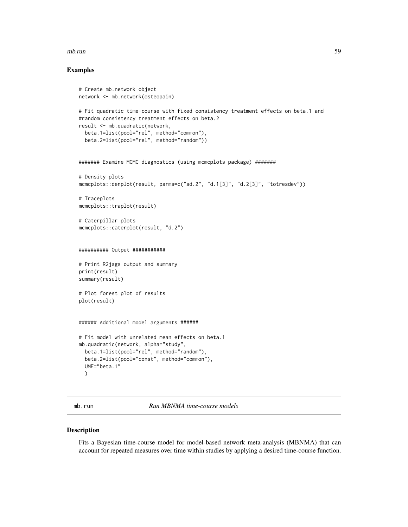#### mb.run 59

## Examples

```
# Create mb.network object
network <- mb.network(osteopain)
# Fit quadratic time-course with fixed consistency treatment effects on beta.1 and
#random consistency treatment effects on beta.2
result <- mb.quadratic(network,
  beta.1=list(pool="rel", method="common"),
  beta.2=list(pool="rel", method="random"))
####### Examine MCMC diagnostics (using mcmcplots package) #######
# Density plots
mcmcplots::denplot(result, parms=c("sd.2", "d.1[3]", "d.2[3]", "totresdev"))
# Traceplots
mcmcplots::traplot(result)
# Caterpillar plots
mcmcplots::caterplot(result, "d.2")
########## Output ###########
# Print R2jags output and summary
print(result)
summary(result)
# Plot forest plot of results
plot(result)
###### Additional model arguments ######
# Fit model with unrelated mean effects on beta.1
mb.quadratic(network, alpha="study",
  beta.1=list(pool="rel", method="random"),
  beta.2=list(pool="const", method="common"),
  UME="beta.1"
  )
```
mb.run *Run MBNMA time-course models*

# Description

Fits a Bayesian time-course model for model-based network meta-analysis (MBNMA) that can account for repeated measures over time within studies by applying a desired time-course function.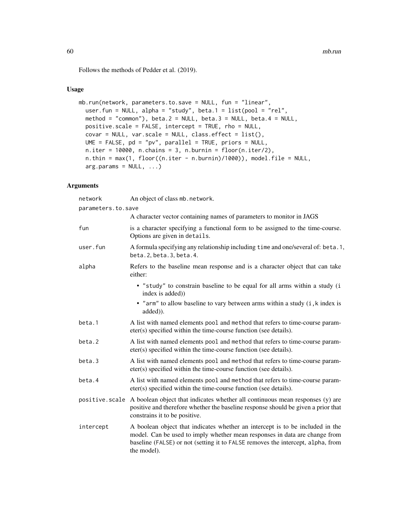Follows the methods of Pedder et al. (2019).

# Usage

```
mb.run(network, parameters.to.save = NULL, fun = "linear",
 user.fun = NULL, alpha = "study", beta.1 = list(pool = "rel",
 method = "common"), beta.2 = NULL, beta.3 = NULL, beta.4 = NULL,
 positive.scale = FALSE, intercept = TRUE, rho = NULL,
 covar = NULL, var-scale = NULL, class.effect = list(),UME = FALSE, pd = "pv", parallel = TRUE, priors = NULL,
 n.iter = 10000, n.chain = 3, n.burnin = floor(n.iter/2),
 n.thin = max(1, floor((n.iter - n.burnin)/1000)), model.file = NULL,
  arg.params = NULL, ...)
```

| network            | An object of class mb. network.                                                                                                                                                                                                                               |
|--------------------|---------------------------------------------------------------------------------------------------------------------------------------------------------------------------------------------------------------------------------------------------------------|
| parameters.to.save |                                                                                                                                                                                                                                                               |
|                    | A character vector containing names of parameters to monitor in JAGS                                                                                                                                                                                          |
| fun                | is a character specifying a functional form to be assigned to the time-course.<br>Options are given in details.                                                                                                                                               |
| user.fun           | A formula specifying any relationship including time and one/several of: beta.1,<br>beta. 2, beta. 3, beta. 4.                                                                                                                                                |
| alpha              | Refers to the baseline mean response and is a character object that can take<br>either:                                                                                                                                                                       |
|                    | · "study" to constrain baseline to be equal for all arms within a study (i<br>index is added))                                                                                                                                                                |
|                    | • "arm" to allow baseline to vary between arms within a study (i, k index is<br>added)).                                                                                                                                                                      |
| beta.1             | A list with named elements pool and method that refers to time-course param-<br>eter(s) specified within the time-course function (see details).                                                                                                              |
| beta.2             | A list with named elements pool and method that refers to time-course param-<br>eter(s) specified within the time-course function (see details).                                                                                                              |
| beta.3             | A list with named elements pool and method that refers to time-course param-<br>eter(s) specified within the time-course function (see details).                                                                                                              |
| beta.4             | A list with named elements pool and method that refers to time-course param-<br>eter(s) specified within the time-course function (see details).                                                                                                              |
| positive.scale     | A boolean object that indicates whether all continuous mean responses (y) are<br>positive and therefore whether the baseline response should be given a prior that<br>constrains it to be positive.                                                           |
| intercept          | A boolean object that indicates whether an intercept is to be included in the<br>model. Can be used to imply whether mean responses in data are change from<br>baseline (FALSE) or not (setting it to FALSE removes the intercept, alpha, from<br>the model). |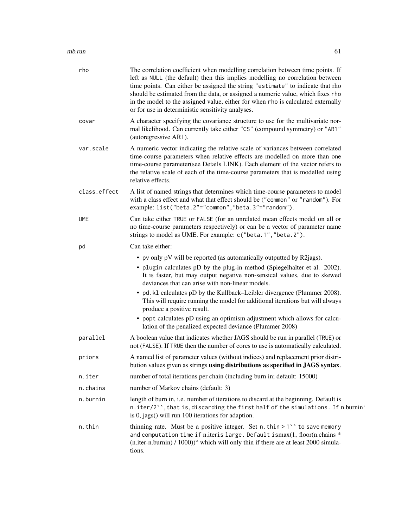#### $\mu$  mb.run 61

| rho          | The correlation coefficient when modelling correlation between time points. If<br>left as NULL (the default) then this implies modelling no correlation between<br>time points. Can either be assigned the string "estimate" to indicate that rho<br>should be estimated from the data, or assigned a numeric value, which fixes rho<br>in the model to the assigned value, either for when rho is calculated externally<br>or for use in deterministic sensitivity analyses. |
|--------------|-------------------------------------------------------------------------------------------------------------------------------------------------------------------------------------------------------------------------------------------------------------------------------------------------------------------------------------------------------------------------------------------------------------------------------------------------------------------------------|
| covar        | A character specifying the covariance structure to use for the multivariate nor-<br>mal likelihood. Can currently take either "CS" (compound symmetry) or "AR1"<br>(autoregressive AR1).                                                                                                                                                                                                                                                                                      |
| var.scale    | A numeric vector indicating the relative scale of variances between correlated<br>time-course parameters when relative effects are modelled on more than one<br>time-course parameter(see Details LINK). Each element of the vector refers to<br>the relative scale of each of the time-course parameters that is modelled using<br>relative effects.                                                                                                                         |
| class.effect | A list of named strings that determines which time-course parameters to model<br>with a class effect and what that effect should be ("common" or "random"). For<br>example: list("beta.2"="common","beta.3"="random").                                                                                                                                                                                                                                                        |
| <b>UME</b>   | Can take either TRUE or FALSE (for an unrelated mean effects model on all or<br>no time-course parameters respectively) or can be a vector of parameter name<br>strings to model as UME. For example: c("beta.1", "beta.2").                                                                                                                                                                                                                                                  |
| pd           | Can take either:                                                                                                                                                                                                                                                                                                                                                                                                                                                              |
|              | • pv only pV will be reported (as automatically outputted by R2jags).<br>• plugin calculates pD by the plug-in method (Spiegelhalter et al. 2002).<br>It is faster, but may output negative non-sensical values, due to skewed<br>deviances that can arise with non-linear models.                                                                                                                                                                                            |
|              | • pd. k1 calculates pD by the Kullback–Leibler divergence (Plummer 2008).<br>This will require running the model for additional iterations but will always<br>produce a positive result.                                                                                                                                                                                                                                                                                      |
|              | • popt calculates pD using an optimism adjustment which allows for calcu-<br>lation of the penalized expected deviance (Plummer 2008)                                                                                                                                                                                                                                                                                                                                         |
| parallel     | A boolean value that indicates whether JAGS should be run in parallel (TRUE) or<br>not (FALSE). If TRUE then the number of cores to use is automatically calculated.                                                                                                                                                                                                                                                                                                          |
| priors       | A named list of parameter values (without indices) and replacement prior distri-<br>bution values given as strings using distributions as specified in JAGS syntax.                                                                                                                                                                                                                                                                                                           |
| n.iter       | number of total iterations per chain (including burn in; default: 15000)                                                                                                                                                                                                                                                                                                                                                                                                      |
| n.chains     | number of Markov chains (default: 3)                                                                                                                                                                                                                                                                                                                                                                                                                                          |
| n.burnin     | length of burn in, i.e. number of iterations to discard at the beginning. Default is<br>n.iter/2", that is, discarding the first half of the simulations. If n.burnin'<br>is $0$ , jags $()$ will run $100$ iterations for adaption.                                                                                                                                                                                                                                          |
| n.thin       | thinning rate. Must be a positive integer. Set n. thin > 1 $\prime$ to save memory<br>and computation time if n.iteris large. Default ismax(1, floor(n.chains *<br>$(n.$ iter-n.burnin) / 1000))" which will only thin if there are at least 2000 simula-<br>tions.                                                                                                                                                                                                           |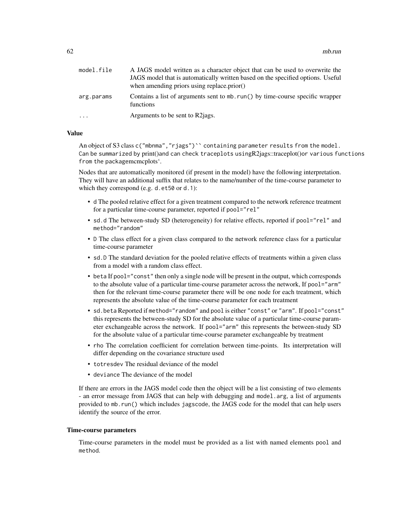| model.file | A JAGS model written as a character object that can be used to overwrite the                |
|------------|---------------------------------------------------------------------------------------------|
|            | JAGS model that is automatically written based on the specified options. Useful             |
|            | when amending priors using replace.prior()                                                  |
| arg.params | Contains a list of arguments sent to mb. run() by time-course specific wrapper<br>functions |
| $\cdots$   | Arguments to be sent to R2 ags.                                                             |

## Value

An object of S3 class c("mbnma","rjags")`` containing parameter results from the model. Can be summarized by print()and can check traceplots usingR2jags::traceplot()or various functions from the packagemcmcplots'.

Nodes that are automatically monitored (if present in the model) have the following interpretation. They will have an additional suffix that relates to the name/number of the time-course parameter to which they correspond (e.g. d.et50 or d.1):

- d The pooled relative effect for a given treatment compared to the network reference treatment for a particular time-course parameter, reported if pool="rel"
- sd.d The between-study SD (heterogeneity) for relative effects, reported if pool="rel" and method="random"
- D The class effect for a given class compared to the network reference class for a particular time-course parameter
- sd.D The standard deviation for the pooled relative effects of treatments within a given class from a model with a random class effect.
- beta If pool="const" then only a single node will be present in the output, which corresponds to the absolute value of a particular time-course parameter across the network, If pool="arm" then for the relevant time-course parameter there will be one node for each treatment, which represents the absolute value of the time-course parameter for each treatment
- sd.beta Reported if method="random" and pool is either "const" or "arm". If pool="const" this represents the between-study SD for the absolute value of a particular time-course parameter exchangeable across the network. If pool="arm" this represents the between-study SD for the absolute value of a particular time-course parameter exchangeable by treatment
- rho The correlation coefficient for correlation between time-points. Its interpretation will differ depending on the covariance structure used
- totresdev The residual deviance of the model
- deviance The deviance of the model

If there are errors in the JAGS model code then the object will be a list consisting of two elements - an error message from JAGS that can help with debugging and model.arg, a list of arguments provided to mb.run() which includes jagscode, the JAGS code for the model that can help users identify the source of the error.

#### Time-course parameters

Time-course parameters in the model must be provided as a list with named elements pool and method.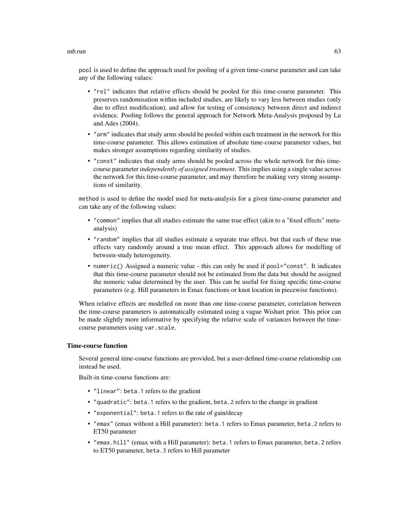#### $\mu$  mb.run 63

pool is used to define the approach used for pooling of a given time-course parameter and can take any of the following values:

- "rel" indicates that relative effects should be pooled for this time-course parameter. This preserves randomisation within included studies, are likely to vary less between studies (only due to effect modification), and allow for testing of consistency between direct and indirect evidence. Pooling follows the general approach for Network Meta-Analysis proposed by Lu and Ades (2004).
- "arm" indicates that study arms should be pooled within each treatment in the network for this time-course parameter. This allows estimation of absolute time-course parameter values, but makes stronger assumptions regarding similarity of studies.
- "const" indicates that study arms should be pooled across the whole network for this timecourse parameter *independently of assigned treatment*. This implies using a single value across the network for this time-course parameter, and may therefore be making very strong assumptions of similarity.

method is used to define the model used for meta-analysis for a given time-course parameter and can take any of the following values:

- "common" implies that all studies estimate the same true effect (akin to a "fixed effects" metaanalysis)
- "random" implies that all studies estimate a separate true effect, but that each of these true effects vary randomly around a true mean effect. This approach allows for modelling of between-study heterogeneity.
- numeric() Assigned a numeric value this can only be used if pool="const". It indicates that this time-course parameter should not be estimated from the data but should be assigned the numeric value determined by the user. This can be useful for fixing specific time-course parameters (e.g. Hill parameters in Emax functions or knot location in piecewise functions).

When relative effects are modelled on more than one time-course parameter, correlation between the time-course parameters is automatically estimated using a vague Wishart prior. This prior can be made slightly more informative by specifying the relative scale of variances between the timecourse parameters using var.scale.

### Time-course function

Several general time-course functions are provided, but a user-defined time-course relationship can instead be used.

Built-in time-course functions are:

- "linear": beta.1 refers to the gradient
- "quadratic": beta.1 refers to the gradient, beta.2 refers to the change in gradient
- "exponential": beta.1 refers to the rate of gain/decay
- "emax" (emax without a Hill parameter): beta.1 refers to Emax parameter, beta.2 refers to ET50 parameter
- "emax.hill" (emax with a Hill parameter): beta.1 refers to Emax parameter, beta.2 refers to ET50 parameter, beta.3 refers to Hill parameter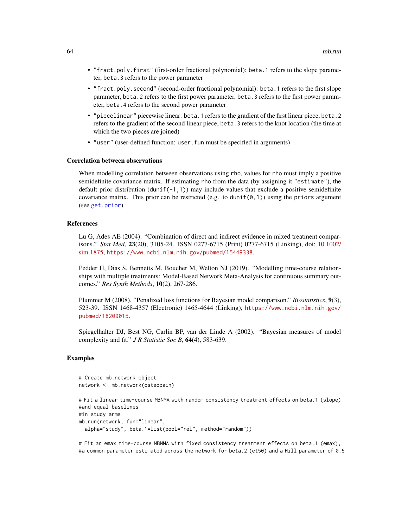- "fract.poly.first" (first-order fractional polynomial): beta.1 refers to the slope parameter, beta.3 refers to the power parameter
- "fract.poly.second" (second-order fractional polynomial): beta.1 refers to the first slope parameter, beta.2 refers to the first power parameter, beta.3 refers to the first power parameter, beta.4 refers to the second power parameter
- "piecelinear" piecewise linear: beta.1 refers to the gradient of the first linear piece, beta.2 refers to the gradient of the second linear piece, beta.3 refers to the knot location (the time at which the two pieces are joined)
- "user" (user-defined function: user. fun must be specified in arguments)

## Correlation between observations

When modelling correlation between observations using rho, values for rho must imply a positive semidefinite covariance matrix. If estimating rho from the data (by assigning it "estimate"), the default prior distribution (dunif(-1,1)) may include values that exclude a positive semidefinite covariance matrix. This prior can be restricted (e.g. to dunif( $\varnothing$ , 1)) using the priors argument (see [get.prior](#page-11-0))

# References

Lu G, Ades AE (2004). "Combination of direct and indirect evidence in mixed treatment comparisons." *Stat Med*, 23(20), 3105-24. ISSN 0277-6715 (Print) 0277-6715 (Linking), doi: [10.1002/](https://doi.org/10.1002/sim.1875) [sim.1875,](https://doi.org/10.1002/sim.1875) <https://www.ncbi.nlm.nih.gov/pubmed/15449338>.

Pedder H, Dias S, Bennetts M, Boucher M, Welton NJ (2019). "Modelling time-course relationships with multiple treatments: Model-Based Network Meta-Analysis for continuous summary outcomes." *Res Synth Methods*, 10(2), 267-286.

Plummer M (2008). "Penalized loss functions for Bayesian model comparison." *Biostatistics*, 9(3), 523-39. ISSN 1468-4357 (Electronic) 1465-4644 (Linking), [https://www.ncbi.nlm.nih.gov/](https://www.ncbi.nlm.nih.gov/pubmed/18209015) [pubmed/18209015](https://www.ncbi.nlm.nih.gov/pubmed/18209015).

Spiegelhalter DJ, Best NG, Carlin BP, van der Linde A (2002). "Bayesian measures of model complexity and fit." *J R Statistic Soc B*, 64(4), 583-639.

#### Examples

```
# Create mb.network object
network <- mb.network(osteopain)
```

```
# Fit a linear time-course MBNMA with random consistency treatment effects on beta.1 (slope)
#and equal baselines
#in study arms
mb.run(network, fun="linear",
 alpha="study", beta.1=list(pool="rel", method="random"))
```
# Fit an emax time-course MBNMA with fixed consistency treatment effects on beta.1 (emax), #a common parameter estimated across the network for beta.2 (et50) and a Hill parameter of 0.5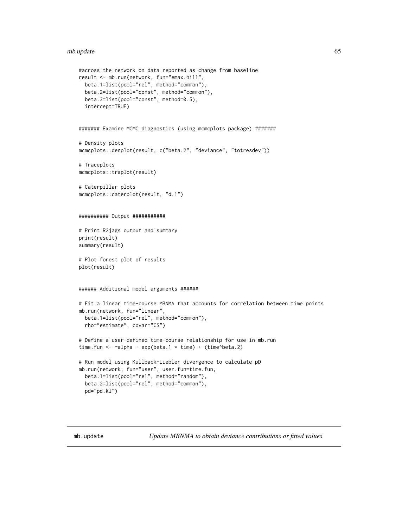#### mb.update 65

```
#across the network on data reported as change from baseline
result <- mb.run(network, fun="emax.hill",
 beta.1=list(pool="rel", method="common"),
 beta.2=list(pool="const", method="common"),
 beta.3=list(pool="const", method=0.5),
 intercept=TRUE)
####### Examine MCMC diagnostics (using mcmcplots package) #######
# Density plots
mcmcplots::denplot(result, c("beta.2", "deviance", "totresdev"))
# Traceplots
mcmcplots::traplot(result)
# Caterpillar plots
mcmcplots::caterplot(result, "d.1")
########## Output ###########
# Print R2jags output and summary
print(result)
summary(result)
# Plot forest plot of results
plot(result)
###### Additional model arguments ######
# Fit a linear time-course MBNMA that accounts for correlation between time points
mb.run(network, fun="linear",
 beta.1=list(pool="rel", method="common"),
 rho="estimate", covar="CS")
# Define a user-defined time-course relationship for use in mb.run
time.fun <- \simalpha + exp(beta.1 * time) + (time^beta.2)
# Run model using Kullback-Liebler divergence to calculate pD
mb.run(network, fun="user", user.fun=time.fun,
 beta.1=list(pool="rel", method="random"),
 beta.2=list(pool="rel", method="common"),
 pd="pd.kl")
```
mb.update *Update MBNMA to obtain deviance contributions or fitted values*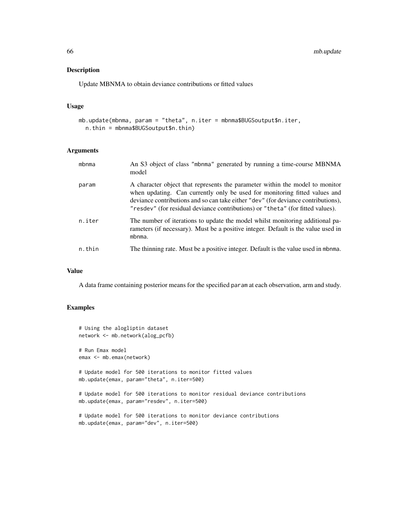# Description

Update MBNMA to obtain deviance contributions or fitted values

## Usage

```
mb.update(mbnma, param = "theta", n.iter = mbnma$BUGSoutput$n.iter,
 n.thin = mbnma$BUGSoutput$n.thin)
```
## Arguments

| mbnma  | An S3 object of class "mbnma" generated by running a time-course MBNMA<br>model                                                                                                                                                                                                                                                   |
|--------|-----------------------------------------------------------------------------------------------------------------------------------------------------------------------------------------------------------------------------------------------------------------------------------------------------------------------------------|
| param  | A character object that represents the parameter within the model to monitor<br>when updating. Can currently only be used for monitoring fitted values and<br>deviance contributions and so can take either "dev" (for deviance contributions),<br>"resdev" (for residual deviance contributions) or "theta" (for fitted values). |
| n.iter | The number of iterations to update the model whilst monitoring additional pa-<br>rameters (if necessary). Must be a positive integer. Default is the value used in<br>mbnma.                                                                                                                                                      |
| n.thin | The thinning rate. Must be a positive integer. Default is the value used in mbnma.                                                                                                                                                                                                                                                |

# Value

A data frame containing posterior means for the specified param at each observation, arm and study.

# Examples

```
# Using the alogliptin dataset
network <- mb.network(alog_pcfb)
# Run Emax model
emax <- mb.emax(network)
# Update model for 500 iterations to monitor fitted values
mb.update(emax, param="theta", n.iter=500)
# Update model for 500 iterations to monitor residual deviance contributions
mb.update(emax, param="resdev", n.iter=500)
# Update model for 500 iterations to monitor deviance contributions
```
mb.update(emax, param="dev", n.iter=500)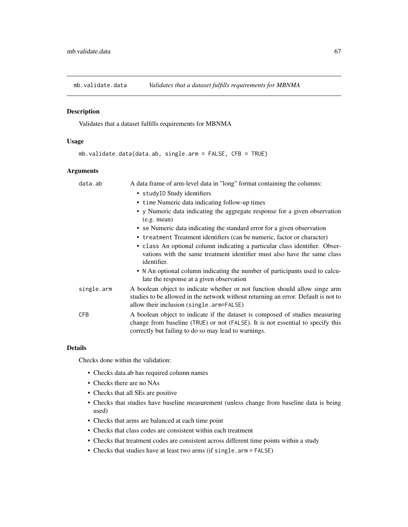#### Description

Validates that a dataset fulfills requirements for MBNMA

## Usage

```
mb.validate.data(data.ab, single.arm = FALSE, CFB = TRUE)
```
## Arguments

| data.ab    | A data frame of arm-level data in "long" format containing the columns:                                                                                                                                                 |
|------------|-------------------------------------------------------------------------------------------------------------------------------------------------------------------------------------------------------------------------|
|            | • studyID Study identifiers                                                                                                                                                                                             |
|            | • time Numeric data indicating follow-up times                                                                                                                                                                          |
|            | • y Numeric data indicating the aggregate response for a given observation<br>(e.g. mean)                                                                                                                               |
|            | • se Numeric data indicating the standard error for a given observation                                                                                                                                                 |
|            | • treatment Treatment identifiers (can be numeric, factor or character)                                                                                                                                                 |
|            | • class An optional column indicating a particular class identifier. Obser-<br>vations with the same treatment identifier must also have the same class<br>identifier.                                                  |
|            | • N An optional column indicating the number of participants used to calcu-<br>late the response at a given observation                                                                                                 |
| single.arm | A boolean object to indicate whether or not function should allow singe arm<br>studies to be allowed in the network without returning an error. Default is not to<br>allow their inclusion (single.arm=FALSE)           |
| CFB        | A boolean object to indicate if the dataset is composed of studies measuring<br>change from baseline (TRUE) or not (FALSE). It is not essential to specify this<br>correctly but failing to do so may lead to warnings. |

## Details

Checks done within the validation:

- Checks data.ab has required column names
- Checks there are no NAs
- Checks that all SEs are positive
- Checks that studies have baseline measurement (unless change from baseline data is being used)
- Checks that arms are balanced at each time point
- Checks that class codes are consistent within each treatment
- Checks that treatment codes are consistent across different time points within a study
- Checks that studies have at least two arms (if single.arm = FALSE)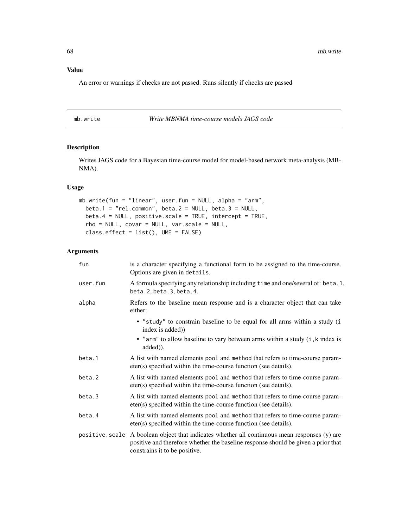# Value

An error or warnings if checks are not passed. Runs silently if checks are passed

mb.write *Write MBNMA time-course models JAGS code*

# Description

Writes JAGS code for a Bayesian time-course model for model-based network meta-analysis (MB-NMA).

# Usage

```
mb.write(fun = "linear", user.fun = NULL, alpha = "arm",
 beta.1 = "rel.common", beta.2 = NULL, beta.3 = NULL,
 beta.4 = NULL, positive.scale = TRUE, intercept = TRUE,
 rho = NULL, covar = NULL, var.scale = NULL,
 class.effect = list(), UME = FALSE)
```

| fun      | is a character specifying a functional form to be assigned to the time-course.<br>Options are given in details.                                                                                                    |
|----------|--------------------------------------------------------------------------------------------------------------------------------------------------------------------------------------------------------------------|
| user.fun | A formula specifying any relationship including time and one/several of: beta.1,<br>beta. 2, beta. 3, beta. 4.                                                                                                     |
| alpha    | Refers to the baseline mean response and is a character object that can take<br>either:                                                                                                                            |
|          | • "study" to constrain baseline to be equal for all arms within a study (i<br>index is added))                                                                                                                     |
|          | • "arm" to allow baseline to vary between arms within a study (i, k index is<br>added)).                                                                                                                           |
| beta.1   | A list with named elements pool and method that refers to time-course param-<br>eter(s) specified within the time-course function (see details).                                                                   |
| beta.2   | A list with named elements pool and method that refers to time-course param-<br>eter(s) specified within the time-course function (see details).                                                                   |
| beta.3   | A list with named elements pool and method that refers to time-course param-<br>eter(s) specified within the time-course function (see details).                                                                   |
| beta.4   | A list with named elements pool and method that refers to time-course param-<br>eter(s) specified within the time-course function (see details).                                                                   |
|          | positive scale A boolean object that indicates whether all continuous mean responses (y) are<br>positive and therefore whether the baseline response should be given a prior that<br>constrains it to be positive. |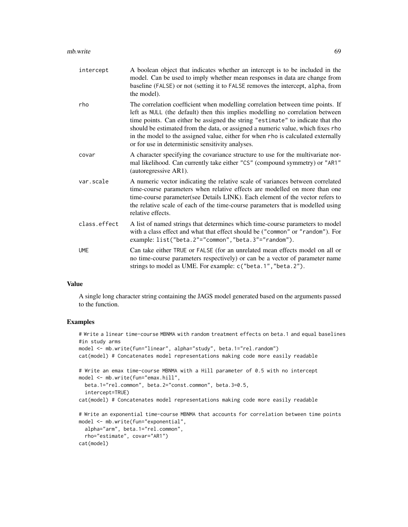#### $\mu$  mb.write 69

| intercept    | A boolean object that indicates whether an intercept is to be included in the<br>model. Can be used to imply whether mean responses in data are change from<br>baseline (FALSE) or not (setting it to FALSE removes the intercept, alpha, from<br>the model).                                                                                                                                                                                                                 |
|--------------|-------------------------------------------------------------------------------------------------------------------------------------------------------------------------------------------------------------------------------------------------------------------------------------------------------------------------------------------------------------------------------------------------------------------------------------------------------------------------------|
| rho          | The correlation coefficient when modelling correlation between time points. If<br>left as NULL (the default) then this implies modelling no correlation between<br>time points. Can either be assigned the string "estimate" to indicate that rho<br>should be estimated from the data, or assigned a numeric value, which fixes rho<br>in the model to the assigned value, either for when rho is calculated externally<br>or for use in deterministic sensitivity analyses. |
| covar        | A character specifying the covariance structure to use for the multivariate nor-<br>mal likelihood. Can currently take either "CS" (compound symmetry) or "AR1"<br>(autoregressive AR1).                                                                                                                                                                                                                                                                                      |
| var.scale    | A numeric vector indicating the relative scale of variances between correlated<br>time-course parameters when relative effects are modelled on more than one<br>time-course parameter(see Details LINK). Each element of the vector refers to<br>the relative scale of each of the time-course parameters that is modelled using<br>relative effects.                                                                                                                         |
| class.effect | A list of named strings that determines which time-course parameters to model<br>with a class effect and what that effect should be ("common" or "random"). For<br>example: list("beta.2"="common","beta.3"="random").                                                                                                                                                                                                                                                        |
| <b>UME</b>   | Can take either TRUE or FALSE (for an unrelated mean effects model on all or<br>no time-course parameters respectively) or can be a vector of parameter name<br>strings to model as UME. For example: c("beta.1", "beta.2").                                                                                                                                                                                                                                                  |

## Value

A single long character string containing the JAGS model generated based on the arguments passed to the function.

# Examples

```
# Write a linear time-course MBNMA with random treatment effects on beta.1 and equal baselines
#in study arms
model <- mb.write(fun="linear", alpha="study", beta.1="rel.random")
cat(model) # Concatenates model representations making code more easily readable
# Write an emax time-course MBNMA with a Hill parameter of 0.5 with no intercept
model <- mb.write(fun="emax.hill",
  beta.1="rel.common", beta.2="const.common", beta.3=0.5,
  intercept=TRUE)
cat(model) # Concatenates model representations making code more easily readable
# Write an exponential time-course MBNMA that accounts for correlation between time points
model <- mb.write(fun="exponential",
  alpha="arm", beta.1="rel.common",
  rho="estimate", covar="AR1")
cat(model)
```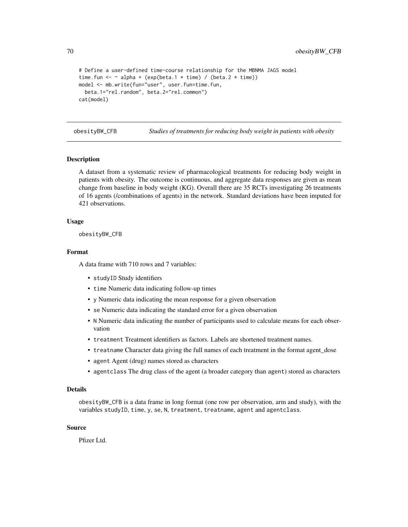70 obesityBW\_CFB

```
# Define a user-defined time-course relationship for the MBNMA JAGS model
time.fun <- \sim alpha + (exp(beta.1 \star time) / (beta.2 \star time))
model <- mb.write(fun="user", user.fun=time.fun,
  beta.1="rel.random", beta.2="rel.common")
cat(model)
```
obesityBW\_CFB *Studies of treatments for reducing body weight in patients with obesity*

### Description

A dataset from a systematic review of pharmacological treatments for reducing body weight in patients with obesity. The outcome is continuous, and aggregate data responses are given as mean change from baseline in body weight (KG). Overall there are 35 RCTs investigating 26 treatments of 16 agents (/combinations of agents) in the network. Standard deviations have been imputed for 421 observations.

## Usage

obesityBW\_CFB

# Format

A data frame with 710 rows and 7 variables:

- studyID Study identifiers
- time Numeric data indicating follow-up times
- y Numeric data indicating the mean response for a given observation
- se Numeric data indicating the standard error for a given observation
- N Numeric data indicating the number of participants used to calculate means for each observation
- treatment Treatment identifiers as factors. Labels are shortened treatment names.
- treatname Character data giving the full names of each treatment in the format agent\_dose
- agent Agent (drug) names stored as characters
- agentclass The drug class of the agent (a broader category than agent) stored as characters

#### Details

obesityBW\_CFB is a data frame in long format (one row per observation, arm and study), with the variables studyID, time, y, se, N, treatment, treatname, agent and agentclass.

# Source

Pfizer Ltd.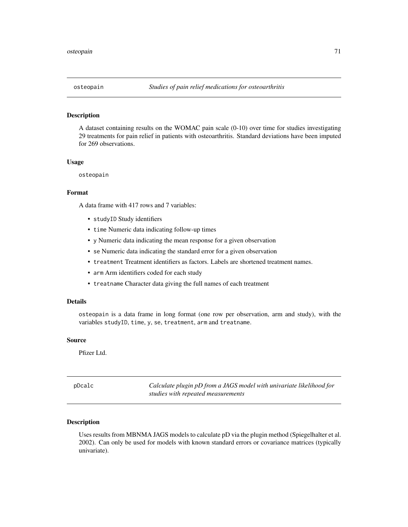### Description

A dataset containing results on the WOMAC pain scale (0-10) over time for studies investigating 29 treatments for pain relief in patients with osteoarthritis. Standard deviations have been imputed for 269 observations.

#### Usage

osteopain

#### Format

A data frame with 417 rows and 7 variables:

- studyID Study identifiers
- time Numeric data indicating follow-up times
- y Numeric data indicating the mean response for a given observation
- se Numeric data indicating the standard error for a given observation
- treatment Treatment identifiers as factors. Labels are shortened treatment names.
- arm Arm identifiers coded for each study
- treatname Character data giving the full names of each treatment

## Details

osteopain is a data frame in long format (one row per observation, arm and study), with the variables studyID, time, y, se, treatment, arm and treatname.

#### Source

Pfizer Ltd.

pDcalc *Calculate plugin pD from a JAGS model with univariate likelihood for studies with repeated measurements*

# **Description**

Uses results from MBNMA JAGS models to calculate pD via the plugin method (Spiegelhalter et al. 2002). Can only be used for models with known standard errors or covariance matrices (typically univariate).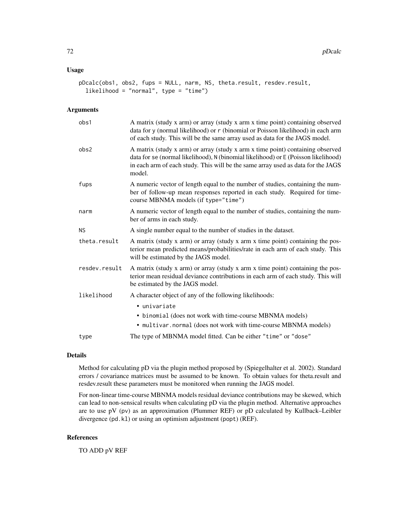# Usage

```
pDcalc(obs1, obs2, fups = NULL, narm, NS, theta.result, resdev.result,
  likelihood = "normal", type = "time")
```
# Arguments

| obs1          | A matrix (study x arm) or array (study x arm x time point) containing observed<br>data for y (normal likelihood) or r (binomial or Poisson likelihood) in each arm<br>of each study. This will be the same array used as data for the JAGS model.                  |
|---------------|--------------------------------------------------------------------------------------------------------------------------------------------------------------------------------------------------------------------------------------------------------------------|
| obs2          | A matrix (study x arm) or array (study x arm x time point) containing observed<br>data for se (normal likelihood), N (binomial likelihood) or E (Poisson likelihood)<br>in each arm of each study. This will be the same array used as data for the JAGS<br>model. |
| fups          | A numeric vector of length equal to the number of studies, containing the num-<br>ber of follow-up mean responses reported in each study. Required for time-<br>course MBNMA models (if type="time")                                                               |
| narm          | A numeric vector of length equal to the number of studies, containing the num-<br>ber of arms in each study.                                                                                                                                                       |
| <b>NS</b>     | A single number equal to the number of studies in the dataset.                                                                                                                                                                                                     |
| theta.result  | A matrix (study x arm) or array (study x arm x time point) containing the pos-<br>terior mean predicted means/probabilities/rate in each arm of each study. This<br>will be estimated by the JAGS model.                                                           |
| resdev.result | A matrix (study x arm) or array (study x arm x time point) containing the pos-<br>terior mean residual deviance contributions in each arm of each study. This will<br>be estimated by the JAGS model.                                                              |
| likelihood    | A character object of any of the following likelihoods:                                                                                                                                                                                                            |
|               | • univariate                                                                                                                                                                                                                                                       |
|               | • binomial (does not work with time-course MBNMA models)                                                                                                                                                                                                           |
|               | • multivar.normal (does not work with time-course MBNMA models)                                                                                                                                                                                                    |
| type          | The type of MBNMA model fitted. Can be either "time" or "dose"                                                                                                                                                                                                     |

# Details

Method for calculating pD via the plugin method proposed by (Spiegelhalter et al. 2002). Standard errors / covariance matrices must be assumed to be known. To obtain values for theta.result and resdev.result these parameters must be monitored when running the JAGS model.

For non-linear time-course MBNMA models residual deviance contributions may be skewed, which can lead to non-sensical results when calculating pD via the plugin method. Alternative approaches are to use pV (pv) as an approximation (Plummer REF) or pD calculated by Kullback–Leibler divergence (pd.kl) or using an optimism adjustment (popt) (REF).

### References

TO ADD pV REF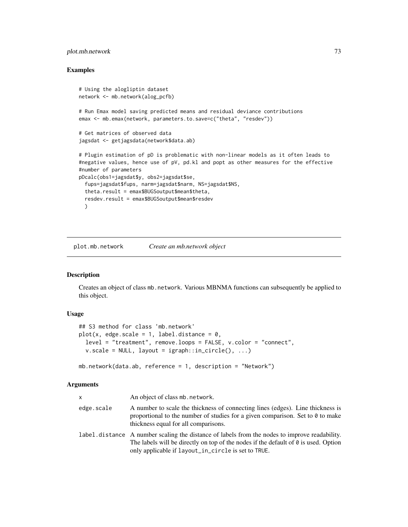## <span id="page-72-0"></span>plot.mb.network 73

#### Examples

```
# Using the alogliptin dataset
network <- mb.network(alog_pcfb)
# Run Emax model saving predicted means and residual deviance contributions
emax <- mb.emax(network, parameters.to.save=c("theta", "resdev"))
# Get matrices of observed data
jagsdat <- getjagsdata(network$data.ab)
# Plugin estimation of pD is problematic with non-linear models as it often leads to
#negative values, hence use of pV, pd.kl and popt as other measures for the effective
#number of parameters
pDcalc(obs1=jagsdat$y, obs2=jagsdat$se,
  fups=jagsdat$fups, narm=jagsdat$narm, NS=jagsdat$NS,
  theta.result = emax$BUGSoutput$mean$theta,
  resdev.result = emax$BUGSoutput$mean$resdev
  )
```
plot.mb.network *Create an mb.network object*

## Description

Creates an object of class mb.network. Various MBNMA functions can subsequently be applied to this object.

#### Usage

```
## S3 method for class 'mb.network'
plot(x, edge.scale = 1, label.distance = 0,
  level = "treatment", remove.loops = FALSE, v.color = "connect",
  v.\text{scale} = \text{NULL}, \text{ layout} = \text{igraph}::\text{in\_circle}(), ...
```

```
mb.network(data.ab, reference = 1, description = "Network")
```

| <b>X</b>   | An object of class mb. network.                                                                                                                                                                                                                     |
|------------|-----------------------------------------------------------------------------------------------------------------------------------------------------------------------------------------------------------------------------------------------------|
| edge.scale | A number to scale the thickness of connecting lines (edges). Line thickness is<br>proportional to the number of studies for a given comparison. Set to $\theta$ to make<br>thickness equal for all comparisons.                                     |
|            | label. distance A number scaling the distance of labels from the nodes to improve readability.<br>The labels will be directly on top of the nodes if the default of $\theta$ is used. Option<br>only applicable if layout_in_circle is set to TRUE. |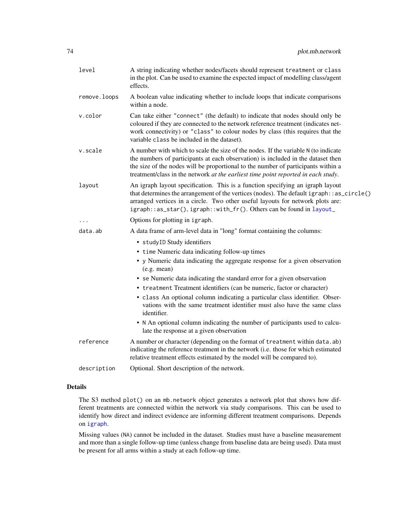<span id="page-73-0"></span>

| A string indicating whether nodes/facets should represent treatment or class<br>in the plot. Can be used to examine the expected impact of modelling class/agent<br>effects.                                                                                                                                                                     |
|--------------------------------------------------------------------------------------------------------------------------------------------------------------------------------------------------------------------------------------------------------------------------------------------------------------------------------------------------|
| A boolean value indicating whether to include loops that indicate comparisons<br>within a node.                                                                                                                                                                                                                                                  |
| Can take either "connect" (the default) to indicate that nodes should only be<br>coloured if they are connected to the network reference treatment (indicates net-<br>work connectivity) or "class" to colour nodes by class (this requires that the<br>variable class be included in the dataset).                                              |
| A number with which to scale the size of the nodes. If the variable N (to indicate<br>the numbers of participants at each observation) is included in the dataset then<br>the size of the nodes will be proportional to the number of participants within a<br>treatment/class in the network at the earliest time point reported in each study. |
| An igraph layout specification. This is a function specifying an igraph layout<br>that determines the arrangement of the vertices (nodes). The default igraph::as_circle()<br>arranged vertices in a circle. Two other useful layouts for network plots are:<br>igraph::as_star(),igraph::with_fr(). Others can be found in layout_              |
| Options for plotting in igraph.                                                                                                                                                                                                                                                                                                                  |
| A data frame of arm-level data in "long" format containing the columns:                                                                                                                                                                                                                                                                          |
| · studyID Study identifiers                                                                                                                                                                                                                                                                                                                      |
| • time Numeric data indicating follow-up times                                                                                                                                                                                                                                                                                                   |
| • y Numeric data indicating the aggregate response for a given observation<br>(e.g. mean)                                                                                                                                                                                                                                                        |
| • se Numeric data indicating the standard error for a given observation                                                                                                                                                                                                                                                                          |
| • treatment Treatment identifiers (can be numeric, factor or character)                                                                                                                                                                                                                                                                          |
| • class An optional column indicating a particular class identifier. Obser-<br>vations with the same treatment identifier must also have the same class<br>identifier.                                                                                                                                                                           |
| • N An optional column indicating the number of participants used to calcu-<br>late the response at a given observation                                                                                                                                                                                                                          |
| A number or character (depending on the format of treatment within data.ab)<br>indicating the reference treatment in the network (i.e. those for which estimated<br>relative treatment effects estimated by the model will be compared to).                                                                                                      |
| Optional. Short description of the network.                                                                                                                                                                                                                                                                                                      |
|                                                                                                                                                                                                                                                                                                                                                  |

## Details

The S3 method plot() on an mb.network object generates a network plot that shows how different treatments are connected within the network via study comparisons. This can be used to identify how direct and indirect evidence are informing different treatment comparisons. Depends on [igraph](#page-0-0).

Missing values (NA) cannot be included in the dataset. Studies must have a baseline measurement and more than a single follow-up time (unless change from baseline data are being used). Data must be present for all arms within a study at each follow-up time.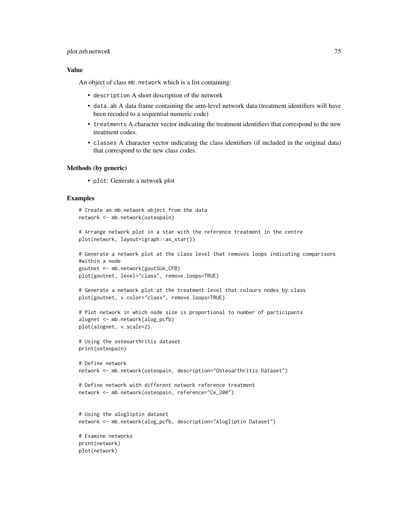#### plot.mb.network 75

#### Value

An object of class mb.network which is a list containing:

- description A short description of the network
- data.ab A data frame containing the arm-level network data (treatment identifiers will have been recoded to a sequential numeric code)
- treatments A character vector indicating the treatment identifiers that correspond to the new treatment codes.
- classes A character vector indicating the class identifiers (if included in the original data) that correspond to the new class codes.

#### Methods (by generic)

• plot: Generate a network plot

#### Examples

```
# Create an mb.network object from the data
network <- mb.network(osteopain)
```

```
# Arrange network plot in a star with the reference treatment in the centre
plot(network, layout=igraph::as_star())
```

```
# Generate a network plot at the class level that removes loops indicating comparisons
#within a node
goutnet <- mb.network(goutSUA_CFB)
plot(goutnet, level="class", remove.loops=TRUE)
```

```
# Generate a network plot at the treatment level that colours nodes by class
plot(goutnet, v.color="class", remove.loops=TRUE)
```

```
# Plot network in which node size is proportional to number of participants
alognet <- mb.network(alog_pcfb)
plot(alognet, v.scale=2)
```

```
# Using the osteoarthritis dataset
print(osteopain)
```

```
# Define network
network <- mb.network(osteopain, description="Osteoarthritis Dataset")
```

```
# Define network with different network reference treatment
network <- mb.network(osteopain, reference="Ce_200")
```

```
# Using the alogliptin dataset
network <- mb.network(alog_pcfb, description="Alogliptin Dataset")
```

```
# Examine networks
print(network)
plot(network)
```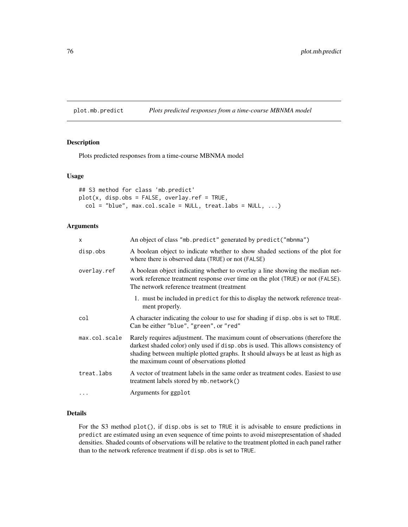<span id="page-75-0"></span>plot.mb.predict *Plots predicted responses from a time-course MBNMA model*

## Description

Plots predicted responses from a time-course MBNMA model

#### Usage

```
## S3 method for class 'mb.predict'
plot(x, disp.obs = FALSE, overlap.ref = TRUE,col = "blue", max,col.scale = NULL, treat.labs = NULL, ...)
```
#### Arguments

| $\mathsf{x}$  | An object of class "mb. predict" generated by predict ("mbnma")                                                                                                                                                                                                                                   |
|---------------|---------------------------------------------------------------------------------------------------------------------------------------------------------------------------------------------------------------------------------------------------------------------------------------------------|
| disp.obs      | A boolean object to indicate whether to show shaded sections of the plot for<br>where there is observed data (TRUE) or not (FALSE)                                                                                                                                                                |
| overlay.ref   | A boolean object indicating whether to overlay a line showing the median net-<br>work reference treatment response over time on the plot (TRUE) or not (FALSE).<br>The network reference treatment (treatment                                                                                     |
|               | 1. must be included in predict for this to display the network reference treat-<br>ment properly.                                                                                                                                                                                                 |
| col           | A character indicating the colour to use for shading if disp.obs is set to TRUE.<br>Can be either "blue", "green", or "red"                                                                                                                                                                       |
| max.col.scale | Rarely requires adjustment. The maximum count of observations (therefore the<br>darkest shaded color) only used if disp. obs is used. This allows consistency of<br>shading between multiple plotted graphs. It should always be at least as high as<br>the maximum count of observations plotted |
| treat.labs    | A vector of treatment labels in the same order as treatment codes. Easiest to use<br>(contract treatment labels stored by mb. network()                                                                                                                                                           |
| $\cdot$       | Arguments for ggplot                                                                                                                                                                                                                                                                              |

#### Details

For the S3 method plot(), if disp.obs is set to TRUE it is advisable to ensure predictions in predict are estimated using an even sequence of time points to avoid misrepresentation of shaded densities. Shaded counts of observations will be relative to the treatment plotted in each panel rather than to the network reference treatment if disp.obs is set to TRUE.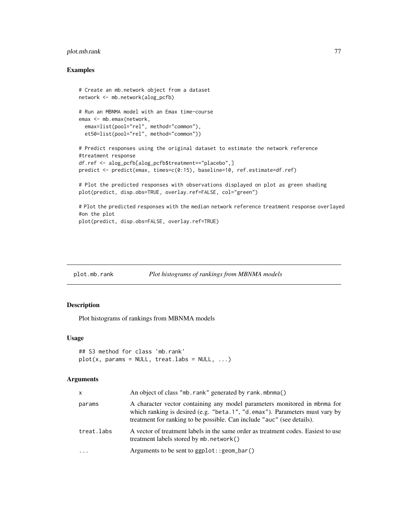## <span id="page-76-0"></span>plot.mb.rank 77

#### Examples

```
# Create an mb.network object from a dataset
network <- mb.network(alog_pcfb)
# Run an MBNMA model with an Emax time-course
emax <- mb.emax(network,
 emax=list(pool="rel", method="common"),
 et50=list(pool="rel", method="common"))
# Predict responses using the original dataset to estimate the network reference
#treatment response
df.ref <- alog_pcfb[alog_pcfb$treatment=="placebo",]
predict <- predict(emax, times=c(0:15), baseline=10, ref.estimate=df.ref)
# Plot the predicted responses with observations displayed on plot as green shading
plot(predict, disp.obs=TRUE, overlay.ref=FALSE, col="green")
# Plot the predicted responses with the median network reference treatment response overlayed
#on the plot
plot(predict, disp.obs=FALSE, overlay.ref=TRUE)
```
## plot.mb.rank *Plot histograms of rankings from MBNMA models*

#### Description

Plot histograms of rankings from MBNMA models

#### Usage

```
## S3 method for class 'mb.rank'
plot(x, params = NULL, treat.labs = NULL, ...)
```

| X          | An object of class "mb. rank" generated by rank. mbnma()                                                                                                                                                                           |
|------------|------------------------------------------------------------------------------------------------------------------------------------------------------------------------------------------------------------------------------------|
| params     | A character vector containing any model parameters monitored in mbnma for<br>which ranking is desired (e.g. "beta.1", "d.emax"). Parameters must vary by<br>treatment for ranking to be possible. Can include "auc" (see details). |
| treat.labs | A vector of treatment labels in the same order as treatment codes. Easiest to use<br>treatment labels stored by $mb$ . network $()$                                                                                                |
| $\cdot$    | Arguments to be sent to $ggplot::geom\_bar()$                                                                                                                                                                                      |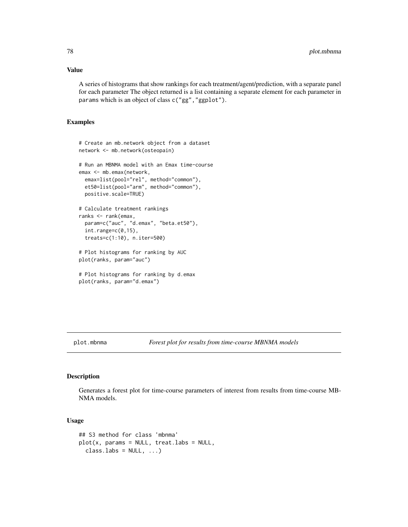#### <span id="page-77-0"></span>Value

A series of histograms that show rankings for each treatment/agent/prediction, with a separate panel for each parameter The object returned is a list containing a separate element for each parameter in params which is an object of class c("gg","ggplot").

#### Examples

```
# Create an mb.network object from a dataset
network <- mb.network(osteopain)
# Run an MBNMA model with an Emax time-course
emax <- mb.emax(network,
 emax=list(pool="rel", method="common"),
 et50=list(pool="arm", method="common"),
 positive.scale=TRUE)
# Calculate treatment rankings
ranks <- rank(emax,
 param=c("auc", "d.emax", "beta.et50"),
 int.range=c(0,15),
 treats=c(1:10), n.iter=500)
# Plot histograms for ranking by AUC
plot(ranks, param="auc")
# Plot histograms for ranking by d.emax
plot(ranks, param="d.emax")
```
plot.mbnma *Forest plot for results from time-course MBNMA models*

#### Description

Generates a forest plot for time-course parameters of interest from results from time-course MB-NMA models.

## Usage

```
## S3 method for class 'mbnma'
plot(x, parents = NULL, treat. labs = NULL,class.\nlabel{eq:loss} \text{Labs} = \text{NULL}, \ldots)
```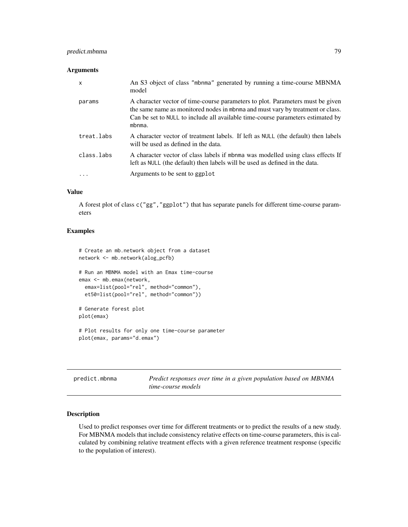## <span id="page-78-0"></span>predict.mbnma 79

#### Arguments

| X          | An S3 object of class "mbnma" generated by running a time-course MBNMA<br>model                                                                                                                                                                               |
|------------|---------------------------------------------------------------------------------------------------------------------------------------------------------------------------------------------------------------------------------------------------------------|
| params     | A character vector of time-course parameters to plot. Parameters must be given<br>the same name as monitored nodes in mbnma and must vary by treatment or class.<br>Can be set to NULL to include all available time-course parameters estimated by<br>mbnma. |
| treat.labs | A character vector of treatment labels. If left as NULL (the default) then labels<br>will be used as defined in the data.                                                                                                                                     |
| class.labs | A character vector of class labels if mbnma was modelled using class effects If<br>left as NULL (the default) then labels will be used as defined in the data.                                                                                                |
| .          | Arguments to be sent to ggplot                                                                                                                                                                                                                                |

## Value

A forest plot of class c("gg","ggplot") that has separate panels for different time-course parameters

## Examples

```
# Create an mb.network object from a dataset
network <- mb.network(alog_pcfb)
# Run an MBNMA model with an Emax time-course
emax <- mb.emax(network,
  emax=list(pool="rel", method="common"),
  et50=list(pool="rel", method="common"))
# Generate forest plot
plot(emax)
# Plot results for only one time-course parameter
plot(emax, params="d.emax")
```

| predict.mbnma | Predict responses over time in a given population based on MBNMA |
|---------------|------------------------------------------------------------------|
|               | time-course models                                               |

## Description

Used to predict responses over time for different treatments or to predict the results of a new study. For MBNMA models that include consistency relative effects on time-course parameters, this is calculated by combining relative treatment effects with a given reference treatment response (specific to the population of interest).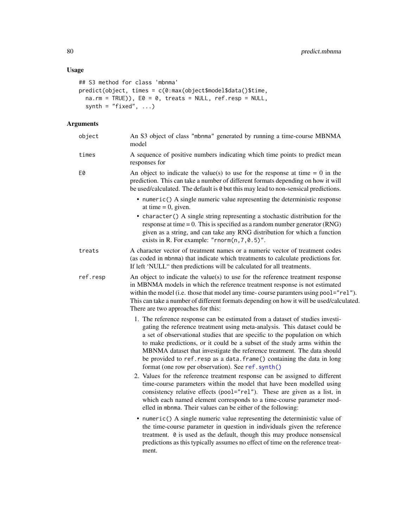# <span id="page-79-0"></span>Usage

```
## S3 method for class 'mbnma'
predict(object, times = c(0:max(object$model$data()$time,
 na.rm = TRUE), E0 = 0, treats = NULL, ref.resp = NULL,
  synth = "fixed", ...
```

| object   | An S3 object of class "mbnma" generated by running a time-course MBNMA<br>model                                                                                                                                                                                                                                                                                                                                                                                                                                                                                                                                                                                                            |
|----------|--------------------------------------------------------------------------------------------------------------------------------------------------------------------------------------------------------------------------------------------------------------------------------------------------------------------------------------------------------------------------------------------------------------------------------------------------------------------------------------------------------------------------------------------------------------------------------------------------------------------------------------------------------------------------------------------|
| times    | A sequence of positive numbers indicating which time points to predict mean<br>responses for                                                                                                                                                                                                                                                                                                                                                                                                                                                                                                                                                                                               |
| E0       | An object to indicate the value(s) to use for the response at time $= 0$ in the<br>prediction. This can take a number of different formats depending on how it will<br>be used/calculated. The default is 0 but this may lead to non-sensical predictions.                                                                                                                                                                                                                                                                                                                                                                                                                                 |
|          | • numeric() A single numeric value representing the deterministic response<br>at time $= 0$ , given.<br>• character() A single string representing a stochastic distribution for the<br>response at time $= 0$ . This is specified as a random number generator (RNG)<br>given as a string, and can take any RNG distribution for which a function<br>exists in R. For example: " $rnorm(n, 7, 0.5)$ ".                                                                                                                                                                                                                                                                                    |
| treats   | A character vector of treatment names or a numeric vector of treatment codes<br>(as coded in mbnma) that indicate which treatments to calculate predictions for.<br>If left 'NULL" then predictions will be calculated for all treatments.                                                                                                                                                                                                                                                                                                                                                                                                                                                 |
| ref.resp | An object to indicate the value(s) to use for the reference treatment response<br>in MBNMA models in which the reference treatment response is not estimated<br>within the model (i.e. those that model any time-course paramters using pool="rel").<br>This can take a number of different formats depending on how it will be used/calculated.<br>There are two approaches for this:                                                                                                                                                                                                                                                                                                     |
|          | 1. The reference response can be estimated from a dataset of studies investi-<br>gating the reference treatment using meta-analysis. This dataset could be<br>a set of observational studies that are specific to the population on which<br>to make predictions, or it could be a subset of the study arms within the<br>MBNMA dataset that investigate the reference treatment. The data should<br>be provided to ref. resp as a data. frame() containing the data in long<br>format (one row per observation). See ref. synth()<br>2. Values for the reference treatment response can be assigned to different<br>time-course parameters within the model that have been modelled using |
|          | consistency relative effects (pool="rel"). These are given as a list, in<br>which each named element corresponds to a time-course parameter mod-<br>elled in mbnma. Their values can be either of the following:                                                                                                                                                                                                                                                                                                                                                                                                                                                                           |
|          | • numeric() A single numeric value representing the deterministic value of<br>the time-course parameter in question in individuals given the reference<br>treatment. 0 is used as the default, though this may produce nonsensical<br>predictions as this typically assumes no effect of time on the reference treat-<br>ment.                                                                                                                                                                                                                                                                                                                                                             |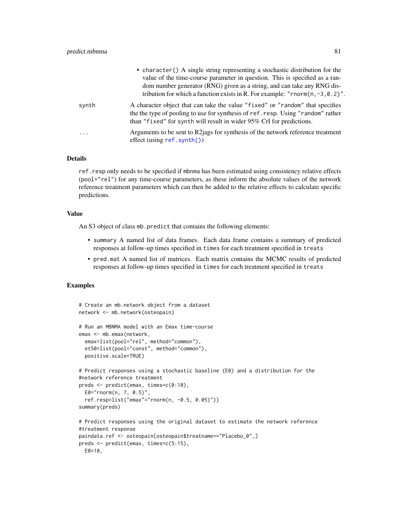<span id="page-80-0"></span>

|         | • character () A single string representing a stochastic distribution for the<br>value of the time-course parameter in question. This is specified as a ran-<br>dom number generator (RNG) given as a string, and can take any RNG dis-<br>tribution for which a function exists in R. For example: "rnorm $(n, -3, 0.2)$ ". |
|---------|------------------------------------------------------------------------------------------------------------------------------------------------------------------------------------------------------------------------------------------------------------------------------------------------------------------------------|
| synth   | A character object that can take the value "fixed" or "random" that specifies<br>the the type of pooling to use for synthesis of ref. resp. Using "random" rather<br>than "fixed" for synth will result in wider 95% CrI for predictions.                                                                                    |
| $\cdot$ | Arguments to be sent to R2jags for synthesis of the network reference treatment<br>$effect$ (using ref. synth())                                                                                                                                                                                                             |

## Details

ref.resp only needs to be specified if mbnma has been estimated using consistency relative effects (pool="rel") for any time-course parameters, as these inform the absolute values of the network reference treatment parameters which can then be added to the relative effects to calculate specific predictions.

#### Value

An S3 object of class mb.predict that contains the following elements:

- summary A named list of data frames. Each data frame contains a summary of predicted responses at follow-up times specified in times for each treatment specified in treats
- pred.mat A named list of matrices. Each matrix contains the MCMC results of predicted responses at follow-up times specified in times for each treatment specified in treats

## Examples

```
# Create an mb.network object from a dataset
network <- mb.network(osteopain)
# Run an MBNMA model with an Emax time-course
emax <- mb.emax(network,
 emax=list(pool="rel", method="common"),
 et50=list(pool="const", method="common"),
 positive.scale=TRUE)
# Predict responses using a stochastic baseline (E0) and a distribution for the
#network reference treatment
preds <- predict(emax, times=c(0:10),
 E0="rnorm(n, 7, 0.5)",
 ref.resp=list("emax"="rnorm(n, -0.5, 0.05)"))
summary(preds)
# Predict responses using the original dataset to estimate the network reference
#treatment response
paindata.ref <- osteopain[osteopain$treatname=="Placebo_0",]
preds <- predict(emax, times=c(5:15),
 E0 = 10,
```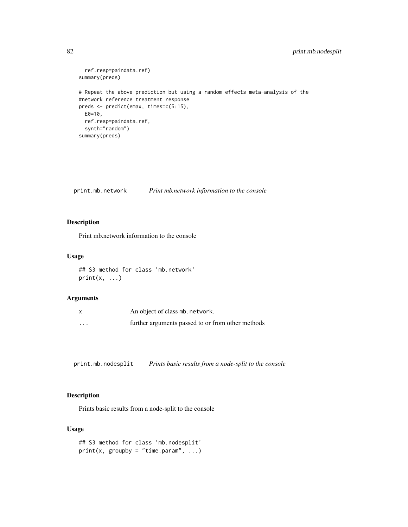```
ref.resp=paindata.ref)
summary(preds)
# Repeat the above prediction but using a random effects meta-analysis of the
#network reference treatment response
preds <- predict(emax, times=c(5:15),
 E0=10,
  ref.resp=paindata.ref,
  synth="random")
summary(preds)
```
print.mb.network *Print mb.network information to the console*

## Description

Print mb.network information to the console

## Usage

## S3 method for class 'mb.network'  $print(x, \ldots)$ 

#### Arguments

|          | An object of class mb. network.                   |
|----------|---------------------------------------------------|
| $\cdots$ | further arguments passed to or from other methods |

print.mb.nodesplit *Prints basic results from a node-split to the console*

# Description

Prints basic results from a node-split to the console

## Usage

```
## S3 method for class 'mb.nodesplit'
print(x, groupby = "time.param", ...)
```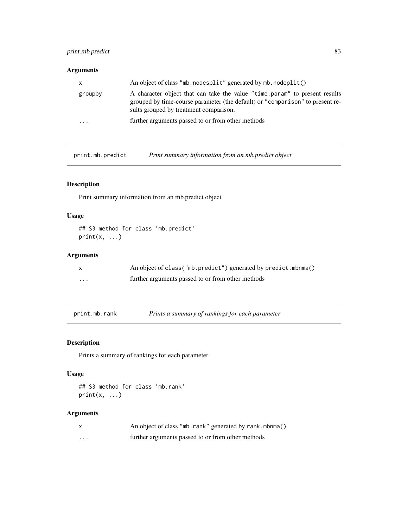## <span id="page-82-0"></span>print.mb.predict 83

# Arguments

| X                    | An object of class "mb. nodesplit" generated by mb. nodeplit()                                                                                                                                        |
|----------------------|-------------------------------------------------------------------------------------------------------------------------------------------------------------------------------------------------------|
| groupby              | A character object that can take the value "time param" to present results<br>grouped by time-course parameter (the default) or "comparison" to present re-<br>sults grouped by treatment comparison. |
| $\ddot{\phantom{0}}$ | further arguments passed to or from other methods                                                                                                                                                     |

print.mb.predict *Print summary information from an mb.predict object*

## Description

Print summary information from an mb.predict object

## Usage

```
## S3 method for class 'mb.predict'
print(x, \ldots)
```
## Arguments

|          | An object of class ("mb.predict") generated by predict.mbnma() |
|----------|----------------------------------------------------------------|
| $\cdots$ | further arguments passed to or from other methods              |

print.mb.rank *Prints a summary of rankings for each parameter*

## Description

Prints a summary of rankings for each parameter

## Usage

```
## S3 method for class 'mb.rank'
print(x, \ldots)
```

|   | An object of class "mb. rank" generated by rank. mbnma() |
|---|----------------------------------------------------------|
| . | further arguments passed to or from other methods        |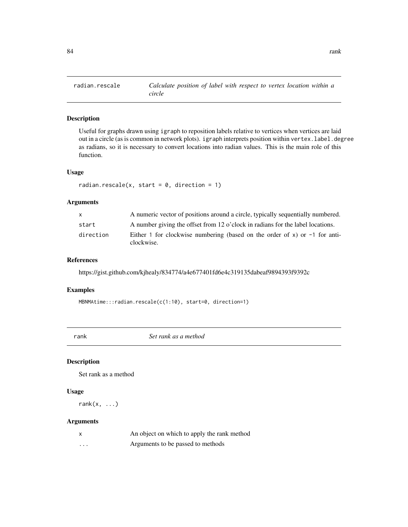<span id="page-83-0"></span>

Useful for graphs drawn using igraph to reposition labels relative to vertices when vertices are laid out in a circle (as is common in network plots). igraph interprets position within vertex. label.degree as radians, so it is necessary to convert locations into radian values. This is the main role of this function.

#### Usage

```
radian.rescale(x, start = 0, direction = 1)
```
## Arguments

| $\mathsf{x}$ | A numeric vector of positions around a circle, typically sequentially numbered.            |
|--------------|--------------------------------------------------------------------------------------------|
| start        | A number giving the offset from 12 o'clock in radians for the label locations.             |
| direction    | Either 1 for clockwise numbering (based on the order of x) or $-1$ for anti-<br>clockwise. |

#### References

https://gist.github.com/kjhealy/834774/a4e677401fd6e4c319135dabeaf9894393f9392c

#### Examples

MBNMAtime:::radian.rescale(c(1:10), start=0, direction=1)

rank *Set rank as a method*

## Description

Set rank as a method

#### Usage

rank $(x, \ldots)$ 

| X | An object on which to apply the rank method |
|---|---------------------------------------------|
| . | Arguments to be passed to methods           |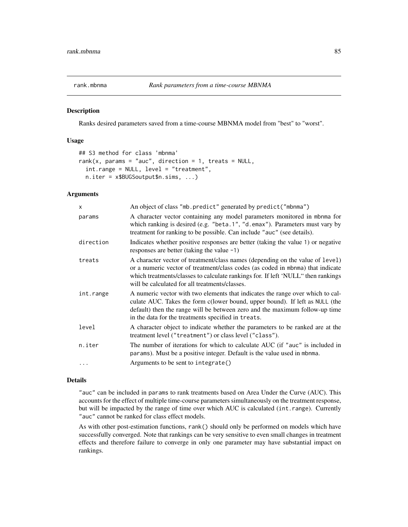<span id="page-84-0"></span>

Ranks desired parameters saved from a time-course MBNMA model from "best" to "worst".

#### Usage

```
## S3 method for class 'mbnma'
rank(x, params = "auc", direction = 1, treats = NULL,
  int.range = NULL, level = "treatment",
 n.iter = x$BUGSoutput$n.sims, ...)
```
## Arguments

| $\mathsf{x}$ | An object of class "mb. predict" generated by predict ("mbnma")                                                                                                                                                                                                                                       |
|--------------|-------------------------------------------------------------------------------------------------------------------------------------------------------------------------------------------------------------------------------------------------------------------------------------------------------|
| params       | A character vector containing any model parameters monitored in mbnma for<br>which ranking is desired (e.g. "beta.1", "d.emax"). Parameters must vary by<br>treatment for ranking to be possible. Can include "auc" (see details).                                                                    |
| direction    | Indicates whether positive responses are better (taking the value 1) or negative<br>responses are better (taking the value $-1$ )                                                                                                                                                                     |
| treats       | A character vector of treatment/class names (depending on the value of level)<br>or a numeric vector of treatment/class codes (as coded in mbnma) that indicate<br>which treatments/classes to calculate rankings for. If left 'NULL" then rankings<br>will be calculated for all treatments/classes. |
| int.range    | A numeric vector with two elements that indicates the range over which to cal-<br>culate AUC. Takes the form c(lower bound, upper bound). If left as NULL (the<br>default) then the range will be between zero and the maximum follow-up time<br>in the data for the treatments specified in treats.  |
| level        | A character object to indicate whether the parameters to be ranked are at the<br>treatment level ("treatment") or class level ("class").                                                                                                                                                              |
| n.iter       | The number of iterations for which to calculate AUC (if "auc" is included in<br>params). Must be a positive integer. Default is the value used in mbnma.                                                                                                                                              |
| $\cdots$     | Arguments to be sent to integrate()                                                                                                                                                                                                                                                                   |

#### Details

"auc" can be included in params to rank treatments based on Area Under the Curve (AUC). This accounts for the effect of multiple time-course parameters simultaneously on the treatment response, but will be impacted by the range of time over which AUC is calculated (int.range). Currently "auc" cannot be ranked for class effect models.

As with other post-estimation functions, rank() should only be performed on models which have successfully converged. Note that rankings can be very sensitive to even small changes in treatment effects and therefore failure to converge in only one parameter may have substantial impact on rankings.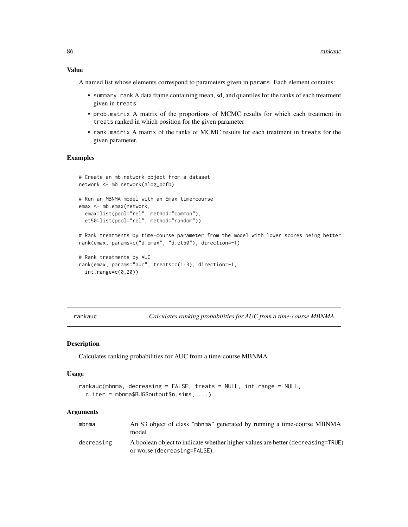#### Value

A named list whose elements correspond to parameters given in params. Each element contains:

- summary.rank A data frame containing mean, sd, and quantiles for the ranks of each treatment given in treats
- prob.matrix A matrix of the proportions of MCMC results for which each treatment in treats ranked in which position for the given parameter
- rank.matrix A matrix of the ranks of MCMC results for each treatment in treats for the given parameter.

#### Examples

```
# Create an mb.network object from a dataset
network <- mb.network(alog_pcfb)
# Run an MBNMA model with an Emax time-course
emax <- mb.emax(network,
 emax=list(pool="rel", method="common"),
 et50=list(pool="rel", method="random"))
```

```
# Rank treatments by time-course parameter from the model with lower scores being better
rank(emax, params=c("d.emax", "d.et50"), direction=-1)
```

```
# Rank treatments by AUC
rank(emax, params="auc", treats=c(1:3), direction=-1,
  int.range=c(\emptyset, 2\emptyset))
```
rankauc *Calculates ranking probabilities for AUC from a time-course MBNMA*

#### Description

Calculates ranking probabilities for AUC from a time-course MBNMA

#### Usage

```
rankauc(mbnma, decreasing = FALSE, treats = NULL, int.range = NULL,
 n.iter = mbnma$BUGSoutput$n.sims, ...)
```

| mbnma      | An S3 object of class "mbnma" generated by running a time-course MBNMA<br>model                                 |
|------------|-----------------------------------------------------------------------------------------------------------------|
| decreasing | A boolean object to indicate whether higher values are better (decreasing=TRUE)<br>or worse (decreasing=FALSE). |

<span id="page-85-0"></span>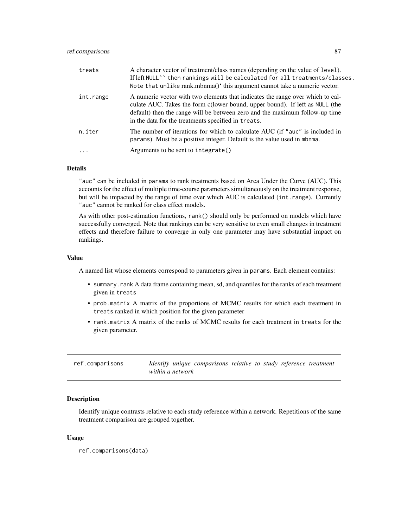## <span id="page-86-0"></span>ref.comparisons 87

| treats                  | A character vector of treatment/class names (depending on the value of level).<br>If left NULL'' then rankings will be calculated for all treatments/classes.<br>Note that unlike rank.mbnma()' this argument cannot take a numeric vector.                                                          |
|-------------------------|------------------------------------------------------------------------------------------------------------------------------------------------------------------------------------------------------------------------------------------------------------------------------------------------------|
| int.range               | A numeric vector with two elements that indicates the range over which to cal-<br>culate AUC. Takes the form c(lower bound, upper bound). If left as NULL (the<br>default) then the range will be between zero and the maximum follow-up time<br>in the data for the treatments specified in treats. |
| n.iter                  | The number of iterations for which to calculate AUC (if "auc" is included in<br>params). Must be a positive integer. Default is the value used in mbnma.                                                                                                                                             |
| $\cdot$ $\cdot$ $\cdot$ | Arguments to be sent to integrate()                                                                                                                                                                                                                                                                  |

## Details

"auc" can be included in params to rank treatments based on Area Under the Curve (AUC). This accounts for the effect of multiple time-course parameters simultaneously on the treatment response, but will be impacted by the range of time over which AUC is calculated (int.range). Currently "auc" cannot be ranked for class effect models.

As with other post-estimation functions, rank() should only be performed on models which have successfully converged. Note that rankings can be very sensitive to even small changes in treatment effects and therefore failure to converge in only one parameter may have substantial impact on rankings.

#### Value

A named list whose elements correspond to parameters given in params. Each element contains:

- summary.rank A data frame containing mean, sd, and quantiles for the ranks of each treatment given in treats
- prob.matrix A matrix of the proportions of MCMC results for which each treatment in treats ranked in which position for the given parameter
- rank.matrix A matrix of the ranks of MCMC results for each treatment in treats for the given parameter.

ref.comparisons *Identify unique comparisons relative to study reference treatment within a network*

## Description

Identify unique contrasts relative to each study reference within a network. Repetitions of the same treatment comparison are grouped together.

#### Usage

ref.comparisons(data)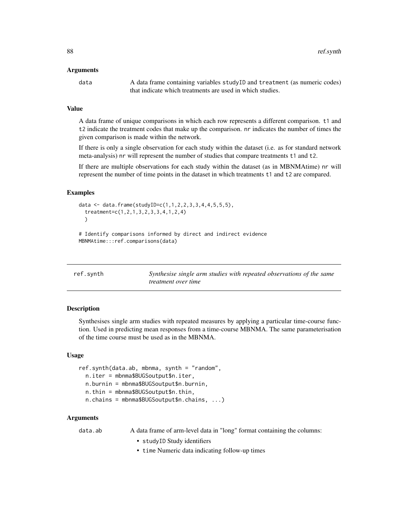#### <span id="page-87-1"></span>Arguments

data A data frame containing variables study ID and treatment (as numeric codes) that indicate which treatments are used in which studies.

#### Value

A data frame of unique comparisons in which each row represents a different comparison. t1 and t2 indicate the treatment codes that make up the comparison. nr indicates the number of times the given comparison is made within the network.

If there is only a single observation for each study within the dataset (i.e. as for standard network meta-analysis) nr will represent the number of studies that compare treatments t1 and t2.

If there are multiple observations for each study within the dataset (as in MBNMAtime) nr will represent the number of time points in the dataset in which treatments t1 and t2 are compared.

#### Examples

```
data <- data.frame(studyID=c(1,1,2,2,3,3,4,4,5,5,5),
 treatment=c(1,2,1,3,2,3,3,4,1,2,4)
 \lambda# Identify comparisons informed by direct and indirect evidence
MBNMAtime:::ref.comparisons(data)
```
<span id="page-87-0"></span>

| ref.synth | Synthesise single arm studies with repeated observations of the same |
|-----------|----------------------------------------------------------------------|
|           | <i>treatment over time</i>                                           |

#### Description

Synthesises single arm studies with repeated measures by applying a particular time-course function. Used in predicting mean responses from a time-course MBNMA. The same parameterisation of the time course must be used as in the MBNMA.

#### Usage

ref.synth(data.ab, mbnma, synth = "random", n.iter = mbnma\$BUGSoutput\$n.iter, n.burnin = mbnma\$BUGSoutput\$n.burnin, n.thin = mbnma\$BUGSoutput\$n.thin, n.chains = mbnma\$BUGSoutput\$n.chains, ...)

#### Arguments

data.ab A data frame of arm-level data in "long" format containing the columns:

- studyID Study identifiers
- time Numeric data indicating follow-up times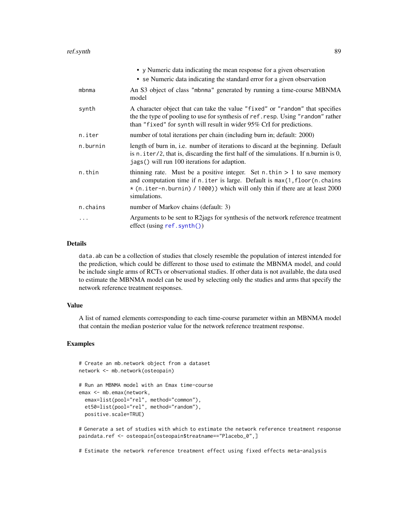<span id="page-88-0"></span>

|          | • y Numeric data indicating the mean response for a given observation<br>• se Numeric data indicating the standard error for a given observation                                                                                                           |
|----------|------------------------------------------------------------------------------------------------------------------------------------------------------------------------------------------------------------------------------------------------------------|
| mbnma    | An S3 object of class "mbnma" generated by running a time-course MBNMA<br>model                                                                                                                                                                            |
| synth    | A character object that can take the value "fixed" or "random" that specifies<br>the the type of pooling to use for synthesis of ref. resp. Using "random" rather<br>than "fixed" for synth will result in wider 95% CrI for predictions.                  |
| n.iter   | number of total iterations per chain (including burn in; default: 2000)                                                                                                                                                                                    |
| n.burnin | length of burn in, i.e. number of iterations to discard at the beginning. Default<br>is $n$ . iter/2, that is, discarding the first half of the simulations. If n.burnin is $0$ ,<br>jags() will run 100 iterations for adaption.                          |
| n.thin   | thinning rate. Must be a positive integer. Set n.thin $> 1$ to save memory<br>and computation time if n. iter is large. Default is max(1, floor(n. chains)<br>* (n.iter-n.burnin) / 1000)) which will only thin if there are at least 2000<br>simulations. |
| n.chains | number of Markov chains (default: 3)                                                                                                                                                                                                                       |
|          | Arguments to be sent to R2 ags for synthesis of the network reference treatment<br>$effect$ (using ref. synth())                                                                                                                                           |

#### Details

data.ab can be a collection of studies that closely resemble the population of interest intended for the prediction, which could be different to those used to estimate the MBNMA model, and could be include single arms of RCTs or observational studies. If other data is not available, the data used to estimate the MBNMA model can be used by selecting only the studies and arms that specify the network reference treatment responses.

#### Value

A list of named elements corresponding to each time-course parameter within an MBNMA model that contain the median posterior value for the network reference treatment response.

## Examples

```
# Create an mb.network object from a dataset
network <- mb.network(osteopain)
# Run an MBNMA model with an Emax time-course
emax <- mb.emax(network,
 emax=list(pool="rel", method="common"),
 et50=list(pool="rel", method="random"),
 positive.scale=TRUE)
```
# Generate a set of studies with which to estimate the network reference treatment response paindata.ref <- osteopain[osteopain\$treatname=="Placebo\_0",]

# Estimate the network reference treatment effect using fixed effects meta-analysis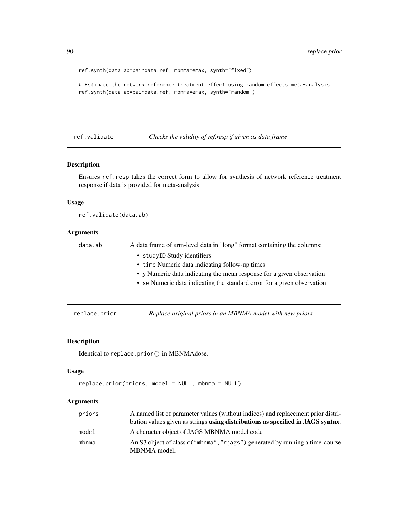```
ref.synth(data.ab=paindata.ref, mbnma=emax, synth="fixed")
```

```
# Estimate the network reference treatment effect using random effects meta-analysis
ref.synth(data.ab=paindata.ref, mbnma=emax, synth="random")
```
## ref.validate *Checks the validity of ref.resp if given as data frame*

## Description

Ensures ref.resp takes the correct form to allow for synthesis of network reference treatment response if data is provided for meta-analysis

## Usage

ref.validate(data.ab)

## Arguments

| data.ab | A data frame of arm-level data in "long" format containing the columns: |
|---------|-------------------------------------------------------------------------|
|         | • studyID Study identifiers                                             |
|         | • time Numeric data indicating follow-up times                          |
|         | • y Numeric data indicating the mean response for a given observation   |
|         | • se Numeric data indicating the standard error for a given observation |
|         |                                                                         |

replace.prior *Replace original priors in an MBNMA model with new priors*

#### Description

Identical to replace.prior() in MBNMAdose.

## Usage

```
replace.prior(priors, model = NULL, mbnma = NULL)
```

| priors | A named list of parameter values (without indices) and replacement prior distri-              |
|--------|-----------------------------------------------------------------------------------------------|
|        | bution values given as strings using distributions as specified in JAGS syntax.               |
| model  | A character object of JAGS MBNMA model code                                                   |
| mbnma  | An S3 object of class c ("mbnma", "rjags") generated by running a time-course<br>MBNMA model. |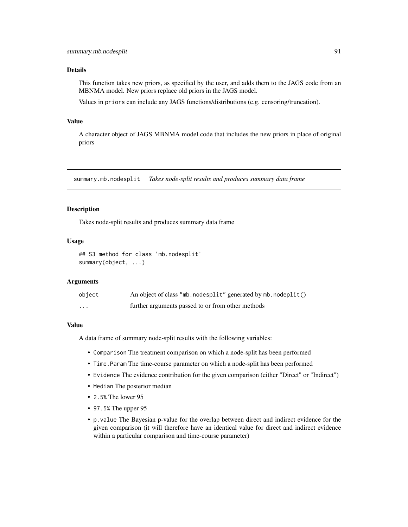#### <span id="page-90-0"></span>Details

This function takes new priors, as specified by the user, and adds them to the JAGS code from an MBNMA model. New priors replace old priors in the JAGS model.

Values in priors can include any JAGS functions/distributions (e.g. censoring/truncation).

## Value

A character object of JAGS MBNMA model code that includes the new priors in place of original priors

summary.mb.nodesplit *Takes node-split results and produces summary data frame*

#### Description

Takes node-split results and produces summary data frame

## Usage

```
## S3 method for class 'mb.nodesplit'
summary(object, ...)
```
## Arguments

| object   | An object of class "mb. nodesplit" generated by mb. nodeplit() |
|----------|----------------------------------------------------------------|
| $\cdots$ | further arguments passed to or from other methods              |

#### Value

A data frame of summary node-split results with the following variables:

- Comparison The treatment comparison on which a node-split has been performed
- Time.Param The time-course parameter on which a node-split has been performed
- Evidence The evidence contribution for the given comparison (either "Direct" or "Indirect")
- Median The posterior median
- 2.5% The lower 95
- 97.5% The upper 95
- p.value The Bayesian p-value for the overlap between direct and indirect evidence for the given comparison (it will therefore have an identical value for direct and indirect evidence within a particular comparison and time-course parameter)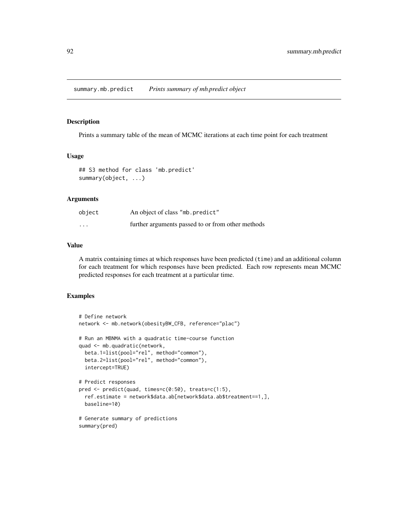<span id="page-91-0"></span>Prints a summary table of the mean of MCMC iterations at each time point for each treatment

#### Usage

```
## S3 method for class 'mb.predict'
summary(object, ...)
```
#### Arguments

| object                  | An object of class "mb. predict"                  |
|-------------------------|---------------------------------------------------|
| $\cdot$ $\cdot$ $\cdot$ | further arguments passed to or from other methods |

## Value

A matrix containing times at which responses have been predicted (time) and an additional column for each treatment for which responses have been predicted. Each row represents mean MCMC predicted responses for each treatment at a particular time.

## Examples

```
# Define network
network <- mb.network(obesityBW_CFB, reference="plac")
# Run an MBNMA with a quadratic time-course function
quad <- mb.quadratic(network,
 beta.1=list(pool="rel", method="common"),
 beta.2=list(pool="rel", method="common"),
 intercept=TRUE)
# Predict responses
pred <- predict(quad, times=c(0:50), treats=c(1:5),
 ref.estimate = network$data.ab[network$data.ab$treatment==1,],
 baseline=10)
# Generate summary of predictions
```

```
summary(pred)
```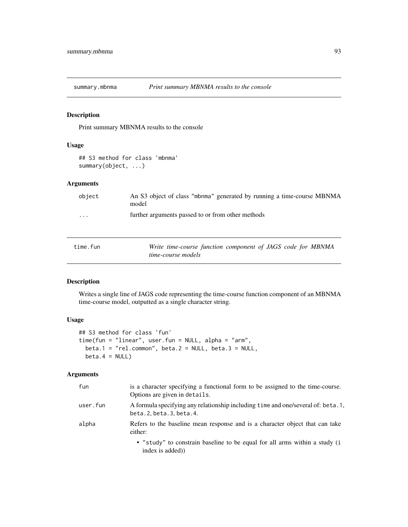<span id="page-92-0"></span>

Print summary MBNMA results to the console

## Usage

## S3 method for class 'mbnma' summary(object, ...)

## Arguments

| object   | An S3 object of class "mbnma" generated by running a time-course MBNMA<br>model |  |  |
|----------|---------------------------------------------------------------------------------|--|--|
| .        | further arguments passed to or from other methods                               |  |  |
| time.fun | Write time-course function component of JAGS code for MBNMA                     |  |  |

# Description

Writes a single line of JAGS code representing the time-course function component of an MBNMA time-course model, outputted as a single character string.

#### Usage

```
## S3 method for class 'fun'
time(fun = "linear", user.fun = NULL, alpha = "arm",
 beta.1 = "rel.common", beta.2 = NULL, beta.3 = NULL,
 beta.4 = NULL)
```
*time-course models*

| fun      | is a character specifying a functional form to be assigned to the time-course.<br>Options are given in details. |
|----------|-----------------------------------------------------------------------------------------------------------------|
| user.fun | A formula specifying any relationship including time and one/several of: beta. 1,<br>beta.2, beta.3, beta.4.    |
| alpha    | Refers to the baseline mean response and is a character object that can take<br>either:                         |
|          | • "study" to constrain baseline to be equal for all arms within a study (i<br>index is added)                   |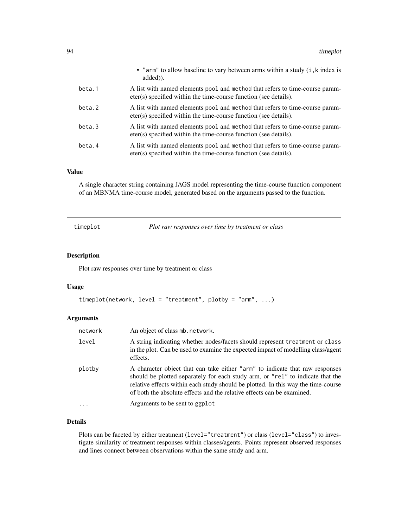<span id="page-93-0"></span>

|        | • "arm" to allow baseline to vary between arms within a study (i, k index is<br>added).                                                          |
|--------|--------------------------------------------------------------------------------------------------------------------------------------------------|
| beta.1 | A list with named elements pool and method that refers to time-course param-<br>eter(s) specified within the time-course function (see details). |
| beta.2 | A list with named elements pool and method that refers to time-course param-<br>eter(s) specified within the time-course function (see details). |
| beta.3 | A list with named elements pool and method that refers to time-course param-<br>eter(s) specified within the time-course function (see details). |
| beta.4 | A list with named elements pool and method that refers to time-course param-<br>eter(s) specified within the time-course function (see details). |

#### Value

A single character string containing JAGS model representing the time-course function component of an MBNMA time-course model, generated based on the arguments passed to the function.

timeplot *Plot raw responses over time by treatment or class*

## Description

Plot raw responses over time by treatment or class

#### Usage

```
timeplot(network, level = "treatment", plotby = "arm", ...)
```
## Arguments

| network | An object of class mb. network.                                                                                                                                                                                                                                                                                               |
|---------|-------------------------------------------------------------------------------------------------------------------------------------------------------------------------------------------------------------------------------------------------------------------------------------------------------------------------------|
| level   | A string indicating whether nodes/facets should represent treatment or class<br>in the plot. Can be used to examine the expected impact of modelling class/agent<br>effects.                                                                                                                                                  |
| plotby  | A character object that can take either "arm" to indicate that raw responses<br>should be plotted separately for each study arm, or "rel" to indicate that the<br>relative effects within each study should be plotted. In this way the time-course<br>of both the absolute effects and the relative effects can be examined. |
|         | Arguments to be sent to ggplot                                                                                                                                                                                                                                                                                                |

## Details

Plots can be faceted by either treatment (level="treatment") or class (level="class") to investigate similarity of treatment responses within classes/agents. Points represent observed responses and lines connect between observations within the same study and arm.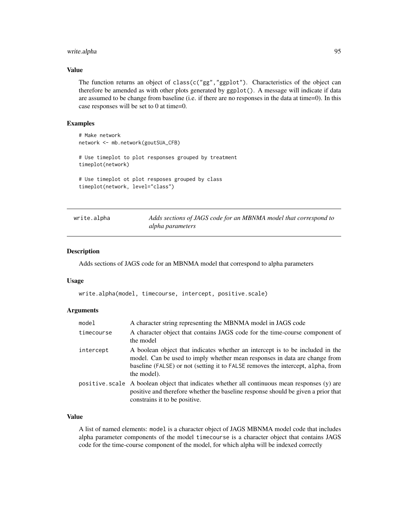## <span id="page-94-0"></span>write.alpha 95

#### Value

The function returns an object of class( $c("gg", "ggplot")$ . Characteristics of the object can therefore be amended as with other plots generated by ggplot(). A message will indicate if data are assumed to be change from baseline (i.e. if there are no responses in the data at time=0). In this case responses will be set to 0 at time=0.

#### Examples

```
# Make network
network <- mb.network(goutSUA_CFB)
# Use timeplot to plot responses grouped by treatment
timeplot(network)
# Use timeplot ot plot resposes grouped by class
timeplot(network, level="class")
```
write.alpha *Adds sections of JAGS code for an MBNMA model that correspond to alpha parameters*

#### Description

Adds sections of JAGS code for an MBNMA model that correspond to alpha parameters

#### Usage

write.alpha(model, timecourse, intercept, positive.scale)

#### Arguments

| model      | A character string representing the MBNMA model in JAGS code                                                                                                                                                                                                  |  |
|------------|---------------------------------------------------------------------------------------------------------------------------------------------------------------------------------------------------------------------------------------------------------------|--|
| timecourse | A character object that contains JAGS code for the time-course component of<br>the model                                                                                                                                                                      |  |
| intercept  | A boolean object that indicates whether an intercept is to be included in the<br>model. Can be used to imply whether mean responses in data are change from<br>baseline (FALSE) or not (setting it to FALSE removes the intercept, alpha, from<br>the model). |  |
|            | positive scale A boolean object that indicates whether all continuous mean responses (y) are<br>positive and therefore whether the baseline response should be given a prior that<br>constrains it to be positive.                                            |  |

## Value

A list of named elements: model is a character object of JAGS MBNMA model code that includes alpha parameter components of the model timecourse is a character object that contains JAGS code for the time-course component of the model, for which alpha will be indexed correctly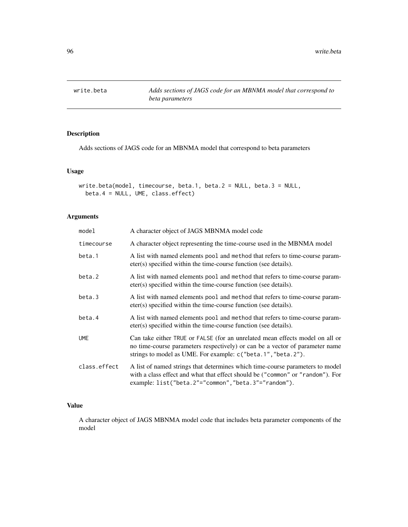<span id="page-95-0"></span>

Adds sections of JAGS code for an MBNMA model that correspond to beta parameters

## Usage

```
write.beta(model, timecourse, beta.1, beta.2 = NULL, beta.3 = NULL,
 beta.4 = NULL, UME, class.effect)
```
# Arguments

| model        | A character object of JAGS MBNMA model code                                                                                                                                                                                  |  |
|--------------|------------------------------------------------------------------------------------------------------------------------------------------------------------------------------------------------------------------------------|--|
| timecourse   | A character object representing the time-course used in the MBNMA model                                                                                                                                                      |  |
| beta.1       | A list with named elements pool and method that refers to time-course param-<br>eter(s) specified within the time-course function (see details).                                                                             |  |
| beta.2       | A list with named elements pool and method that refers to time-course param-<br>eter(s) specified within the time-course function (see details).                                                                             |  |
| beta.3       | A list with named elements pool and method that refers to time-course param-<br>eter(s) specified within the time-course function (see details).                                                                             |  |
| beta.4       | A list with named elements pool and method that refers to time-course param-<br>eter(s) specified within the time-course function (see details).                                                                             |  |
| <b>UME</b>   | Can take either TRUE or FALSE (for an unrelated mean effects model on all or<br>no time-course parameters respectively) or can be a vector of parameter name<br>strings to model as UME. For example: c("beta.1", "beta.2"). |  |
| class.effect | A list of named strings that determines which time-course parameters to model<br>with a class effect and what that effect should be ("common" or "random"). For<br>example: list("beta.2"="common","beta.3"="random").       |  |

#### Value

A character object of JAGS MBNMA model code that includes beta parameter components of the model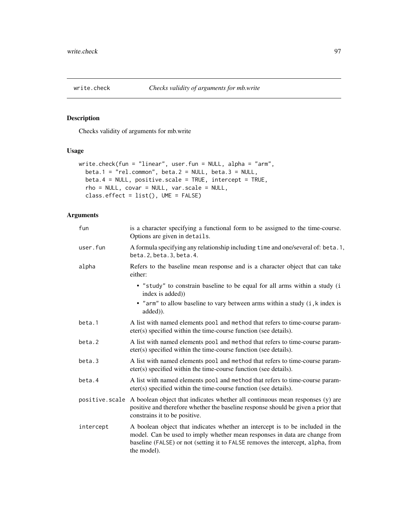<span id="page-96-0"></span>

Checks validity of arguments for mb.write

## Usage

```
write.check(fun = "linear", user.fun = NULL, alpha = "arm",
 beta.1 = "rel.common", beta.2 = NULL, beta.3 = NULL,beta.4 = NULL, positive.scale = TRUE, intercept = TRUE,
  rho = NULL, covar = NULL, var.scale = NULL,
 class.effect = list(), UME = FALSE)
```

| fun            | is a character specifying a functional form to be assigned to the time-course.<br>Options are given in details.                                                                                                                                               |  |
|----------------|---------------------------------------------------------------------------------------------------------------------------------------------------------------------------------------------------------------------------------------------------------------|--|
| user.fun       | A formula specifying any relationship including time and one/several of: beta. 1,<br>beta.2, beta.3, beta.4.                                                                                                                                                  |  |
| alpha          | Refers to the baseline mean response and is a character object that can take<br>either:                                                                                                                                                                       |  |
|                | • "study" to constrain baseline to be equal for all arms within a study (i<br>index is added))                                                                                                                                                                |  |
|                | • "arm" to allow baseline to vary between arms within a study (i, k index is<br>added).                                                                                                                                                                       |  |
| beta.1         | A list with named elements pool and method that refers to time-course param-<br>eter(s) specified within the time-course function (see details).                                                                                                              |  |
| beta.2         | A list with named elements pool and method that refers to time-course param-<br>eter(s) specified within the time-course function (see details).                                                                                                              |  |
| beta.3         | A list with named elements pool and method that refers to time-course param-<br>eter(s) specified within the time-course function (see details).                                                                                                              |  |
| beta.4         | A list with named elements pool and method that refers to time-course param-<br>eter(s) specified within the time-course function (see details).                                                                                                              |  |
| positive.scale | A boolean object that indicates whether all continuous mean responses (y) are<br>positive and therefore whether the baseline response should be given a prior that<br>constrains it to be positive.                                                           |  |
| intercept      | A boolean object that indicates whether an intercept is to be included in the<br>model. Can be used to imply whether mean responses in data are change from<br>baseline (FALSE) or not (setting it to FALSE removes the intercept, alpha, from<br>the model). |  |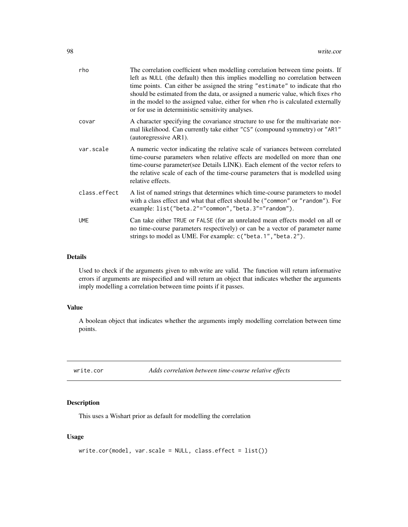<span id="page-97-0"></span>

| rho          | The correlation coefficient when modelling correlation between time points. If<br>left as NULL (the default) then this implies modelling no correlation between<br>time points. Can either be assigned the string "estimate" to indicate that rho<br>should be estimated from the data, or assigned a numeric value, which fixes rho<br>in the model to the assigned value, either for when rho is calculated externally<br>or for use in deterministic sensitivity analyses. |
|--------------|-------------------------------------------------------------------------------------------------------------------------------------------------------------------------------------------------------------------------------------------------------------------------------------------------------------------------------------------------------------------------------------------------------------------------------------------------------------------------------|
| covar        | A character specifying the covariance structure to use for the multivariate nor-<br>mal likelihood. Can currently take either "CS" (compound symmetry) or "AR1"<br>(autoregressive AR1).                                                                                                                                                                                                                                                                                      |
| var.scale    | A numeric vector indicating the relative scale of variances between correlated<br>time-course parameters when relative effects are modelled on more than one<br>time-course parameter(see Details LINK). Each element of the vector refers to<br>the relative scale of each of the time-course parameters that is modelled using<br>relative effects.                                                                                                                         |
| class.effect | A list of named strings that determines which time-course parameters to model<br>with a class effect and what that effect should be ("common" or "random"). For<br>example: list("beta.2"="common","beta.3"="random").                                                                                                                                                                                                                                                        |
| <b>UME</b>   | Can take either TRUE or FALSE (for an unrelated mean effects model on all or<br>no time-course parameters respectively) or can be a vector of parameter name<br>strings to model as UME. For example: c("beta.1", "beta.2").                                                                                                                                                                                                                                                  |
|              |                                                                                                                                                                                                                                                                                                                                                                                                                                                                               |

## Details

Used to check if the arguments given to mb.write are valid. The function will return informative errors if arguments are mispecified and will return an object that indicates whether the arguments imply modelling a correlation between time points if it passes.

#### Value

A boolean object that indicates whether the arguments imply modelling correlation between time points.

write.cor *Adds correlation between time-course relative effects*

## Description

This uses a Wishart prior as default for modelling the correlation

## Usage

```
write.cor(model, var.scale = NULL, class.effect = list())
```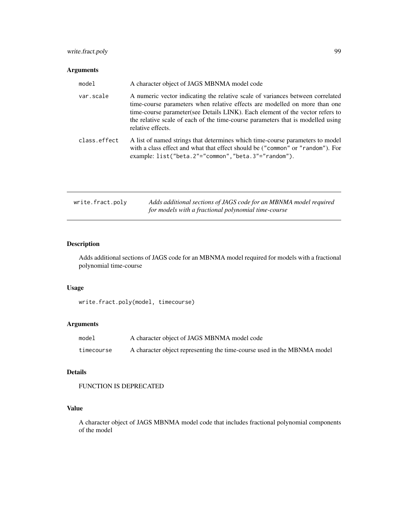# <span id="page-98-0"></span>write.fract.poly 99

## Arguments

| model        | A character object of JAGS MBNMA model code                                                                                                                                                                                                                                                                                                           |
|--------------|-------------------------------------------------------------------------------------------------------------------------------------------------------------------------------------------------------------------------------------------------------------------------------------------------------------------------------------------------------|
| var.scale    | A numeric vector indicating the relative scale of variances between correlated<br>time-course parameters when relative effects are modelled on more than one<br>time-course parameter(see Details LINK). Each element of the vector refers to<br>the relative scale of each of the time-course parameters that is modelled using<br>relative effects. |
| class.effect | A list of named strings that determines which time-course parameters to model<br>with a class effect and what that effect should be ("common" or "random"). For<br>example: list("beta.2"="common","beta.3"="random").                                                                                                                                |

| write.fract.poly | Adds additional sections of JAGS code for an MBNMA model required |
|------------------|-------------------------------------------------------------------|
|                  | for models with a fractional polynomial time-course               |

# Description

Adds additional sections of JAGS code for an MBNMA model required for models with a fractional polynomial time-course

## Usage

```
write.fract.poly(model, timecourse)
```
## Arguments

| model      | A character object of JAGS MBNMA model code                             |
|------------|-------------------------------------------------------------------------|
| timecourse | A character object representing the time-course used in the MBNMA model |

# Details

```
FUNCTION IS DEPRECATED
```
# Value

A character object of JAGS MBNMA model code that includes fractional polynomial components of the model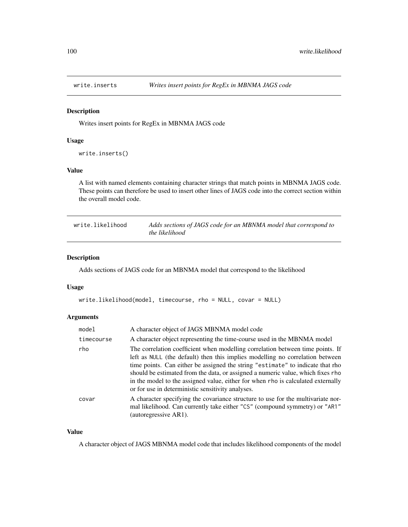<span id="page-99-0"></span>

Writes insert points for RegEx in MBNMA JAGS code

#### Usage

write.inserts()

#### Value

A list with named elements containing character strings that match points in MBNMA JAGS code. These points can therefore be used to insert other lines of JAGS code into the correct section within the overall model code.

| write.likelihood | Adds sections of JAGS code for an MBNMA model that correspond to |
|------------------|------------------------------------------------------------------|
|                  | the likelihood                                                   |

# Description

Adds sections of JAGS code for an MBNMA model that correspond to the likelihood

#### Usage

```
write.likelihood(model, timecourse, rho = NULL, covar = NULL)
```
#### Arguments

| model      | A character object of JAGS MBNMA model code                                                                                                                                                                                                                                                                                                                                                                                                                                   |  |
|------------|-------------------------------------------------------------------------------------------------------------------------------------------------------------------------------------------------------------------------------------------------------------------------------------------------------------------------------------------------------------------------------------------------------------------------------------------------------------------------------|--|
| timecourse | A character object representing the time-course used in the MBNMA model                                                                                                                                                                                                                                                                                                                                                                                                       |  |
| rho        | The correlation coefficient when modelling correlation between time points. If<br>left as NULL (the default) then this implies modelling no correlation between<br>time points. Can either be assigned the string "estimate" to indicate that rho<br>should be estimated from the data, or assigned a numeric value, which fixes rho<br>in the model to the assigned value, either for when rho is calculated externally<br>or for use in deterministic sensitivity analyses. |  |
| covar      | A character specifying the covariance structure to use for the multivariate nor-<br>mal likelihood. Can currently take either "CS" (compound symmetry) or "AR1"<br>(autoregressive AR1).                                                                                                                                                                                                                                                                                      |  |

## Value

A character object of JAGS MBNMA model code that includes likelihood components of the model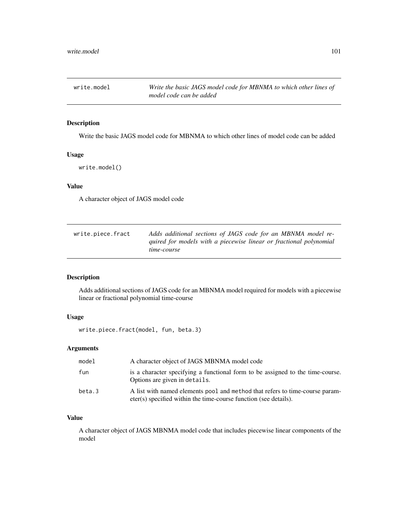<span id="page-100-0"></span>

Write the basic JAGS model code for MBNMA to which other lines of model code can be added

#### Usage

```
write.model()
```
## Value

A character object of JAGS model code

| write.piece.fract | Adds additional sections of JAGS code for an MBNMA model re-                      |
|-------------------|-----------------------------------------------------------------------------------|
|                   | quired for models with a piecewise linear or fractional polynomial<br>time-course |

## Description

Adds additional sections of JAGS code for an MBNMA model required for models with a piecewise linear or fractional polynomial time-course

## Usage

write.piece.fract(model, fun, beta.3)

## Arguments

| model  | A character object of JAGS MBNMA model code                                                                                                      |
|--------|--------------------------------------------------------------------------------------------------------------------------------------------------|
| fun    | is a character specifying a functional form to be assigned to the time-course.<br>Options are given in details.                                  |
| beta.3 | A list with named elements pool and method that refers to time-course param-<br>eter(s) specified within the time-course function (see details). |

## Value

A character object of JAGS MBNMA model code that includes piecewise linear components of the model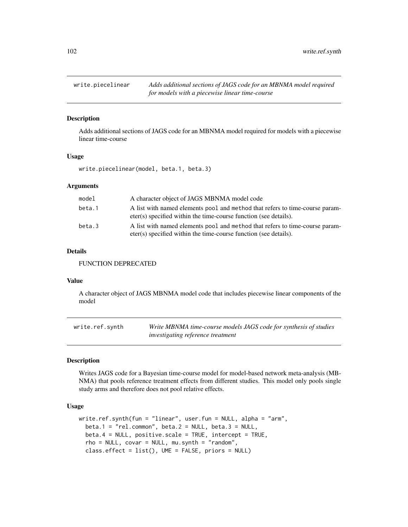<span id="page-101-0"></span>

Adds additional sections of JAGS code for an MBNMA model required for models with a piecewise linear time-course

#### Usage

write.piecelinear(model, beta.1, beta.3)

#### Arguments

| model  | A character object of JAGS MBNMA model code                                                                                                      |
|--------|--------------------------------------------------------------------------------------------------------------------------------------------------|
| beta.1 | A list with named elements pool and method that refers to time-course param-<br>eter(s) specified within the time-course function (see details). |
| beta.3 | A list with named elements pool and method that refers to time-course param-<br>eter(s) specified within the time-course function (see details). |

#### Details

FUNCTION DEPRECATED

#### Value

A character object of JAGS MBNMA model code that includes piecewise linear components of the model

| write.ref.synth | Write MBNMA time-course models JAGS code for synthesis of studies |
|-----------------|-------------------------------------------------------------------|
|                 | <i>investigating reference treatment</i>                          |

#### Description

Writes JAGS code for a Bayesian time-course model for model-based network meta-analysis (MB-NMA) that pools reference treatment effects from different studies. This model only pools single study arms and therefore does not pool relative effects.

## Usage

```
write.ref.synth(fun = "linear", user.fun = NULL, alpha = "arm",
 beta.1 = "rel.common", beta.2 = NULL, beta.3 = NULL,
 beta.4 = NULL, positive.scale = TRUE, intercept = TRUE,
  rho = NULL, covar = NULL, mu.synth = "random",
  class.effect = list(), UME = FALSE, priors = NULL)
```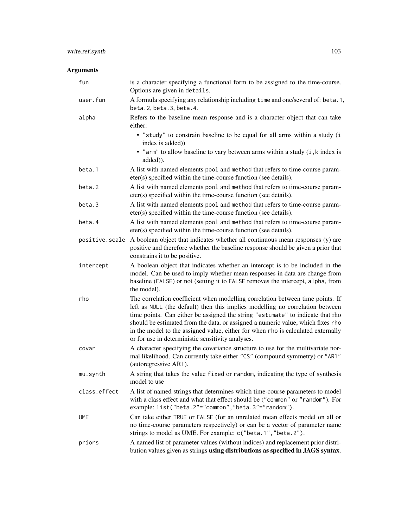# write.ref.synth 103

| fun            | is a character specifying a functional form to be assigned to the time-course.<br>Options are given in details.                                                                                                                                                                                                                                                                                                                                                               |
|----------------|-------------------------------------------------------------------------------------------------------------------------------------------------------------------------------------------------------------------------------------------------------------------------------------------------------------------------------------------------------------------------------------------------------------------------------------------------------------------------------|
| user.fun       | A formula specifying any relationship including time and one/several of: beta.1,<br>beta. 2, beta. 3, beta. 4.                                                                                                                                                                                                                                                                                                                                                                |
| alpha          | Refers to the baseline mean response and is a character object that can take<br>either:                                                                                                                                                                                                                                                                                                                                                                                       |
|                | • "study" to constrain baseline to be equal for all arms within a study (i<br>index is added))                                                                                                                                                                                                                                                                                                                                                                                |
|                | • "arm" to allow baseline to vary between arms within a study (i, k index is<br>added)).                                                                                                                                                                                                                                                                                                                                                                                      |
| beta.1         | A list with named elements pool and method that refers to time-course param-<br>eter(s) specified within the time-course function (see details).                                                                                                                                                                                                                                                                                                                              |
| beta.2         | A list with named elements pool and method that refers to time-course param-<br>eter(s) specified within the time-course function (see details).                                                                                                                                                                                                                                                                                                                              |
| beta.3         | A list with named elements pool and method that refers to time-course param-<br>eter(s) specified within the time-course function (see details).                                                                                                                                                                                                                                                                                                                              |
| beta.4         | A list with named elements pool and method that refers to time-course param-<br>eter(s) specified within the time-course function (see details).                                                                                                                                                                                                                                                                                                                              |
| positive.scale | A boolean object that indicates whether all continuous mean responses (y) are<br>positive and therefore whether the baseline response should be given a prior that<br>constrains it to be positive.                                                                                                                                                                                                                                                                           |
| intercept      | A boolean object that indicates whether an intercept is to be included in the<br>model. Can be used to imply whether mean responses in data are change from<br>baseline (FALSE) or not (setting it to FALSE removes the intercept, alpha, from<br>the model).                                                                                                                                                                                                                 |
| rho            | The correlation coefficient when modelling correlation between time points. If<br>left as NULL (the default) then this implies modelling no correlation between<br>time points. Can either be assigned the string "estimate" to indicate that rho<br>should be estimated from the data, or assigned a numeric value, which fixes rho<br>in the model to the assigned value, either for when rho is calculated externally<br>or for use in deterministic sensitivity analyses. |
| covar          | A character specifying the covariance structure to use for the multivariate nor-<br>mal likelihood. Can currently take either "CS" (compound symmetry) or "AR1"<br>(autoregressive AR1).                                                                                                                                                                                                                                                                                      |
| mu.synth       | A string that takes the value fixed or random, indicating the type of synthesis<br>model to use                                                                                                                                                                                                                                                                                                                                                                               |
| class.effect   | A list of named strings that determines which time-course parameters to model<br>with a class effect and what that effect should be ("common" or "random"). For<br>example: list("beta.2"="common","beta.3"="random").                                                                                                                                                                                                                                                        |
| <b>UME</b>     | Can take either TRUE or FALSE (for an unrelated mean effects model on all or<br>no time-course parameters respectively) or can be a vector of parameter name<br>strings to model as UME. For example: c("beta.1", "beta.2").                                                                                                                                                                                                                                                  |
| priors         | A named list of parameter values (without indices) and replacement prior distri-<br>bution values given as strings using distributions as specified in JAGS syntax.                                                                                                                                                                                                                                                                                                           |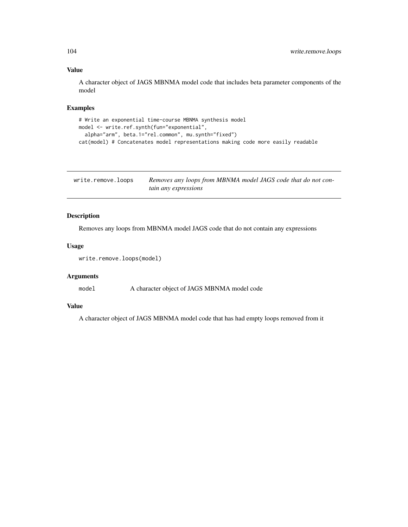## Value

A character object of JAGS MBNMA model code that includes beta parameter components of the model

## Examples

```
# Write an exponential time-course MBNMA synthesis model
model <- write.ref.synth(fun="exponential",
  alpha="arm", beta.1="rel.common", mu.synth="fixed")
cat(model) # Concatenates model representations making code more easily readable
```

| write.remove.loops | Removes any loops from MBNMA model JAGS code that do not con- |
|--------------------|---------------------------------------------------------------|
|                    | tain any expressions                                          |

## Description

Removes any loops from MBNMA model JAGS code that do not contain any expressions

## Usage

```
write.remove.loops(model)
```
## Arguments

model A character object of JAGS MBNMA model code

## Value

A character object of JAGS MBNMA model code that has had empty loops removed from it

<span id="page-103-0"></span>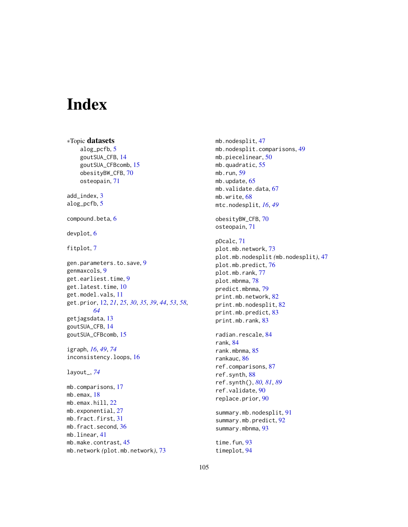# Index

∗Topic datasets alog\_pcfb, [5](#page-4-0) goutSUA\_CFB, [14](#page-13-0) goutSUA\_CFBcomb, [15](#page-14-0) obesityBW\_CFB, [70](#page-69-0) osteopain, [71](#page-70-0) add\_index, [3](#page-2-0) alog\_pcfb, [5](#page-4-0) compound.beta, [6](#page-5-0) devplot, [6](#page-5-0) fitplot, [7](#page-6-0) gen.parameters.to.save, [9](#page-8-0) genmaxcols, [9](#page-8-0) get.earliest.time, [9](#page-8-0) get.latest.time, [10](#page-9-0) get.model.vals, [11](#page-10-0) get.prior, [12,](#page-11-0) *[21](#page-20-0)*, *[25](#page-24-0)*, *[30](#page-29-0)*, *[35](#page-34-0)*, *[39](#page-38-0)*, *[44](#page-43-0)*, *[53](#page-52-0)*, *[58](#page-57-0)*, *[64](#page-63-0)* getjagsdata, [13](#page-12-0) goutSUA\_CFB, [14](#page-13-0) goutSUA\_CFBcomb, [15](#page-14-0) igraph, *[16](#page-15-0)*, *[49](#page-48-0)*, *[74](#page-73-0)* inconsistency.loops, [16](#page-15-0) layout\_, *[74](#page-73-0)* mb.comparisons, [17](#page-16-0) mb.emax, [18](#page-17-0) mb.emax.hill, [22](#page-21-0) mb.exponential, [27](#page-26-0) mb.fract.first, [31](#page-30-0) mb.fract.second, [36](#page-35-0) mb.linear, [41](#page-40-0) mb.make.contrast, [45](#page-44-0) mb.network *(*plot.mb.network*)*, [73](#page-72-0)

mb.nodesplit, [47](#page-46-0) mb.nodesplit.comparisons, [49](#page-48-0) mb.piecelinear, [50](#page-49-0) mb.quadratic, [55](#page-54-0) mb.run,  $59$ mb.update, [65](#page-64-0) mb.validate.data, [67](#page-66-0) mb.write, [68](#page-67-0) mtc.nodesplit, *[16](#page-15-0)*, *[49](#page-48-0)* obesityBW\_CFB, [70](#page-69-0) osteopain, [71](#page-70-0) pDcalc, [71](#page-70-0) plot.mb.network, [73](#page-72-0) plot.mb.nodesplit *(*mb.nodesplit*)*, [47](#page-46-0) plot.mb.predict, [76](#page-75-0) plot.mb.rank, [77](#page-76-0) plot.mbnma, [78](#page-77-0) predict.mbnma, [79](#page-78-0) print.mb.network, [82](#page-81-0) print.mb.nodesplit, [82](#page-81-0) print.mb.predict, [83](#page-82-0) print.mb.rank, [83](#page-82-0) radian.rescale, [84](#page-83-0) rank, [84](#page-83-0) rank.mbnma, [85](#page-84-0) rankauc, [86](#page-85-0) ref.comparisons, [87](#page-86-0) ref.synth, [88](#page-87-1) ref.synth(), *[80,](#page-79-0) [81](#page-80-0)*, *[89](#page-88-0)* ref.validate, [90](#page-89-0) replace.prior, [90](#page-89-0) summary.mb.nodesplit, [91](#page-90-0) summary.mb.predict, [92](#page-91-0) summary.mbnma, [93](#page-92-0) time.fun, [93](#page-92-0) timeplot, [94](#page-93-0)